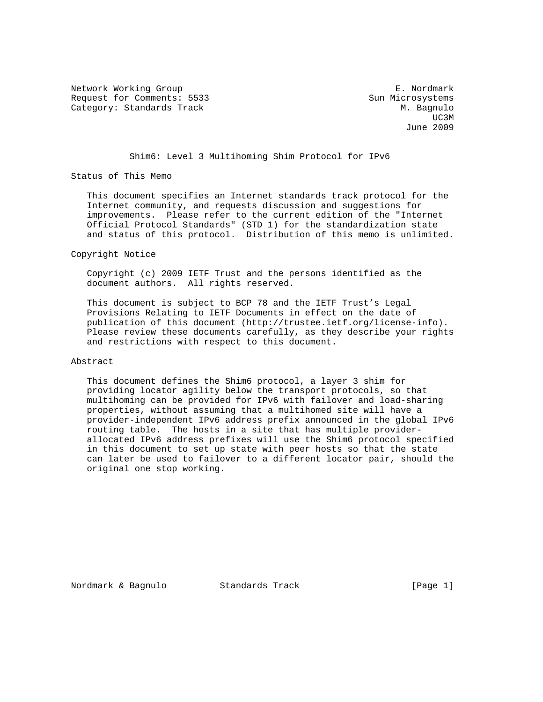Network Working Group **E. Nordmark** Request for Comments: 5533 Sun Microsystems Category: Standards Track M. Bagnulo

UC3M and the contract of the contract of the contract of the contract of the contract of the contract of the contract of the contract of the contract of the contract of the contract of the contract of the contract of the c June 2009

Shim6: Level 3 Multihoming Shim Protocol for IPv6

Status of This Memo

 This document specifies an Internet standards track protocol for the Internet community, and requests discussion and suggestions for improvements. Please refer to the current edition of the "Internet Official Protocol Standards" (STD 1) for the standardization state and status of this protocol. Distribution of this memo is unlimited.

Copyright Notice

 Copyright (c) 2009 IETF Trust and the persons identified as the document authors. All rights reserved.

 This document is subject to BCP 78 and the IETF Trust's Legal Provisions Relating to IETF Documents in effect on the date of publication of this document (http://trustee.ietf.org/license-info). Please review these documents carefully, as they describe your rights and restrictions with respect to this document.

Abstract

 This document defines the Shim6 protocol, a layer 3 shim for providing locator agility below the transport protocols, so that multihoming can be provided for IPv6 with failover and load-sharing properties, without assuming that a multihomed site will have a provider-independent IPv6 address prefix announced in the global IPv6 routing table. The hosts in a site that has multiple provider allocated IPv6 address prefixes will use the Shim6 protocol specified in this document to set up state with peer hosts so that the state can later be used to failover to a different locator pair, should the original one stop working.

Nordmark & Bagnulo Standards Track [Page 1]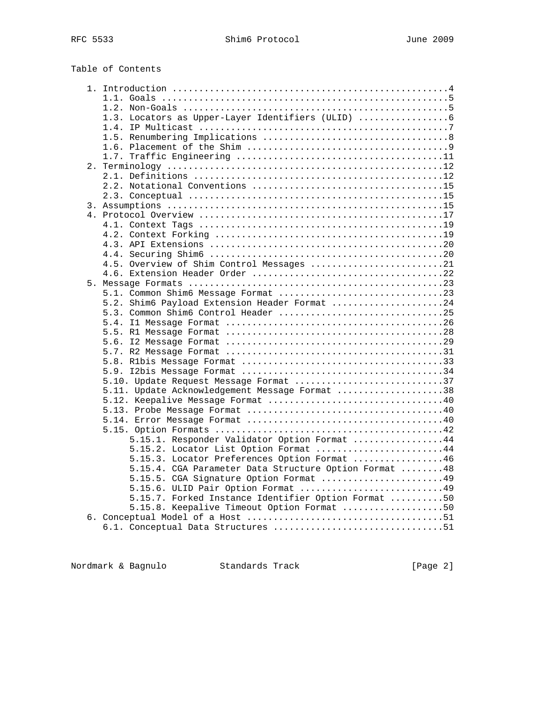| Table of Contents |
|-------------------|
|-------------------|

|  | 1.3. Locators as Upper-Layer Identifiers (ULID)       |  |
|--|-------------------------------------------------------|--|
|  |                                                       |  |
|  |                                                       |  |
|  |                                                       |  |
|  |                                                       |  |
|  |                                                       |  |
|  |                                                       |  |
|  |                                                       |  |
|  |                                                       |  |
|  |                                                       |  |
|  |                                                       |  |
|  |                                                       |  |
|  |                                                       |  |
|  |                                                       |  |
|  |                                                       |  |
|  | 4.5. Overview of Shim Control Messages 21             |  |
|  |                                                       |  |
|  |                                                       |  |
|  |                                                       |  |
|  | 5.2. Shim6 Payload Extension Header Format 24         |  |
|  | 5.3. Common Shim6 Control Header 25                   |  |
|  |                                                       |  |
|  |                                                       |  |
|  |                                                       |  |
|  |                                                       |  |
|  |                                                       |  |
|  |                                                       |  |
|  | 5.10. Update Request Message Format 37                |  |
|  | 5.11. Update Acknowledgement Message Format 38        |  |
|  |                                                       |  |
|  |                                                       |  |
|  |                                                       |  |
|  |                                                       |  |
|  | 5.15.1. Responder Validator Option Format 44          |  |
|  | 5.15.2. Locator List Option Format 44                 |  |
|  | 5.15.3. Locator Preferences Option Format 46          |  |
|  | 5.15.4. CGA Parameter Data Structure Option Format 48 |  |
|  | 5.15.5. CGA Signature Option Format 49                |  |
|  | 5.15.6. ULID Pair Option Format 49                    |  |
|  | 5.15.7. Forked Instance Identifier Option Format 50   |  |
|  | 5.15.8. Keepalive Timeout Option Format 50            |  |
|  |                                                       |  |
|  |                                                       |  |
|  |                                                       |  |

Nordmark & Bagnulo Standards Track [Page 2]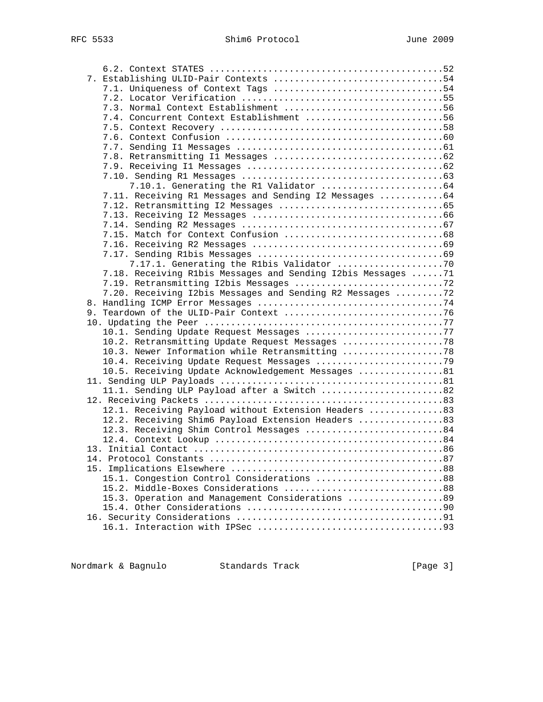| 7.3. Normal Context Establishment 56                          |  |
|---------------------------------------------------------------|--|
| 7.4. Concurrent Context Establishment 56                      |  |
|                                                               |  |
|                                                               |  |
|                                                               |  |
|                                                               |  |
|                                                               |  |
|                                                               |  |
|                                                               |  |
| 7.11. Receiving R1 Messages and Sending I2 Messages 64        |  |
|                                                               |  |
|                                                               |  |
|                                                               |  |
|                                                               |  |
|                                                               |  |
|                                                               |  |
|                                                               |  |
| 7.18. Receiving Rlbis Messages and Sending I2bis Messages  71 |  |
|                                                               |  |
| 7.20. Receiving I2bis Messages and Sending R2 Messages 72     |  |
|                                                               |  |
|                                                               |  |
|                                                               |  |
| 10.1. Sending Update Request Messages 77                      |  |
| 10.2. Retransmitting Update Request Messages 78               |  |
| 10.3. Newer Information while Retransmitting 78               |  |
|                                                               |  |
| 10.5. Receiving Update Acknowledgement Messages 81            |  |
|                                                               |  |
| 11.1. Sending ULP Payload after a Switch 82                   |  |
|                                                               |  |
| 12.1. Receiving Payload without Extension Headers 83          |  |
| 12.2. Receiving Shim6 Payload Extension Headers 83            |  |
| 12.3. Receiving Shim Control Messages 84                      |  |
|                                                               |  |
|                                                               |  |
|                                                               |  |
|                                                               |  |
| 15.1. Congestion Control Considerations 88                    |  |
| 15.2. Middle-Boxes Considerations 88                          |  |
| 15.3. Operation and Management Considerations 89              |  |
|                                                               |  |
|                                                               |  |
|                                                               |  |

Nordmark & Bagnulo Standards Track [Page 3]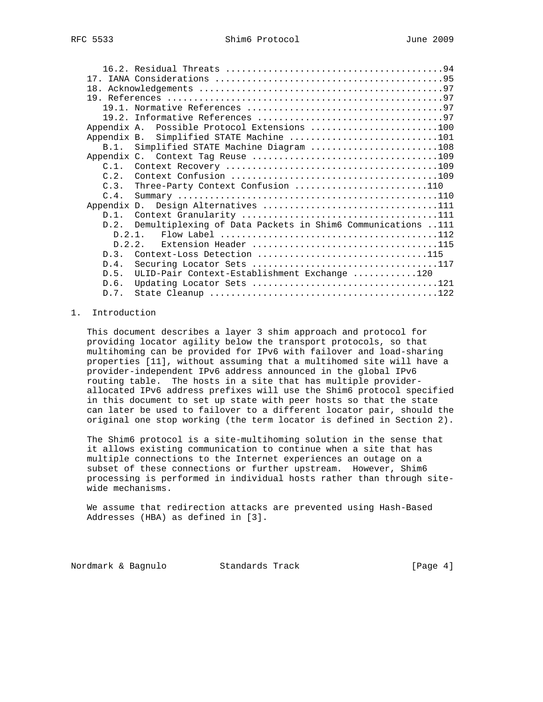|             | Appendix A. Possible Protocol Extensions 100                                          |  |
|-------------|---------------------------------------------------------------------------------------|--|
| Appendix B. | Simplified STATE Machine 101                                                          |  |
|             | B.1. Simplified STATE Machine Diagram 108                                             |  |
|             |                                                                                       |  |
| $C.1$ .     |                                                                                       |  |
| C.2.        |                                                                                       |  |
| C.3.        | Three-Party Context Confusion 110                                                     |  |
| C.4.        |                                                                                       |  |
|             | Appendix D. Design Alternatives 111                                                   |  |
| $D.1$ .     |                                                                                       |  |
| D.2.        | Demultiplexing of Data Packets in Shim6 Communications 111                            |  |
|             | Flow Label $\dots\dots\dots\dots\dots\dots\dots\dots\dots\dots\dots\dots112$<br>1 2 מ |  |
|             | Extension Header 115<br>D.2.2.                                                        |  |
| D.3.        | Context-Loss Detection 115                                                            |  |
| D.4.        | Securing Locator Sets 117                                                             |  |
| D.5.        | ULID-Pair Context-Establishment Exchange 120                                          |  |
| D.6.        |                                                                                       |  |
| D.7.        |                                                                                       |  |

## 1. Introduction

 This document describes a layer 3 shim approach and protocol for providing locator agility below the transport protocols, so that multihoming can be provided for IPv6 with failover and load-sharing properties [11], without assuming that a multihomed site will have a provider-independent IPv6 address announced in the global IPv6 routing table. The hosts in a site that has multiple provider allocated IPv6 address prefixes will use the Shim6 protocol specified in this document to set up state with peer hosts so that the state can later be used to failover to a different locator pair, should the original one stop working (the term locator is defined in Section 2).

 The Shim6 protocol is a site-multihoming solution in the sense that it allows existing communication to continue when a site that has multiple connections to the Internet experiences an outage on a subset of these connections or further upstream. However, Shim6 processing is performed in individual hosts rather than through site wide mechanisms.

 We assume that redirection attacks are prevented using Hash-Based Addresses (HBA) as defined in [3].

Nordmark & Bagnulo Standards Track [Page 4]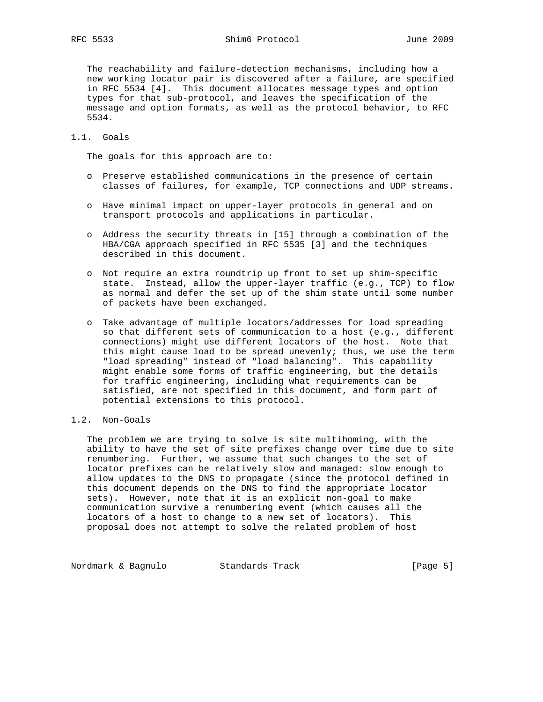The reachability and failure-detection mechanisms, including how a new working locator pair is discovered after a failure, are specified in RFC 5534 [4]. This document allocates message types and option types for that sub-protocol, and leaves the specification of the message and option formats, as well as the protocol behavior, to RFC 5534.

# 1.1. Goals

The goals for this approach are to:

- o Preserve established communications in the presence of certain classes of failures, for example, TCP connections and UDP streams.
- o Have minimal impact on upper-layer protocols in general and on transport protocols and applications in particular.
- o Address the security threats in [15] through a combination of the HBA/CGA approach specified in RFC 5535 [3] and the techniques described in this document.
- o Not require an extra roundtrip up front to set up shim-specific state. Instead, allow the upper-layer traffic (e.g., TCP) to flow as normal and defer the set up of the shim state until some number of packets have been exchanged.
- o Take advantage of multiple locators/addresses for load spreading so that different sets of communication to a host (e.g., different connections) might use different locators of the host. Note that this might cause load to be spread unevenly; thus, we use the term "load spreading" instead of "load balancing". This capability might enable some forms of traffic engineering, but the details for traffic engineering, including what requirements can be satisfied, are not specified in this document, and form part of potential extensions to this protocol.
- 1.2. Non-Goals

 The problem we are trying to solve is site multihoming, with the ability to have the set of site prefixes change over time due to site renumbering. Further, we assume that such changes to the set of locator prefixes can be relatively slow and managed: slow enough to allow updates to the DNS to propagate (since the protocol defined in this document depends on the DNS to find the appropriate locator sets). However, note that it is an explicit non-goal to make communication survive a renumbering event (which causes all the locators of a host to change to a new set of locators). This proposal does not attempt to solve the related problem of host

Nordmark & Bagnulo Standards Track [Page 5]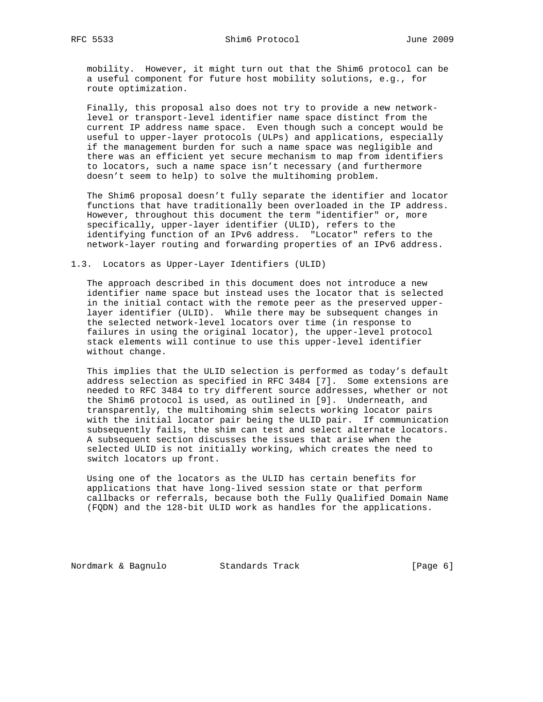mobility. However, it might turn out that the Shim6 protocol can be a useful component for future host mobility solutions, e.g., for route optimization.

 Finally, this proposal also does not try to provide a new network level or transport-level identifier name space distinct from the current IP address name space. Even though such a concept would be useful to upper-layer protocols (ULPs) and applications, especially if the management burden for such a name space was negligible and there was an efficient yet secure mechanism to map from identifiers to locators, such a name space isn't necessary (and furthermore doesn't seem to help) to solve the multihoming problem.

 The Shim6 proposal doesn't fully separate the identifier and locator functions that have traditionally been overloaded in the IP address. However, throughout this document the term "identifier" or, more specifically, upper-layer identifier (ULID), refers to the identifying function of an IPv6 address. "Locator" refers to the network-layer routing and forwarding properties of an IPv6 address.

## 1.3. Locators as Upper-Layer Identifiers (ULID)

 The approach described in this document does not introduce a new identifier name space but instead uses the locator that is selected in the initial contact with the remote peer as the preserved upper layer identifier (ULID). While there may be subsequent changes in the selected network-level locators over time (in response to failures in using the original locator), the upper-level protocol stack elements will continue to use this upper-level identifier without change.

 This implies that the ULID selection is performed as today's default address selection as specified in RFC 3484 [7]. Some extensions are needed to RFC 3484 to try different source addresses, whether or not the Shim6 protocol is used, as outlined in [9]. Underneath, and transparently, the multihoming shim selects working locator pairs with the initial locator pair being the ULID pair. If communication subsequently fails, the shim can test and select alternate locators. A subsequent section discusses the issues that arise when the selected ULID is not initially working, which creates the need to switch locators up front.

 Using one of the locators as the ULID has certain benefits for applications that have long-lived session state or that perform callbacks or referrals, because both the Fully Qualified Domain Name (FQDN) and the 128-bit ULID work as handles for the applications.

Nordmark & Bagnulo Standards Track [Page 6]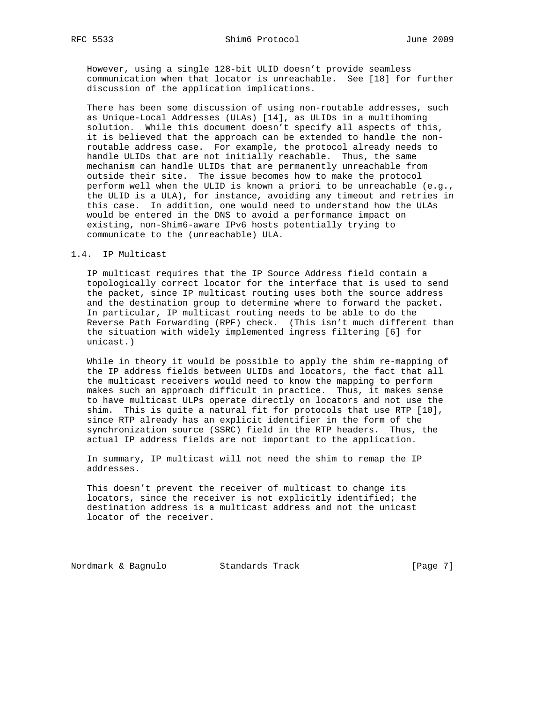However, using a single 128-bit ULID doesn't provide seamless communication when that locator is unreachable. See [18] for further discussion of the application implications.

 There has been some discussion of using non-routable addresses, such as Unique-Local Addresses (ULAs) [14], as ULIDs in a multihoming solution. While this document doesn't specify all aspects of this, it is believed that the approach can be extended to handle the non routable address case. For example, the protocol already needs to handle ULIDs that are not initially reachable. Thus, the same mechanism can handle ULIDs that are permanently unreachable from outside their site. The issue becomes how to make the protocol perform well when the ULID is known a priori to be unreachable (e.g., the ULID is a ULA), for instance, avoiding any timeout and retries in this case. In addition, one would need to understand how the ULAs would be entered in the DNS to avoid a performance impact on existing, non-Shim6-aware IPv6 hosts potentially trying to communicate to the (unreachable) ULA.

### 1.4. IP Multicast

 IP multicast requires that the IP Source Address field contain a topologically correct locator for the interface that is used to send the packet, since IP multicast routing uses both the source address and the destination group to determine where to forward the packet. In particular, IP multicast routing needs to be able to do the Reverse Path Forwarding (RPF) check. (This isn't much different than the situation with widely implemented ingress filtering [6] for unicast.)

 While in theory it would be possible to apply the shim re-mapping of the IP address fields between ULIDs and locators, the fact that all the multicast receivers would need to know the mapping to perform makes such an approach difficult in practice. Thus, it makes sense to have multicast ULPs operate directly on locators and not use the shim. This is quite a natural fit for protocols that use RTP [10], since RTP already has an explicit identifier in the form of the synchronization source (SSRC) field in the RTP headers. Thus, the actual IP address fields are not important to the application.

 In summary, IP multicast will not need the shim to remap the IP addresses.

 This doesn't prevent the receiver of multicast to change its locators, since the receiver is not explicitly identified; the destination address is a multicast address and not the unicast locator of the receiver.

Nordmark & Bagnulo Standards Track [Page 7]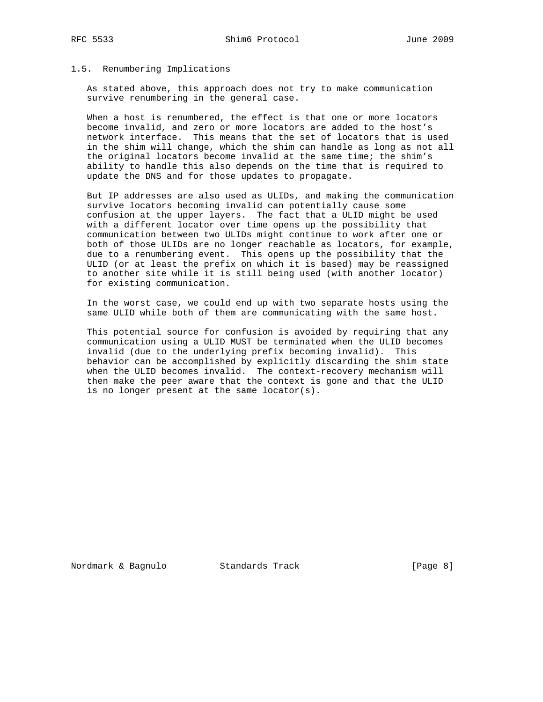## 1.5. Renumbering Implications

 As stated above, this approach does not try to make communication survive renumbering in the general case.

 When a host is renumbered, the effect is that one or more locators become invalid, and zero or more locators are added to the host's network interface. This means that the set of locators that is used in the shim will change, which the shim can handle as long as not all the original locators become invalid at the same time; the shim's ability to handle this also depends on the time that is required to update the DNS and for those updates to propagate.

 But IP addresses are also used as ULIDs, and making the communication survive locators becoming invalid can potentially cause some confusion at the upper layers. The fact that a ULID might be used with a different locator over time opens up the possibility that communication between two ULIDs might continue to work after one or both of those ULIDs are no longer reachable as locators, for example, due to a renumbering event. This opens up the possibility that the ULID (or at least the prefix on which it is based) may be reassigned to another site while it is still being used (with another locator) for existing communication.

 In the worst case, we could end up with two separate hosts using the same ULID while both of them are communicating with the same host.

 This potential source for confusion is avoided by requiring that any communication using a ULID MUST be terminated when the ULID becomes invalid (due to the underlying prefix becoming invalid). This behavior can be accomplished by explicitly discarding the shim state when the ULID becomes invalid. The context-recovery mechanism will then make the peer aware that the context is gone and that the ULID is no longer present at the same locator(s).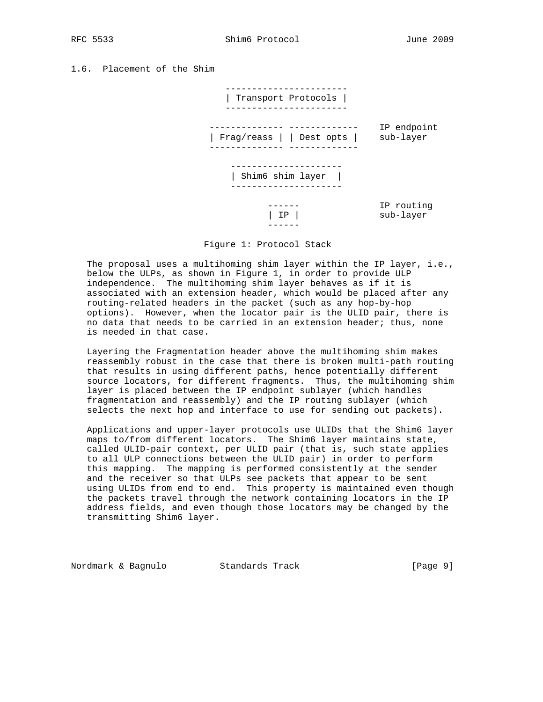RFC 5533 Shim6 Protocol June 2009

1.6. Placement of the Shim



Figure 1: Protocol Stack

 The proposal uses a multihoming shim layer within the IP layer, i.e., below the ULPs, as shown in Figure 1, in order to provide ULP independence. The multihoming shim layer behaves as if it is associated with an extension header, which would be placed after any routing-related headers in the packet (such as any hop-by-hop options). However, when the locator pair is the ULID pair, there is no data that needs to be carried in an extension header; thus, none is needed in that case.

 Layering the Fragmentation header above the multihoming shim makes reassembly robust in the case that there is broken multi-path routing that results in using different paths, hence potentially different source locators, for different fragments. Thus, the multihoming shim layer is placed between the IP endpoint sublayer (which handles fragmentation and reassembly) and the IP routing sublayer (which selects the next hop and interface to use for sending out packets).

 Applications and upper-layer protocols use ULIDs that the Shim6 layer maps to/from different locators. The Shim6 layer maintains state, called ULID-pair context, per ULID pair (that is, such state applies to all ULP connections between the ULID pair) in order to perform this mapping. The mapping is performed consistently at the sender and the receiver so that ULPs see packets that appear to be sent using ULIDs from end to end. This property is maintained even though the packets travel through the network containing locators in the IP address fields, and even though those locators may be changed by the transmitting Shim6 layer.

Nordmark & Bagnulo Standards Track [Page 9]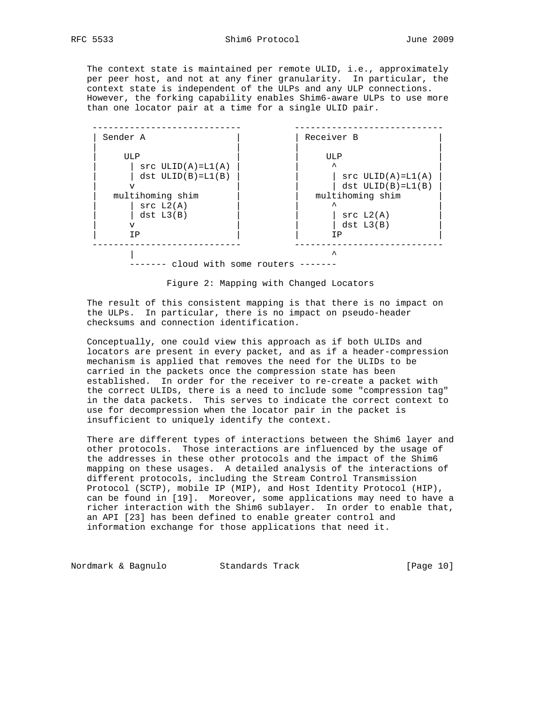The context state is maintained per remote ULID, i.e., approximately per peer host, and not at any finer granularity. In particular, the context state is independent of the ULPs and any ULP connections.

 However, the forking capability enables Shim6-aware ULPs to use more than one locator pair at a time for a single ULID pair. ---------------------------- ----------------------------



Figure 2: Mapping with Changed Locators

 The result of this consistent mapping is that there is no impact on the ULPs. In particular, there is no impact on pseudo-header checksums and connection identification.

 Conceptually, one could view this approach as if both ULIDs and locators are present in every packet, and as if a header-compression mechanism is applied that removes the need for the ULIDs to be carried in the packets once the compression state has been established. In order for the receiver to re-create a packet with the correct ULIDs, there is a need to include some "compression tag" in the data packets. This serves to indicate the correct context to use for decompression when the locator pair in the packet is insufficient to uniquely identify the context.

 There are different types of interactions between the Shim6 layer and other protocols. Those interactions are influenced by the usage of the addresses in these other protocols and the impact of the Shim6 mapping on these usages. A detailed analysis of the interactions of different protocols, including the Stream Control Transmission Protocol (SCTP), mobile IP (MIP), and Host Identity Protocol (HIP), can be found in [19]. Moreover, some applications may need to have a richer interaction with the Shim6 sublayer. In order to enable that, an API [23] has been defined to enable greater control and information exchange for those applications that need it.

Nordmark & Bagnulo Standards Track [Page 10]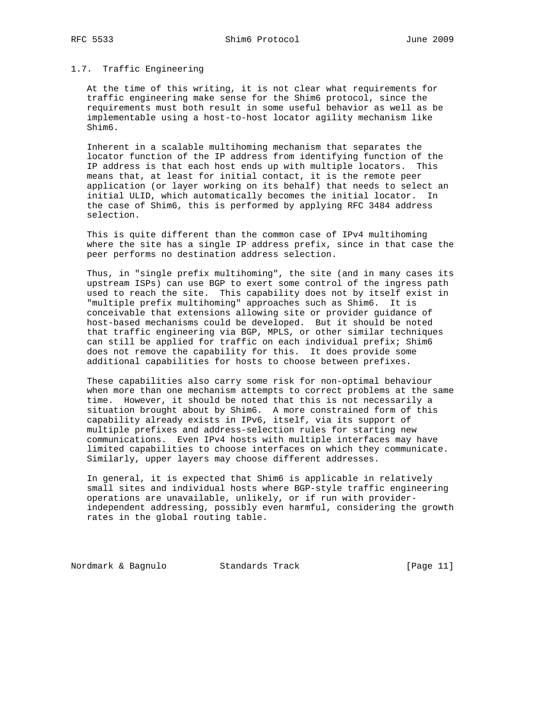# 1.7. Traffic Engineering

 At the time of this writing, it is not clear what requirements for traffic engineering make sense for the Shim6 protocol, since the requirements must both result in some useful behavior as well as be implementable using a host-to-host locator agility mechanism like Shim6.

 Inherent in a scalable multihoming mechanism that separates the locator function of the IP address from identifying function of the IP address is that each host ends up with multiple locators. This means that, at least for initial contact, it is the remote peer application (or layer working on its behalf) that needs to select an initial ULID, which automatically becomes the initial locator. In the case of Shim6, this is performed by applying RFC 3484 address selection.

 This is quite different than the common case of IPv4 multihoming where the site has a single IP address prefix, since in that case the peer performs no destination address selection.

 Thus, in "single prefix multihoming", the site (and in many cases its upstream ISPs) can use BGP to exert some control of the ingress path used to reach the site. This capability does not by itself exist in "multiple prefix multihoming" approaches such as Shim6. It is conceivable that extensions allowing site or provider guidance of host-based mechanisms could be developed. But it should be noted that traffic engineering via BGP, MPLS, or other similar techniques can still be applied for traffic on each individual prefix; Shim6 does not remove the capability for this. It does provide some additional capabilities for hosts to choose between prefixes.

 These capabilities also carry some risk for non-optimal behaviour when more than one mechanism attempts to correct problems at the same time. However, it should be noted that this is not necessarily a situation brought about by Shim6. A more constrained form of this capability already exists in IPv6, itself, via its support of multiple prefixes and address-selection rules for starting new communications. Even IPv4 hosts with multiple interfaces may have limited capabilities to choose interfaces on which they communicate. Similarly, upper layers may choose different addresses.

 In general, it is expected that Shim6 is applicable in relatively small sites and individual hosts where BGP-style traffic engineering operations are unavailable, unlikely, or if run with provider independent addressing, possibly even harmful, considering the growth rates in the global routing table.

Nordmark & Bagnulo Standards Track (Page 11)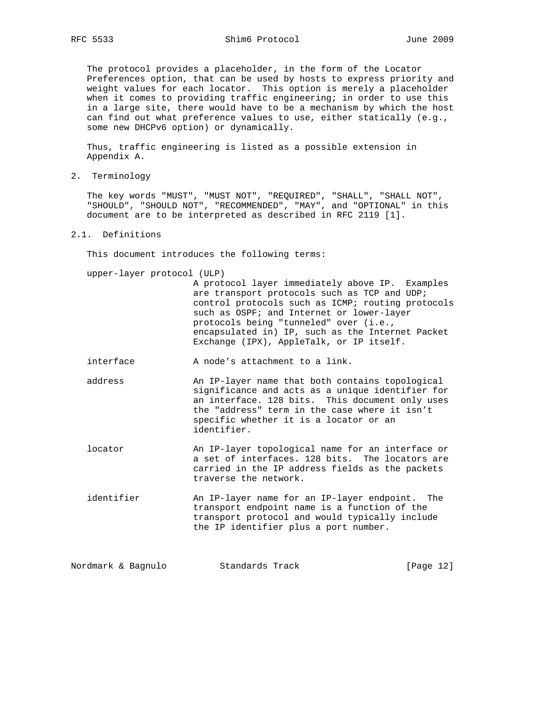The protocol provides a placeholder, in the form of the Locator Preferences option, that can be used by hosts to express priority and weight values for each locator. This option is merely a placeholder when it comes to providing traffic engineering; in order to use this in a large site, there would have to be a mechanism by which the host can find out what preference values to use, either statically (e.g., some new DHCPv6 option) or dynamically.

 Thus, traffic engineering is listed as a possible extension in Appendix A.

2. Terminology

 The key words "MUST", "MUST NOT", "REQUIRED", "SHALL", "SHALL NOT", "SHOULD", "SHOULD NOT", "RECOMMENDED", "MAY", and "OPTIONAL" in this document are to be interpreted as described in RFC 2119 [1].

## 2.1. Definitions

This document introduces the following terms:

upper-layer protocol (ULP)

 A protocol layer immediately above IP. Examples are transport protocols such as TCP and UDP; control protocols such as ICMP; routing protocols such as OSPF; and Internet or lower-layer protocols being "tunneled" over (i.e., encapsulated in) IP, such as the Internet Packet Exchange (IPX), AppleTalk, or IP itself.

interface  $\qquad \qquad$  A node's attachment to a link.

- address An IP-layer name that both contains topological significance and acts as a unique identifier for an interface. 128 bits. This document only uses the "address" term in the case where it isn't specific whether it is a locator or an identifier.
- locator An IP-layer topological name for an interface or a set of interfaces. 128 bits. The locators are carried in the IP address fields as the packets traverse the network.
- identifier An IP-layer name for an IP-layer endpoint. The transport endpoint name is a function of the transport protocol and would typically include the IP identifier plus a port number.

Nordmark & Bagnulo Standards Track [Page 12]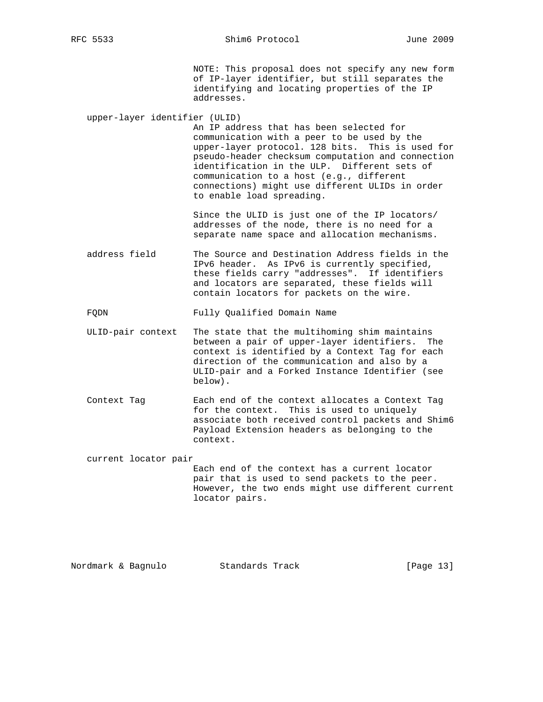NOTE: This proposal does not specify any new form of IP-layer identifier, but still separates the identifying and locating properties of the IP addresses.

upper-layer identifier (ULID)

 An IP address that has been selected for communication with a peer to be used by the upper-layer protocol. 128 bits. This is used for pseudo-header checksum computation and connection identification in the ULP. Different sets of communication to a host (e.g., different connections) might use different ULIDs in order to enable load spreading.

 Since the ULID is just one of the IP locators/ addresses of the node, there is no need for a separate name space and allocation mechanisms.

 address field The Source and Destination Address fields in the IPv6 header. As IPv6 is currently specified, these fields carry "addresses". If identifiers and locators are separated, these fields will contain locators for packets on the wire.

FQDN Fully Qualified Domain Name

- ULID-pair context The state that the multihoming shim maintains between a pair of upper-layer identifiers. The context is identified by a Context Tag for each direction of the communication and also by a ULID-pair and a Forked Instance Identifier (see below).
- Context Tag Each end of the context allocates a Context Tag for the context. This is used to uniquely associate both received control packets and Shim6 Payload Extension headers as belonging to the context.

current locator pair

 Each end of the context has a current locator pair that is used to send packets to the peer. However, the two ends might use different current locator pairs.

Nordmark & Bagnulo Standards Track [Page 13]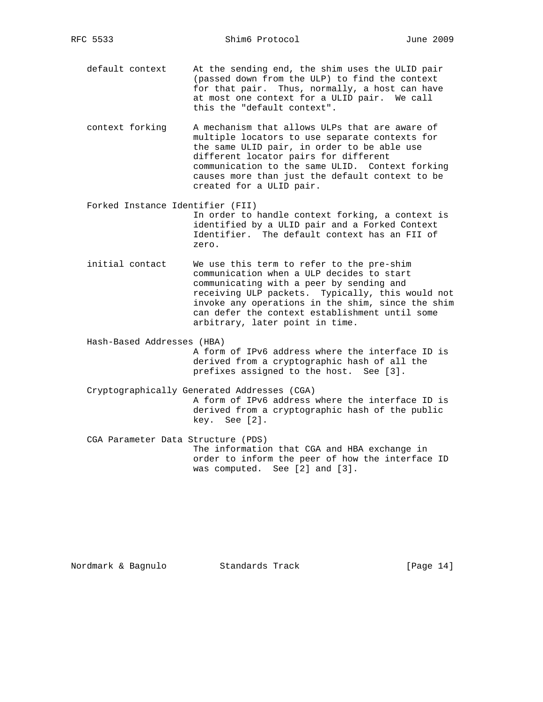default context At the sending end, the shim uses the ULID pair (passed down from the ULP) to find the context for that pair. Thus, normally, a host can have at most one context for a ULID pair. We call this the "default context".

- context forking A mechanism that allows ULPs that are aware of multiple locators to use separate contexts for the same ULID pair, in order to be able use different locator pairs for different communication to the same ULID. Context forking causes more than just the default context to be created for a ULID pair.
- Forked Instance Identifier (FII) In order to handle context forking, a context is identified by a ULID pair and a Forked Context Identifier. The default context has an FII of zero.
- initial contact We use this term to refer to the pre-shim communication when a ULP decides to start communicating with a peer by sending and receiving ULP packets. Typically, this would not invoke any operations in the shim, since the shim can defer the context establishment until some arbitrary, later point in time.

 Hash-Based Addresses (HBA) A form of IPv6 address where the interface ID is derived from a cryptographic hash of all the prefixes assigned to the host. See [3].

- Cryptographically Generated Addresses (CGA) A form of IPv6 address where the interface ID is derived from a cryptographic hash of the public key. See [2].
- CGA Parameter Data Structure (PDS) The information that CGA and HBA exchange in order to inform the peer of how the interface ID was computed. See [2] and [3].

Nordmark & Bagnulo Standards Track [Page 14]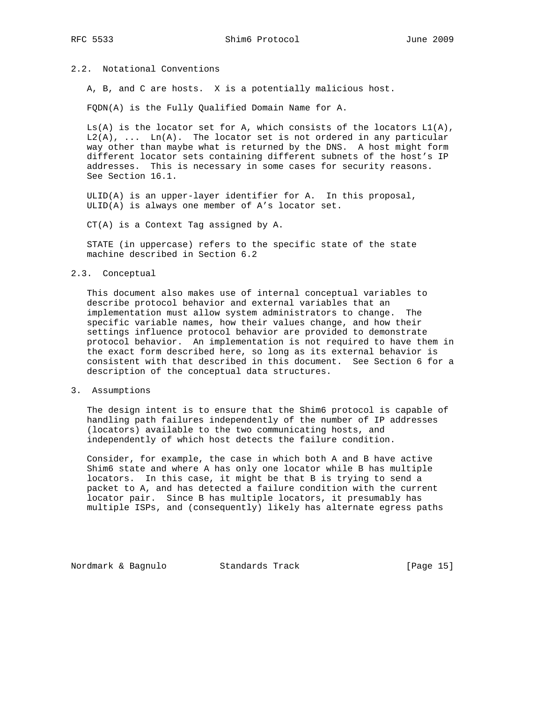# 2.2. Notational Conventions

A, B, and C are hosts. X is a potentially malicious host.

FQDN(A) is the Fully Qualified Domain Name for A.

 $Ls(A)$  is the locator set for A, which consists of the locators  $L1(A)$ ,  $L2(A)$ , ...  $Ln(A)$ . The locator set is not ordered in any particular way other than maybe what is returned by the DNS. A host might form different locator sets containing different subnets of the host's IP addresses. This is necessary in some cases for security reasons. See Section 16.1.

 ULID(A) is an upper-layer identifier for A. In this proposal, ULID(A) is always one member of A's locator set.

CT(A) is a Context Tag assigned by A.

 STATE (in uppercase) refers to the specific state of the state machine described in Section 6.2

## 2.3. Conceptual

 This document also makes use of internal conceptual variables to describe protocol behavior and external variables that an implementation must allow system administrators to change. The specific variable names, how their values change, and how their settings influence protocol behavior are provided to demonstrate protocol behavior. An implementation is not required to have them in the exact form described here, so long as its external behavior is consistent with that described in this document. See Section 6 for a description of the conceptual data structures.

3. Assumptions

 The design intent is to ensure that the Shim6 protocol is capable of handling path failures independently of the number of IP addresses (locators) available to the two communicating hosts, and independently of which host detects the failure condition.

 Consider, for example, the case in which both A and B have active Shim6 state and where A has only one locator while B has multiple locators. In this case, it might be that B is trying to send a packet to A, and has detected a failure condition with the current locator pair. Since B has multiple locators, it presumably has multiple ISPs, and (consequently) likely has alternate egress paths

Nordmark & Bagnulo Standards Track [Page 15]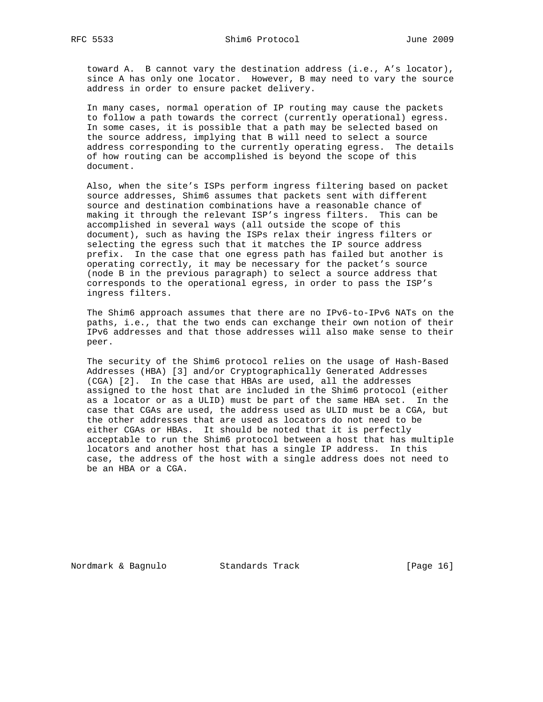toward A. B cannot vary the destination address (i.e., A's locator), since A has only one locator. However, B may need to vary the source address in order to ensure packet delivery.

 In many cases, normal operation of IP routing may cause the packets to follow a path towards the correct (currently operational) egress. In some cases, it is possible that a path may be selected based on the source address, implying that B will need to select a source address corresponding to the currently operating egress. The details of how routing can be accomplished is beyond the scope of this document.

 Also, when the site's ISPs perform ingress filtering based on packet source addresses, Shim6 assumes that packets sent with different source and destination combinations have a reasonable chance of making it through the relevant ISP's ingress filters. This can be accomplished in several ways (all outside the scope of this document), such as having the ISPs relax their ingress filters or selecting the egress such that it matches the IP source address prefix. In the case that one egress path has failed but another is operating correctly, it may be necessary for the packet's source (node B in the previous paragraph) to select a source address that corresponds to the operational egress, in order to pass the ISP's ingress filters.

 The Shim6 approach assumes that there are no IPv6-to-IPv6 NATs on the paths, i.e., that the two ends can exchange their own notion of their IPv6 addresses and that those addresses will also make sense to their peer.

 The security of the Shim6 protocol relies on the usage of Hash-Based Addresses (HBA) [3] and/or Cryptographically Generated Addresses (CGA) [2]. In the case that HBAs are used, all the addresses assigned to the host that are included in the Shim6 protocol (either as a locator or as a ULID) must be part of the same HBA set. In the case that CGAs are used, the address used as ULID must be a CGA, but the other addresses that are used as locators do not need to be either CGAs or HBAs. It should be noted that it is perfectly acceptable to run the Shim6 protocol between a host that has multiple locators and another host that has a single IP address. In this case, the address of the host with a single address does not need to be an HBA or a CGA.

Nordmark & Bagnulo Standards Track [Page 16]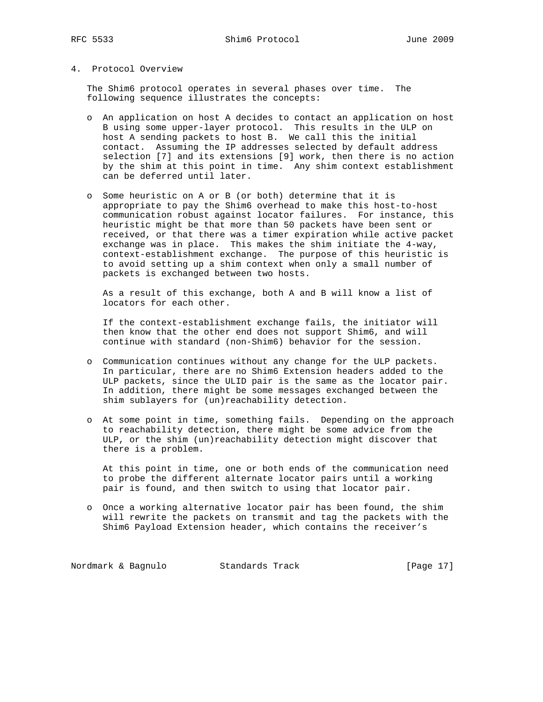# 4. Protocol Overview

 The Shim6 protocol operates in several phases over time. The following sequence illustrates the concepts:

- o An application on host A decides to contact an application on host B using some upper-layer protocol. This results in the ULP on host A sending packets to host B. We call this the initial contact. Assuming the IP addresses selected by default address selection [7] and its extensions [9] work, then there is no action by the shim at this point in time. Any shim context establishment can be deferred until later.
- o Some heuristic on A or B (or both) determine that it is appropriate to pay the Shim6 overhead to make this host-to-host communication robust against locator failures. For instance, this heuristic might be that more than 50 packets have been sent or received, or that there was a timer expiration while active packet exchange was in place. This makes the shim initiate the 4-way, context-establishment exchange. The purpose of this heuristic is to avoid setting up a shim context when only a small number of packets is exchanged between two hosts.

 As a result of this exchange, both A and B will know a list of locators for each other.

 If the context-establishment exchange fails, the initiator will then know that the other end does not support Shim6, and will continue with standard (non-Shim6) behavior for the session.

- o Communication continues without any change for the ULP packets. In particular, there are no Shim6 Extension headers added to the ULP packets, since the ULID pair is the same as the locator pair. In addition, there might be some messages exchanged between the shim sublayers for (un)reachability detection.
- o At some point in time, something fails. Depending on the approach to reachability detection, there might be some advice from the ULP, or the shim (un)reachability detection might discover that there is a problem.

 At this point in time, one or both ends of the communication need to probe the different alternate locator pairs until a working pair is found, and then switch to using that locator pair.

 o Once a working alternative locator pair has been found, the shim will rewrite the packets on transmit and tag the packets with the Shim6 Payload Extension header, which contains the receiver's

Nordmark & Bagnulo Standards Track [Page 17]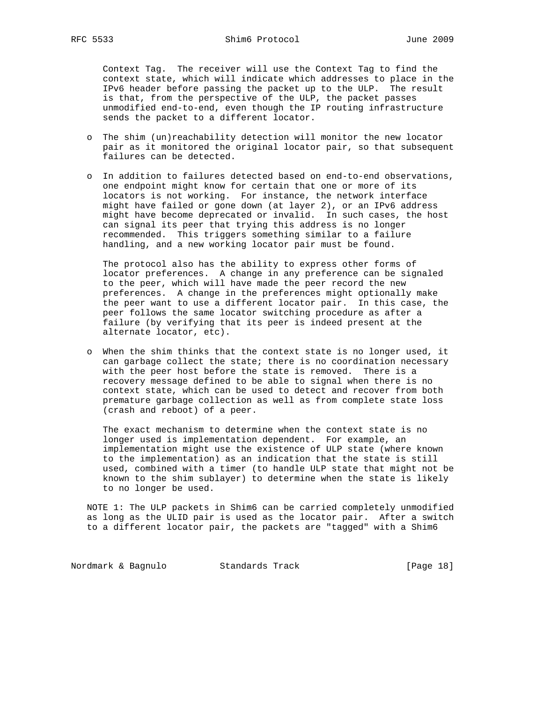Context Tag. The receiver will use the Context Tag to find the context state, which will indicate which addresses to place in the IPv6 header before passing the packet up to the ULP. The result is that, from the perspective of the ULP, the packet passes unmodified end-to-end, even though the IP routing infrastructure sends the packet to a different locator.

- o The shim (un)reachability detection will monitor the new locator pair as it monitored the original locator pair, so that subsequent failures can be detected.
- o In addition to failures detected based on end-to-end observations, one endpoint might know for certain that one or more of its locators is not working. For instance, the network interface might have failed or gone down (at layer 2), or an IPv6 address might have become deprecated or invalid. In such cases, the host can signal its peer that trying this address is no longer recommended. This triggers something similar to a failure handling, and a new working locator pair must be found.

 The protocol also has the ability to express other forms of locator preferences. A change in any preference can be signaled to the peer, which will have made the peer record the new preferences. A change in the preferences might optionally make the peer want to use a different locator pair. In this case, the peer follows the same locator switching procedure as after a failure (by verifying that its peer is indeed present at the alternate locator, etc).

 o When the shim thinks that the context state is no longer used, it can garbage collect the state; there is no coordination necessary with the peer host before the state is removed. There is a recovery message defined to be able to signal when there is no context state, which can be used to detect and recover from both premature garbage collection as well as from complete state loss (crash and reboot) of a peer.

 The exact mechanism to determine when the context state is no longer used is implementation dependent. For example, an implementation might use the existence of ULP state (where known to the implementation) as an indication that the state is still used, combined with a timer (to handle ULP state that might not be known to the shim sublayer) to determine when the state is likely to no longer be used.

 NOTE 1: The ULP packets in Shim6 can be carried completely unmodified as long as the ULID pair is used as the locator pair. After a switch to a different locator pair, the packets are "tagged" with a Shim6

Nordmark & Bagnulo Standards Track [Page 18]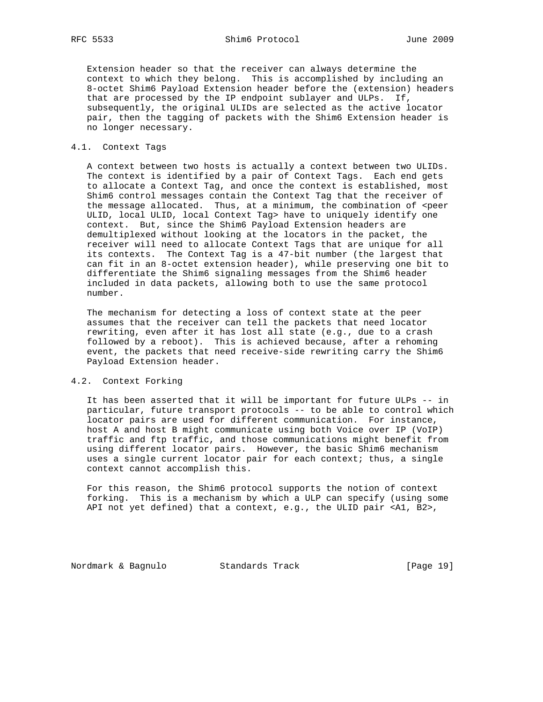RFC 5533 Shim6 Protocol June 2009

 Extension header so that the receiver can always determine the context to which they belong. This is accomplished by including an 8-octet Shim6 Payload Extension header before the (extension) headers that are processed by the IP endpoint sublayer and ULPs. If, subsequently, the original ULIDs are selected as the active locator pair, then the tagging of packets with the Shim6 Extension header is no longer necessary.

## 4.1. Context Tags

 A context between two hosts is actually a context between two ULIDs. The context is identified by a pair of Context Tags. Each end gets to allocate a Context Tag, and once the context is established, most Shim6 control messages contain the Context Tag that the receiver of the message allocated. Thus, at a minimum, the combination of <peer ULID, local ULID, local Context Tag> have to uniquely identify one context. But, since the Shim6 Payload Extension headers are demultiplexed without looking at the locators in the packet, the receiver will need to allocate Context Tags that are unique for all its contexts. The Context Tag is a 47-bit number (the largest that can fit in an 8-octet extension header), while preserving one bit to differentiate the Shim6 signaling messages from the Shim6 header included in data packets, allowing both to use the same protocol number.

 The mechanism for detecting a loss of context state at the peer assumes that the receiver can tell the packets that need locator rewriting, even after it has lost all state (e.g., due to a crash followed by a reboot). This is achieved because, after a rehoming event, the packets that need receive-side rewriting carry the Shim6 Payload Extension header.

## 4.2. Context Forking

 It has been asserted that it will be important for future ULPs -- in particular, future transport protocols -- to be able to control which locator pairs are used for different communication. For instance, host A and host B might communicate using both Voice over IP (VoIP) traffic and ftp traffic, and those communications might benefit from using different locator pairs. However, the basic Shim6 mechanism uses a single current locator pair for each context; thus, a single context cannot accomplish this.

 For this reason, the Shim6 protocol supports the notion of context forking. This is a mechanism by which a ULP can specify (using some API not yet defined) that a context, e.g., the ULID pair <A1, B2>,

Nordmark & Bagnulo Standards Track [Page 19]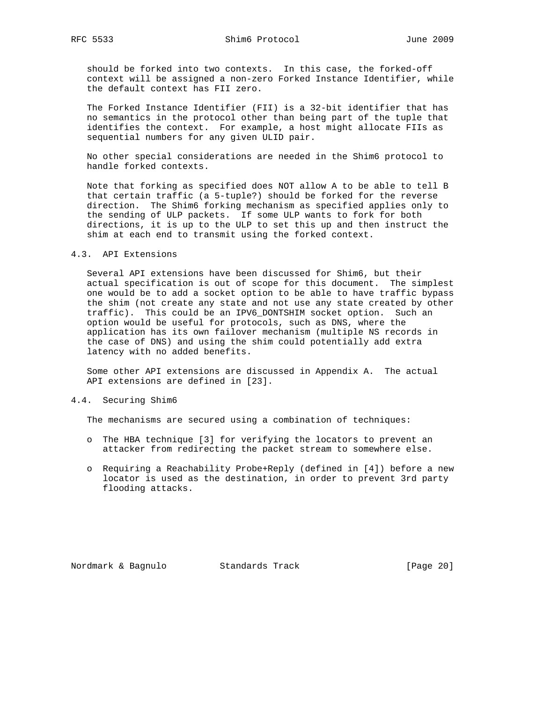should be forked into two contexts. In this case, the forked-off context will be assigned a non-zero Forked Instance Identifier, while the default context has FII zero.

 The Forked Instance Identifier (FII) is a 32-bit identifier that has no semantics in the protocol other than being part of the tuple that identifies the context. For example, a host might allocate FIIs as sequential numbers for any given ULID pair.

 No other special considerations are needed in the Shim6 protocol to handle forked contexts.

 Note that forking as specified does NOT allow A to be able to tell B that certain traffic (a 5-tuple?) should be forked for the reverse direction. The Shim6 forking mechanism as specified applies only to the sending of ULP packets. If some ULP wants to fork for both directions, it is up to the ULP to set this up and then instruct the shim at each end to transmit using the forked context.

### 4.3. API Extensions

 Several API extensions have been discussed for Shim6, but their actual specification is out of scope for this document. The simplest one would be to add a socket option to be able to have traffic bypass the shim (not create any state and not use any state created by other traffic). This could be an IPV6\_DONTSHIM socket option. Such an option would be useful for protocols, such as DNS, where the application has its own failover mechanism (multiple NS records in the case of DNS) and using the shim could potentially add extra latency with no added benefits.

 Some other API extensions are discussed in Appendix A. The actual API extensions are defined in [23].

## 4.4. Securing Shim6

The mechanisms are secured using a combination of techniques:

- o The HBA technique [3] for verifying the locators to prevent an attacker from redirecting the packet stream to somewhere else.
- o Requiring a Reachability Probe+Reply (defined in [4]) before a new locator is used as the destination, in order to prevent 3rd party flooding attacks.

Nordmark & Bagnulo Standards Track [Page 20]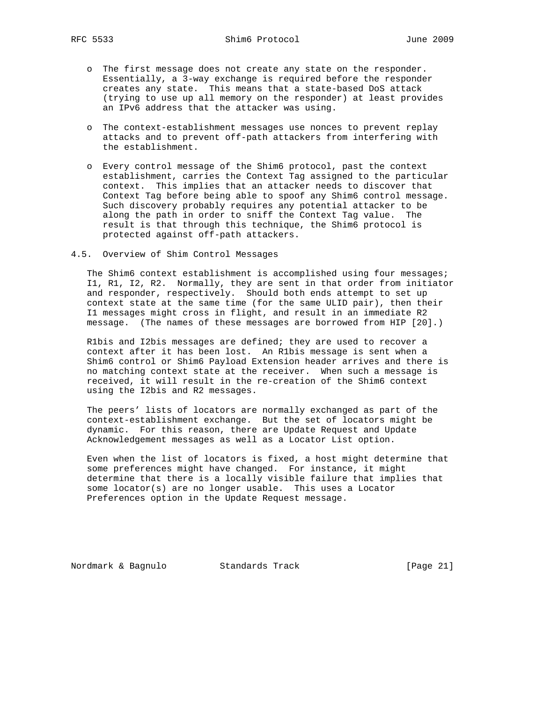- o The first message does not create any state on the responder. Essentially, a 3-way exchange is required before the responder creates any state. This means that a state-based DoS attack (trying to use up all memory on the responder) at least provides an IPv6 address that the attacker was using.
- o The context-establishment messages use nonces to prevent replay attacks and to prevent off-path attackers from interfering with the establishment.
- o Every control message of the Shim6 protocol, past the context establishment, carries the Context Tag assigned to the particular context. This implies that an attacker needs to discover that Context Tag before being able to spoof any Shim6 control message. Such discovery probably requires any potential attacker to be along the path in order to sniff the Context Tag value. The result is that through this technique, the Shim6 protocol is protected against off-path attackers.
- 4.5. Overview of Shim Control Messages

 The Shim6 context establishment is accomplished using four messages; I1, R1, I2, R2. Normally, they are sent in that order from initiator and responder, respectively. Should both ends attempt to set up context state at the same time (for the same ULID pair), then their I1 messages might cross in flight, and result in an immediate R2 message. (The names of these messages are borrowed from HIP [20].)

 R1bis and I2bis messages are defined; they are used to recover a context after it has been lost. An R1bis message is sent when a Shim6 control or Shim6 Payload Extension header arrives and there is no matching context state at the receiver. When such a message is received, it will result in the re-creation of the Shim6 context using the I2bis and R2 messages.

 The peers' lists of locators are normally exchanged as part of the context-establishment exchange. But the set of locators might be dynamic. For this reason, there are Update Request and Update Acknowledgement messages as well as a Locator List option.

 Even when the list of locators is fixed, a host might determine that some preferences might have changed. For instance, it might determine that there is a locally visible failure that implies that some locator(s) are no longer usable. This uses a Locator Preferences option in the Update Request message.

Nordmark & Bagnulo Standards Track [Page 21]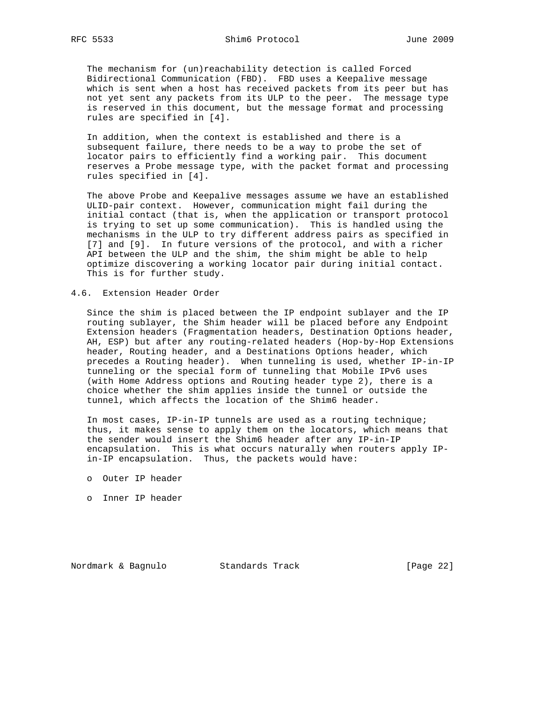The mechanism for (un)reachability detection is called Forced Bidirectional Communication (FBD). FBD uses a Keepalive message which is sent when a host has received packets from its peer but has not yet sent any packets from its ULP to the peer. The message type is reserved in this document, but the message format and processing rules are specified in [4].

 In addition, when the context is established and there is a subsequent failure, there needs to be a way to probe the set of locator pairs to efficiently find a working pair. This document reserves a Probe message type, with the packet format and processing rules specified in [4].

 The above Probe and Keepalive messages assume we have an established ULID-pair context. However, communication might fail during the initial contact (that is, when the application or transport protocol is trying to set up some communication). This is handled using the mechanisms in the ULP to try different address pairs as specified in [7] and [9]. In future versions of the protocol, and with a richer API between the ULP and the shim, the shim might be able to help optimize discovering a working locator pair during initial contact. This is for further study.

4.6. Extension Header Order

 Since the shim is placed between the IP endpoint sublayer and the IP routing sublayer, the Shim header will be placed before any Endpoint Extension headers (Fragmentation headers, Destination Options header, AH, ESP) but after any routing-related headers (Hop-by-Hop Extensions header, Routing header, and a Destinations Options header, which precedes a Routing header). When tunneling is used, whether IP-in-IP tunneling or the special form of tunneling that Mobile IPv6 uses (with Home Address options and Routing header type 2), there is a choice whether the shim applies inside the tunnel or outside the tunnel, which affects the location of the Shim6 header.

 In most cases, IP-in-IP tunnels are used as a routing technique; thus, it makes sense to apply them on the locators, which means that the sender would insert the Shim6 header after any IP-in-IP encapsulation. This is what occurs naturally when routers apply IP in-IP encapsulation. Thus, the packets would have:

- o Outer IP header
- o Inner IP header

Nordmark & Bagnulo Standards Track [Page 22]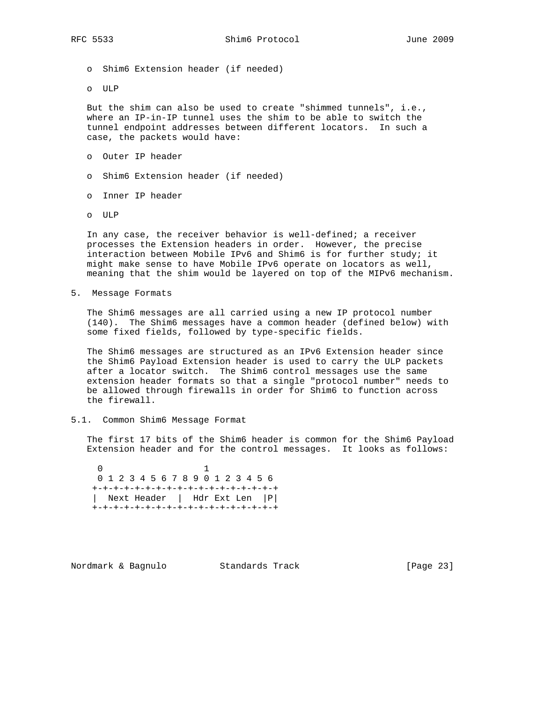- o Shim6 Extension header (if needed)
- o ULP

 But the shim can also be used to create "shimmed tunnels", i.e., where an IP-in-IP tunnel uses the shim to be able to switch the tunnel endpoint addresses between different locators. In such a case, the packets would have:

- o Outer IP header
- o Shim6 Extension header (if needed)
- o Inner IP header
- o ULP

 In any case, the receiver behavior is well-defined; a receiver processes the Extension headers in order. However, the precise interaction between Mobile IPv6 and Shim6 is for further study; it might make sense to have Mobile IPv6 operate on locators as well, meaning that the shim would be layered on top of the MIPv6 mechanism.

5. Message Formats

 The Shim6 messages are all carried using a new IP protocol number (140). The Shim6 messages have a common header (defined below) with some fixed fields, followed by type-specific fields.

 The Shim6 messages are structured as an IPv6 Extension header since the Shim6 Payload Extension header is used to carry the ULP packets after a locator switch. The Shim6 control messages use the same extension header formats so that a single "protocol number" needs to be allowed through firewalls in order for Shim6 to function across the firewall.

5.1. Common Shim6 Message Format

 The first 17 bits of the Shim6 header is common for the Shim6 Payload Extension header and for the control messages. It looks as follows:

 $\sim$  1 0 1 2 3 4 5 6 7 8 9 0 1 2 3 4 5 6 +-+-+-+-+-+-+-+-+-+-+-+-+-+-+-+-+-+ | Next Header | Hdr Ext Len |P| +-+-+-+-+-+-+-+-+-+-+-+-+-+-+-+-+-+

Nordmark & Bagnulo Standards Track [Page 23]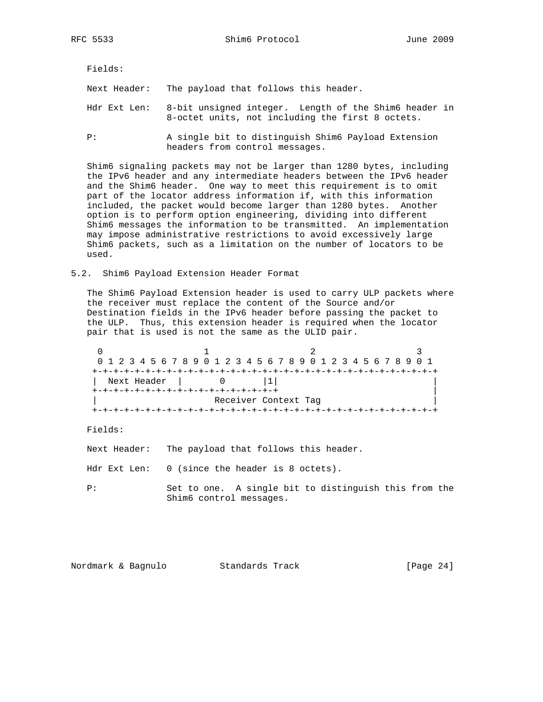Fields:

Next Header: The payload that follows this header.

- Hdr Ext Len: 8-bit unsigned integer. Length of the Shim6 header in 8-octet units, not including the first 8 octets.
- P: A single bit to distinguish Shim6 Payload Extension headers from control messages.

 Shim6 signaling packets may not be larger than 1280 bytes, including the IPv6 header and any intermediate headers between the IPv6 header and the Shim6 header. One way to meet this requirement is to omit part of the locator address information if, with this information included, the packet would become larger than 1280 bytes. Another option is to perform option engineering, dividing into different Shim6 messages the information to be transmitted. An implementation may impose administrative restrictions to avoid excessively large Shim6 packets, such as a limitation on the number of locators to be used.

5.2. Shim6 Payload Extension Header Format

 The Shim6 Payload Extension header is used to carry ULP packets where the receiver must replace the content of the Source and/or Destination fields in the IPv6 header before passing the packet to the ULP. Thus, this extension header is required when the locator pair that is used is not the same as the ULID pair.

|                                    | 0 1 2 3 4 5 6 7 8 9 0 1 2 3 4 5 6 7 8 9 0 1 2 3 4 5 6 7 8 9 0 1 |  |  |  |  |  |  |  |  |                      |  |  |  |  |  |  |
|------------------------------------|-----------------------------------------------------------------|--|--|--|--|--|--|--|--|----------------------|--|--|--|--|--|--|
|                                    |                                                                 |  |  |  |  |  |  |  |  |                      |  |  |  |  |  |  |
|                                    | Next Header                                                     |  |  |  |  |  |  |  |  |                      |  |  |  |  |  |  |
| +-+-+-+-+-+-+-+-+-+-+-+-+-+-+-+-+- |                                                                 |  |  |  |  |  |  |  |  |                      |  |  |  |  |  |  |
|                                    |                                                                 |  |  |  |  |  |  |  |  | Receiver Context Tag |  |  |  |  |  |  |
|                                    |                                                                 |  |  |  |  |  |  |  |  |                      |  |  |  |  |  |  |

Fields:

Next Header: The payload that follows this header.

Hdr Ext Len: 0 (since the header is 8 octets).

 P: Set to one. A single bit to distinguish this from the Shim6 control messages.

Nordmark & Bagnulo Standards Track [Page 24]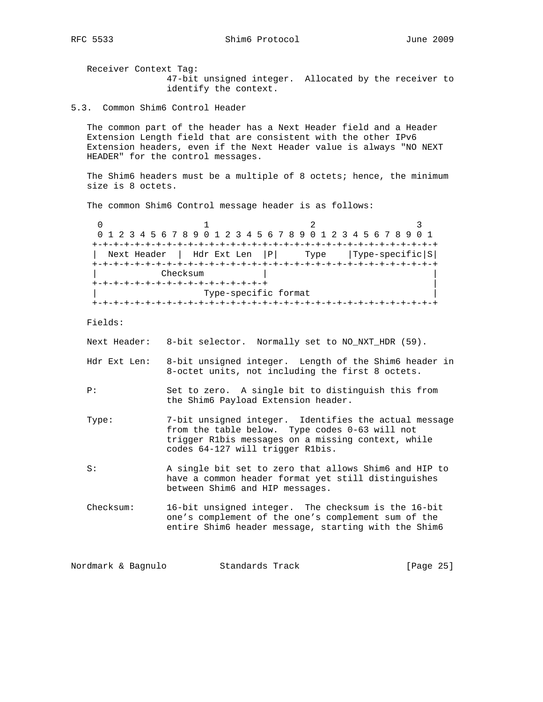Receiver Context Tag: 47-bit unsigned integer. Allocated by the receiver to identify the context.

5.3. Common Shim6 Control Header

 The common part of the header has a Next Header field and a Header Extension Length field that are consistent with the other IPv6 Extension headers, even if the Next Header value is always "NO NEXT HEADER" for the control messages.

The Shim6 headers must be a multiple of 8 octets; hence, the minimum size is 8 octets.

The common Shim6 Control message header is as follows:

 $0$  1 2 3 0 1 2 3 4 5 6 7 8 9 0 1 2 3 4 5 6 7 8 9 0 1 2 3 4 5 6 7 8 9 0 1 +-+-+-+-+-+-+-+-+-+-+-+-+-+-+-+-+-+-+-+-+-+-+-+-+-+-+-+-+-+-+-+-+ | Next Header | Hdr Ext Len |P| Type |Type-specific|S| +-+-+-+-+-+-+-+-+-+-+-+-+-+-+-+-+-+-+-+-+-+-+-+-+-+-+-+-+-+-+-+-+ Checksum +-+-+-+-+-+-+-+-+-+-+-+-+-+-+-+-+ | Type-specific format +-+-+-+-+-+-+-+-+-+-+-+-+-+-+-+-+-+-+-+-+-+-+-+-+-+-+-+-+-+-+-+-+

Fields:

Next Header: 8-bit selector. Normally set to NO\_NXT\_HDR (59).

- Hdr Ext Len: 8-bit unsigned integer. Length of the Shim6 header in 8-octet units, not including the first 8 octets.
- P: Set to zero. A single bit to distinguish this from the Shim6 Payload Extension header.
- Type: 7-bit unsigned integer. Identifies the actual message from the table below. Type codes 0-63 will not trigger R1bis messages on a missing context, while codes 64-127 will trigger R1bis.

 S: A single bit set to zero that allows Shim6 and HIP to have a common header format yet still distinguishes between Shim6 and HIP messages.

 Checksum: 16-bit unsigned integer. The checksum is the 16-bit one's complement of the one's complement sum of the entire Shim6 header message, starting with the Shim6

Nordmark & Bagnulo Standards Track [Page 25]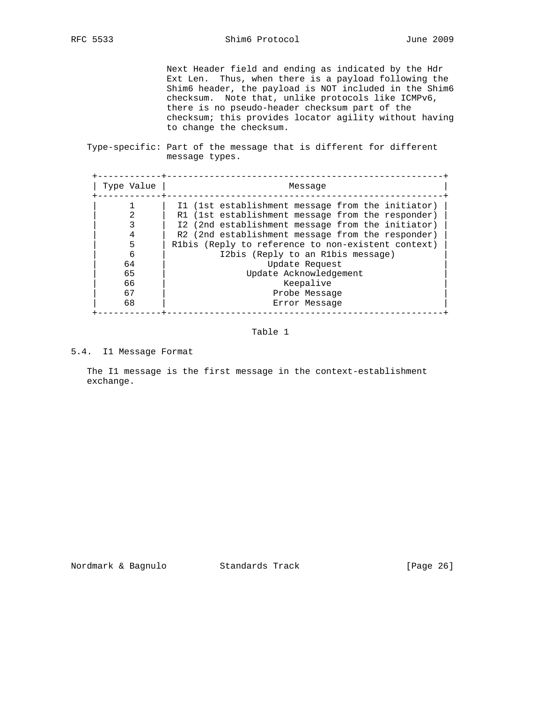Next Header field and ending as indicated by the Hdr Ext Len. Thus, when there is a payload following the Shim6 header, the payload is NOT included in the Shim6 checksum. Note that, unlike protocols like ICMPv6, there is no pseudo-header checksum part of the checksum; this provides locator agility without having to change the checksum.

 Type-specific: Part of the message that is different for different message types.

| Type Value | Message                                            |
|------------|----------------------------------------------------|
|            | I1 (1st establishment message from the initiator)  |
|            | R1 (1st establishment message from the responder)  |
|            | I2 (2nd establishment message from the initiator)  |
|            | R2 (2nd establishment message from the responder)  |
|            | R1bis (Reply to reference to non-existent context) |
| 6          | I2bis (Reply to an R1bis message)                  |
| 64         | Update Request                                     |
| 65         | Update Acknowledgement                             |
| 66         | Keepalive                                          |
| 67         | Probe Message                                      |
| 68         | Error Message                                      |

# Table 1

5.4. I1 Message Format

 The I1 message is the first message in the context-establishment exchange.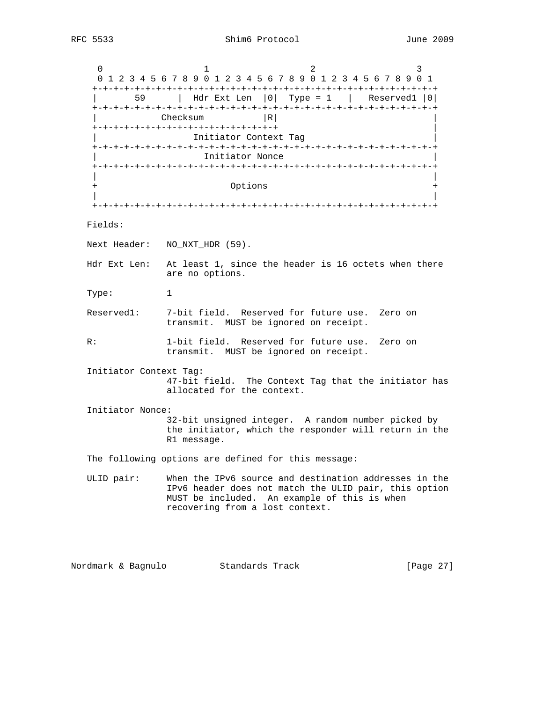$0$  1 2 3 0 1 2 3 4 5 6 7 8 9 0 1 2 3 4 5 6 7 8 9 0 1 2 3 4 5 6 7 8 9 0 1 +-+-+-+-+-+-+-+-+-+-+-+-+-+-+-+-+-+-+-+-+-+-+-+-+-+-+-+-+-+-+-+-+ | 59 | Hdr Ext Len |0| Type = 1 | Reserved1 |0| +-+-+-+-+-+-+-+-+-+-+-+-+-+-+-+-+-+-+-+-+-+-+-+-+-+-+-+-+-+-+-+-+ Checksum |R| +-+-+-+-+-+-+-+-+-+-+-+-+-+-+-+-+-+ | Initiator Context Tag +-+-+-+-+-+-+-+-+-+-+-+-+-+-+-+-+-+-+-+-+-+-+-+-+-+-+-+-+-+-+-+-+ Initiator Nonce +-+-+-+-+-+-+-+-+-+-+-+-+-+-+-+-+-+-+-+-+-+-+-+-+-+-+-+-+-+-+-+-+ | | Options | | +-+-+-+-+-+-+-+-+-+-+-+-+-+-+-+-+-+-+-+-+-+-+-+-+-+-+-+-+-+-+-+-+ Fields: Next Header: NO\_NXT\_HDR (59). Hdr Ext Len: At least 1, since the header is 16 octets when there are no options. Type: 1 Reserved1: 7-bit field. Reserved for future use. Zero on transmit. MUST be ignored on receipt. R: 1-bit field. Reserved for future use. Zero on transmit. MUST be ignored on receipt. Initiator Context Tag: 47-bit field. The Context Tag that the initiator has allocated for the context. Initiator Nonce: 32-bit unsigned integer. A random number picked by the initiator, which the responder will return in the R1 message. The following options are defined for this message: ULID pair: When the IPv6 source and destination addresses in the IPv6 header does not match the ULID pair, this option MUST be included. An example of this is when recovering from a lost context.

Nordmark & Bagnulo Standards Track [Page 27]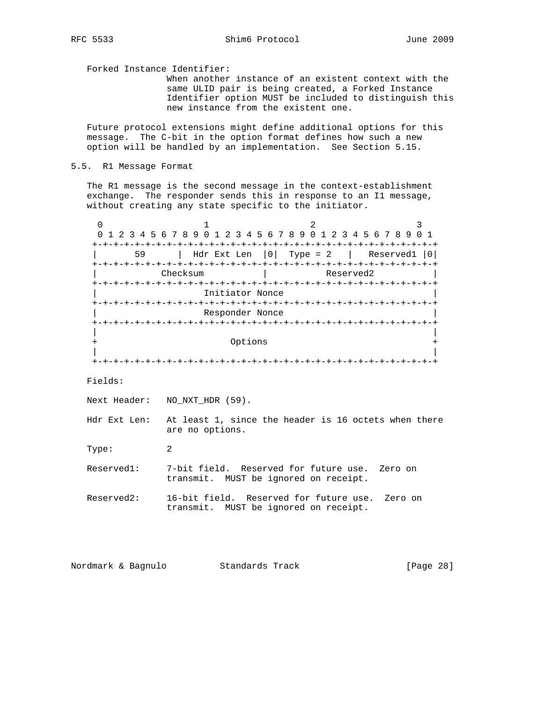Forked Instance Identifier:

 When another instance of an existent context with the same ULID pair is being created, a Forked Instance Identifier option MUST be included to distinguish this new instance from the existent one.

 Future protocol extensions might define additional options for this message. The C-bit in the option format defines how such a new option will be handled by an implementation. See Section 5.15.

5.5. R1 Message Format

 The R1 message is the second message in the context-establishment exchange. The responder sends this in response to an I1 message, without creating any state specific to the initiator.

 $0$  1 2 3 0 1 2 3 4 5 6 7 8 9 0 1 2 3 4 5 6 7 8 9 0 1 2 3 4 5 6 7 8 9 0 1 +-+-+-+-+-+-+-+-+-+-+-+-+-+-+-+-+-+-+-+-+-+-+-+-+-+-+-+-+-+-+-+-+ | 59 | Hdr Ext Len |0| Type = 2 | Reserved1 |0| +-+-+-+-+-+-+-+-+-+-+-+-+-+-+-+-+-+-+-+-+-+-+-+-+-+-+-+-+-+-+-+-+ | Checksum | Reserved2 | +-+-+-+-+-+-+-+-+-+-+-+-+-+-+-+-+-+-+-+-+-+-+-+-+-+-+-+-+-+-+-+-+ Initiator Nonce +-+-+-+-+-+-+-+-+-+-+-+-+-+-+-+-+-+-+-+-+-+-+-+-+-+-+-+-+-+-+-+-+ Responder Nonce +-+-+-+-+-+-+-+-+-+-+-+-+-+-+-+-+-+-+-+-+-+-+-+-+-+-+-+-+-+-+-+-+ | | + Options + | | +-+-+-+-+-+-+-+-+-+-+-+-+-+-+-+-+-+-+-+-+-+-+-+-+-+-+-+-+-+-+-+-+ Fields: Next Header: NO\_NXT\_HDR (59). Hdr Ext Len: At least 1, since the header is 16 octets when there are no options. Type: 2 Reserved1: 7-bit field. Reserved for future use. Zero on transmit. MUST be ignored on receipt. Reserved2: 16-bit field. Reserved for future use. Zero on transmit. MUST be ignored on receipt.

Nordmark & Bagnulo Standards Track [Page 28]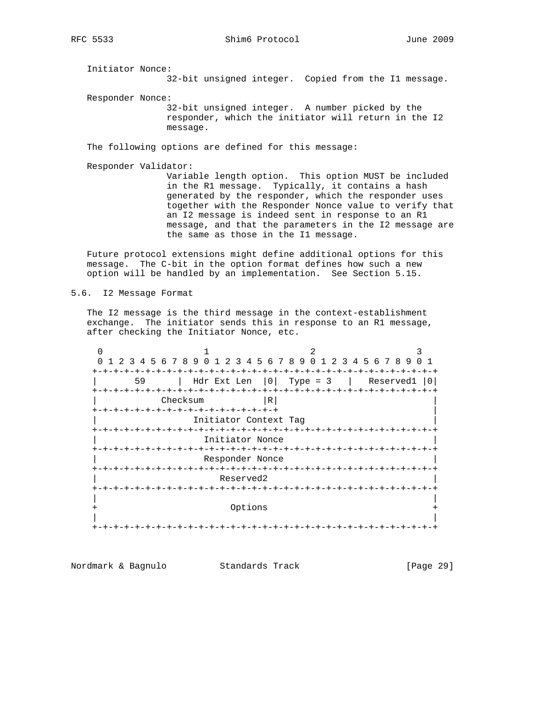Initiator Nonce:

32-bit unsigned integer. Copied from the I1 message.

Responder Nonce:

 32-bit unsigned integer. A number picked by the responder, which the initiator will return in the I2 message.

The following options are defined for this message:

Responder Validator:

 Variable length option. This option MUST be included in the R1 message. Typically, it contains a hash generated by the responder, which the responder uses together with the Responder Nonce value to verify that an I2 message is indeed sent in response to an R1 message, and that the parameters in the I2 message are the same as those in the I1 message.

 Future protocol extensions might define additional options for this message. The C-bit in the option format defines how such a new option will be handled by an implementation. See Section 5.15.

5.6. I2 Message Format

 The I2 message is the third message in the context-establishment exchange. The initiator sends this in response to an R1 message, after checking the Initiator Nonce, etc.

0  $1$  2 3 0 1 2 3 4 5 6 7 8 9 0 1 2 3 4 5 6 7 8 9 0 1 2 3 4 5 6 7 8 9 0 1 +-+-+-+-+-+-+-+-+-+-+-+-+-+-+-+-+-+-+-+-+-+-+-+-+-+-+-+-+-+-+-+-+ | 59 | Hdr Ext Len |0| Type = 3 | Reserved1 |0| +-+-+-+-+-+-+-+-+-+-+-+-+-+-+-+-+-+-+-+-+-+-+-+-+-+-+-+-+-+-+-+-+ | Checksum |R| | +-+-+-+-+-+-+-+-+-+-+-+-+-+-+-+-+-+ | Initiator Context Tag +-+-+-+-+-+-+-+-+-+-+-+-+-+-+-+-+-+-+-+-+-+-+-+-+-+-+-+-+-+-+-+-+ Initiator Nonce +-+-+-+-+-+-+-+-+-+-+-+-+-+-+-+-+-+-+-+-+-+-+-+-+-+-+-+-+-+-+-+-+ Responder Nonce +-+-+-+-+-+-+-+-+-+-+-+-+-+-+-+-+-+-+-+-+-+-+-+-+-+-+-+-+-+-+-+-+ Reserved2 +-+-+-+-+-+-+-+-+-+-+-+-+-+-+-+-+-+-+-+-+-+-+-+-+-+-+-+-+-+-+-+-+ | | + Options + | | +-+-+-+-+-+-+-+-+-+-+-+-+-+-+-+-+-+-+-+-+-+-+-+-+-+-+-+-+-+-+-+-+

Nordmark & Bagnulo Standards Track [Page 29]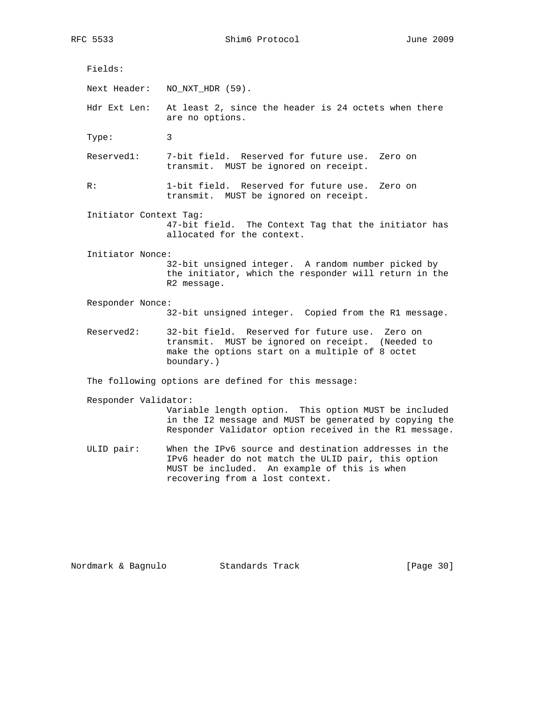RFC 5533 Shim6 Protocol June 2009

 Fields: Next Header: NO\_NXT\_HDR (59). Hdr Ext Len: At least 2, since the header is 24 octets when there are no options. Type: 3 Reserved1: 7-bit field. Reserved for future use. Zero on transmit. MUST be ignored on receipt. R: 1-bit field. Reserved for future use. Zero on transmit. MUST be ignored on receipt. Initiator Context Tag: 47-bit field. The Context Tag that the initiator has allocated for the context. Initiator Nonce: 32-bit unsigned integer. A random number picked by the initiator, which the responder will return in the R2 message. Responder Nonce: 32-bit unsigned integer. Copied from the R1 message. Reserved2: 32-bit field. Reserved for future use. Zero on transmit. MUST be ignored on receipt. (Needed to make the options start on a multiple of 8 octet boundary.)

The following options are defined for this message:

Responder Validator:

 Variable length option. This option MUST be included in the I2 message and MUST be generated by copying the Responder Validator option received in the R1 message.

 ULID pair: When the IPv6 source and destination addresses in the IPv6 header do not match the ULID pair, this option MUST be included. An example of this is when recovering from a lost context.

Nordmark & Bagnulo Standards Track [Page 30]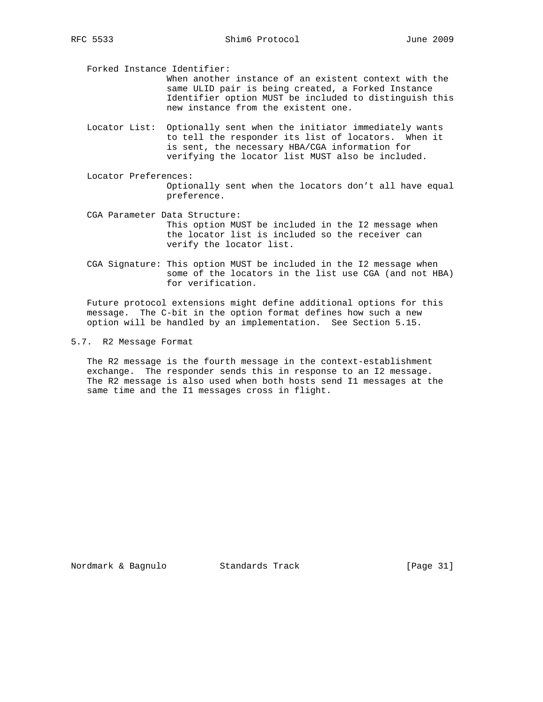Forked Instance Identifier:

 When another instance of an existent context with the same ULID pair is being created, a Forked Instance Identifier option MUST be included to distinguish this new instance from the existent one.

- Locator List: Optionally sent when the initiator immediately wants to tell the responder its list of locators. When it is sent, the necessary HBA/CGA information for verifying the locator list MUST also be included.
- Locator Preferences: Optionally sent when the locators don't all have equal preference.
- CGA Parameter Data Structure: This option MUST be included in the I2 message when the locator list is included so the receiver can verify the locator list.
- CGA Signature: This option MUST be included in the I2 message when some of the locators in the list use CGA (and not HBA) for verification.

 Future protocol extensions might define additional options for this message. The C-bit in the option format defines how such a new option will be handled by an implementation. See Section 5.15.

5.7. R2 Message Format

 The R2 message is the fourth message in the context-establishment exchange. The responder sends this in response to an I2 message. The R2 message is also used when both hosts send I1 messages at the same time and the I1 messages cross in flight.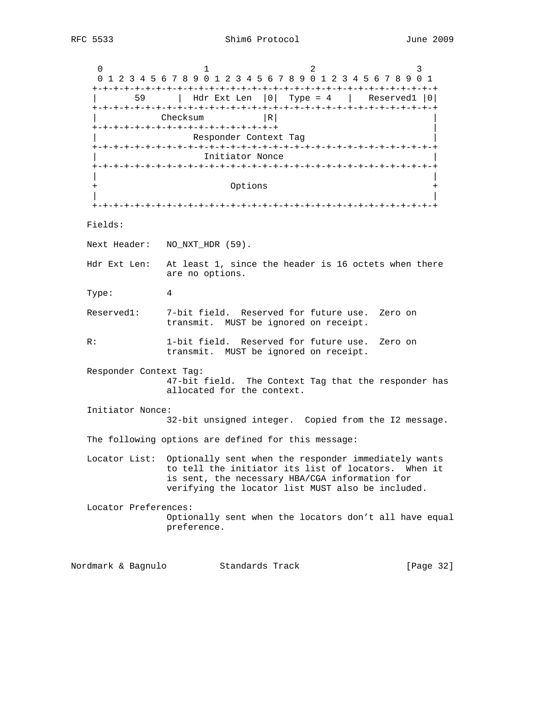$0$  1 2 3 0 1 2 3 4 5 6 7 8 9 0 1 2 3 4 5 6 7 8 9 0 1 2 3 4 5 6 7 8 9 0 1 +-+-+-+-+-+-+-+-+-+-+-+-+-+-+-+-+-+-+-+-+-+-+-+-+-+-+-+-+-+-+-+-+ | 59 | Hdr Ext Len |0| Type = 4 | Reserved1 |0| +-+-+-+-+-+-+-+-+-+-+-+-+-+-+-+-+-+-+-+-+-+-+-+-+-+-+-+-+-+-+-+-+  $Checksum$  |R| +-+-+-+-+-+-+-+-+-+-+-+-+-+-+-+-+-+ | Responder Context Tag +-+-+-+-+-+-+-+-+-+-+-+-+-+-+-+-+-+-+-+-+-+-+-+-+-+-+-+-+-+-+-+-+ Initiator Nonce +-+-+-+-+-+-+-+-+-+-+-+-+-+-+-+-+-+-+-+-+-+-+-+-+-+-+-+-+-+-+-+-+ | | Options | | +-+-+-+-+-+-+-+-+-+-+-+-+-+-+-+-+-+-+-+-+-+-+-+-+-+-+-+-+-+-+-+-+ Fields: Next Header: NO\_NXT\_HDR (59). Hdr Ext Len: At least 1, since the header is 16 octets when there are no options. Type: 4 Reserved1: 7-bit field. Reserved for future use. Zero on transmit. MUST be ignored on receipt. R: 1-bit field. Reserved for future use. Zero on transmit. MUST be ignored on receipt. Responder Context Tag: 47-bit field. The Context Tag that the responder has allocated for the context. Initiator Nonce: 32-bit unsigned integer. Copied from the I2 message. The following options are defined for this message: Locator List: Optionally sent when the responder immediately wants to tell the initiator its list of locators. When it is sent, the necessary HBA/CGA information for verifying the locator list MUST also be included. Locator Preferences: Optionally sent when the locators don't all have equal preference. Nordmark & Bagnulo Standards Track [Page 32]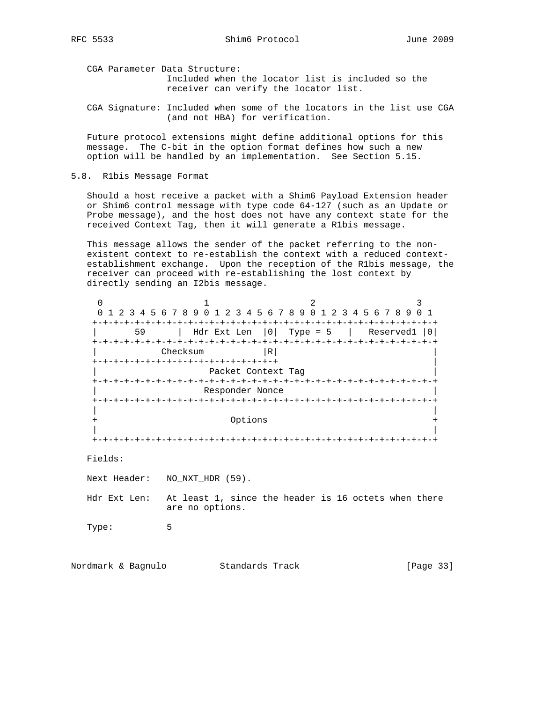CGA Parameter Data Structure: Included when the locator list is included so the receiver can verify the locator list.

 CGA Signature: Included when some of the locators in the list use CGA (and not HBA) for verification.

 Future protocol extensions might define additional options for this message. The C-bit in the option format defines how such a new option will be handled by an implementation. See Section 5.15.

5.8. R1bis Message Format

 Should a host receive a packet with a Shim6 Payload Extension header or Shim6 control message with type code 64-127 (such as an Update or Probe message), and the host does not have any context state for the received Context Tag, then it will generate a R1bis message.

 This message allows the sender of the packet referring to the non existent context to re-establish the context with a reduced context establishment exchange. Upon the reception of the R1bis message, the receiver can proceed with re-establishing the lost context by directly sending an I2bis message.

| 1 2 3 4 | 5 6 7 8 9 0                           |                      | 2 3 4 5 6 7 8 9 0            | 2 3 4 5 6 7 8 9           |
|---------|---------------------------------------|----------------------|------------------------------|---------------------------|
| 59      | Hdr Ext Len $ 0 $ Type = 5            | $-+ - + - + - + - +$ | +-+-+-+-+-+-+-+-+-+-+-+-+-+- | Reserved1 Reserved<br>0 I |
|         | Checksum                              | R                    |                              |                           |
|         | +-+-+-+-+-+-+-+-+-+-+-+-+-+-+-+-+-+-+ |                      |                              |                           |
|         | Packet Context Tag                    |                      |                              |                           |
|         | -+-+-+-+-+-+-+-+-                     |                      | +-+-+-+-+-+-+-+              |                           |
|         | Responder Nonce                       |                      |                              |                           |
|         |                                       |                      |                              |                           |
|         |                                       |                      |                              |                           |
|         |                                       | Options              |                              |                           |
|         |                                       |                      |                              |                           |
|         |                                       |                      |                              |                           |

Fields:

Next Header: NO\_NXT\_HDR (59).

Hdr Ext Len: At least 1, since the header is 16 octets when there are no options.

Type: 5

Nordmark & Bagnulo Standards Track [Page 33]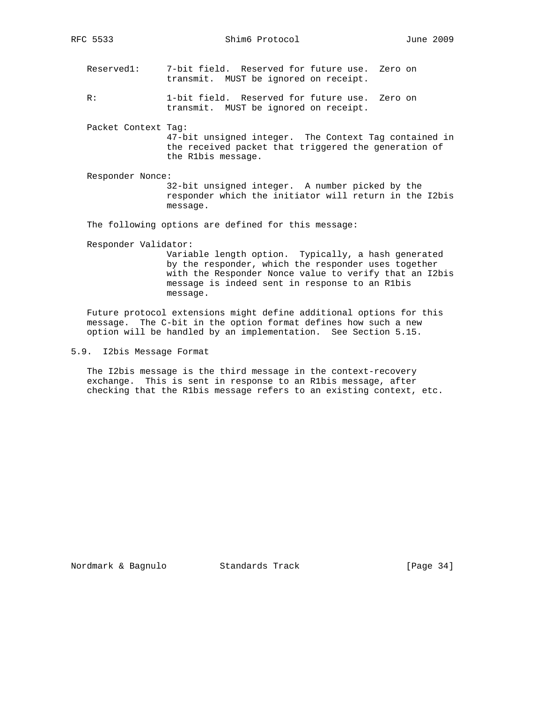RFC 5533 Shim6 Protocol June 2009

- Reserved1: 7-bit field. Reserved for future use. Zero on transmit. MUST be ignored on receipt.
- R: 1-bit field. Reserved for future use. Zero on transmit. MUST be ignored on receipt.
- Packet Context Tag: 47-bit unsigned integer. The Context Tag contained in the received packet that triggered the generation of the R1bis message.
- Responder Nonce: 32-bit unsigned integer. A number picked by the responder which the initiator will return in the I2bis message.

The following options are defined for this message:

Responder Validator:

 Variable length option. Typically, a hash generated by the responder, which the responder uses together with the Responder Nonce value to verify that an I2bis message is indeed sent in response to an R1bis message.

 Future protocol extensions might define additional options for this message. The C-bit in the option format defines how such a new option will be handled by an implementation. See Section 5.15.

5.9. I2bis Message Format

 The I2bis message is the third message in the context-recovery exchange. This is sent in response to an R1bis message, after checking that the R1bis message refers to an existing context, etc.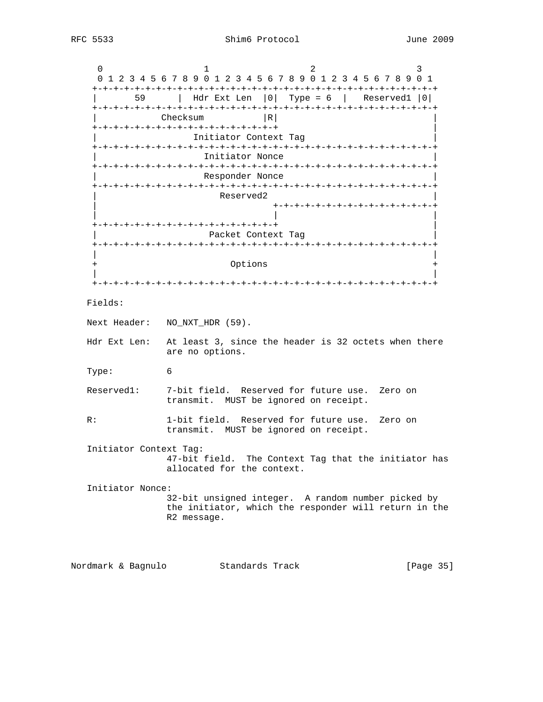$0$  1 2 3 0 1 2 3 4 5 6 7 8 9 0 1 2 3 4 5 6 7 8 9 0 1 2 3 4 5 6 7 8 9 0 1 +-+-+-+-+-+-+-+-+-+-+-+-+-+-+-+-+-+-+-+-+-+-+-+-+-+-+-+-+-+-+-+-+ | 59 | Hdr Ext Len |0| Type = 6 | Reserved1 |0| +-+-+-+-+-+-+-+-+-+-+-+-+-+-+-+-+-+-+-+-+-+-+-+-+-+-+-+-+-+-+-+-+ Checksum |R| +-+-+-+-+-+-+-+-+-+-+-+-+-+-+-+-+-+ | Initiator Context Tag +-+-+-+-+-+-+-+-+-+-+-+-+-+-+-+-+-+-+-+-+-+-+-+-+-+-+-+-+-+-+-+-+ Initiator Nonce +-+-+-+-+-+-+-+-+-+-+-+-+-+-+-+-+-+-+-+-+-+-+-+-+-+-+-+-+-+-+-+-+ Responder Nonce +-+-+-+-+-+-+-+-+-+-+-+-+-+-+-+-+-+-+-+-+-+-+-+-+-+-+-+-+-+-+-+-+ Reserved2 | +-+-+-+-+-+-+-+-+-+-+-+-+-+-+-+ | | | +-+-+-+-+-+-+-+-+-+-+-+-+-+-+-+-+-+ | Packet Context Tag +-+-+-+-+-+-+-+-+-+-+-+-+-+-+-+-+-+-+-+-+-+-+-+-+-+-+-+-+-+-+-+-+ | | + Options + | | +-+-+-+-+-+-+-+-+-+-+-+-+-+-+-+-+-+-+-+-+-+-+-+-+-+-+-+-+-+-+-+-+ Fields: Next Header: NO\_NXT\_HDR (59). Hdr Ext Len: At least 3, since the header is 32 octets when there are no options. Type: 6 Reserved1: 7-bit field. Reserved for future use. Zero on transmit. MUST be ignored on receipt. R: 1-bit field. Reserved for future use. Zero on transmit. MUST be ignored on receipt. Initiator Context Tag: 47-bit field. The Context Tag that the initiator has allocated for the context. Initiator Nonce: 32-bit unsigned integer. A random number picked by the initiator, which the responder will return in the R2 message.

Nordmark & Bagnulo Standards Track [Page 35]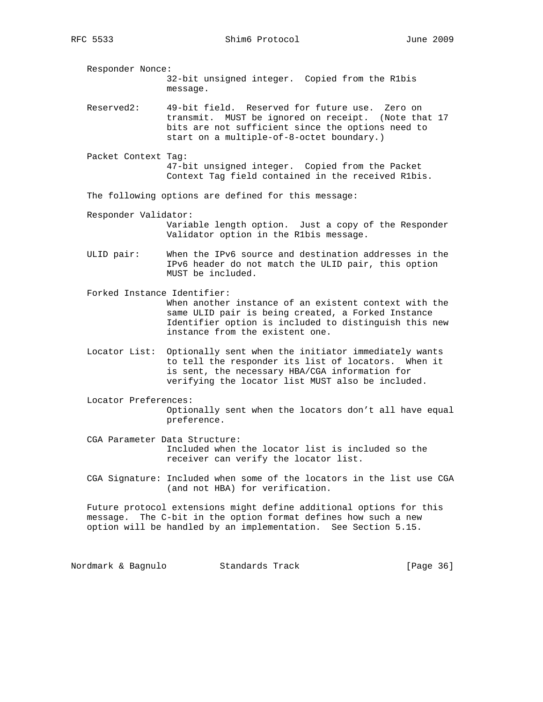RFC 5533 Shim6 Protocol June 2009

 Responder Nonce: 32-bit unsigned integer. Copied from the R1bis message.

 Reserved2: 49-bit field. Reserved for future use. Zero on transmit. MUST be ignored on receipt. (Note that 17 bits are not sufficient since the options need to start on a multiple-of-8-octet boundary.)

 Packet Context Tag: 47-bit unsigned integer. Copied from the Packet Context Tag field contained in the received R1bis.

The following options are defined for this message:

Responder Validator:

 Variable length option. Just a copy of the Responder Validator option in the R1bis message.

 ULID pair: When the IPv6 source and destination addresses in the IPv6 header do not match the ULID pair, this option MUST be included.

 Forked Instance Identifier: When another instance of an existent context with the same ULID pair is being created, a Forked Instance Identifier option is included to distinguish this new instance from the existent one.

- Locator List: Optionally sent when the initiator immediately wants to tell the responder its list of locators. When it is sent, the necessary HBA/CGA information for verifying the locator list MUST also be included.
- Locator Preferences: Optionally sent when the locators don't all have equal preference.
- CGA Parameter Data Structure: Included when the locator list is included so the receiver can verify the locator list.
- CGA Signature: Included when some of the locators in the list use CGA (and not HBA) for verification.

 Future protocol extensions might define additional options for this message. The C-bit in the option format defines how such a new option will be handled by an implementation. See Section 5.15.

Nordmark & Bagnulo Standards Track (Page 36)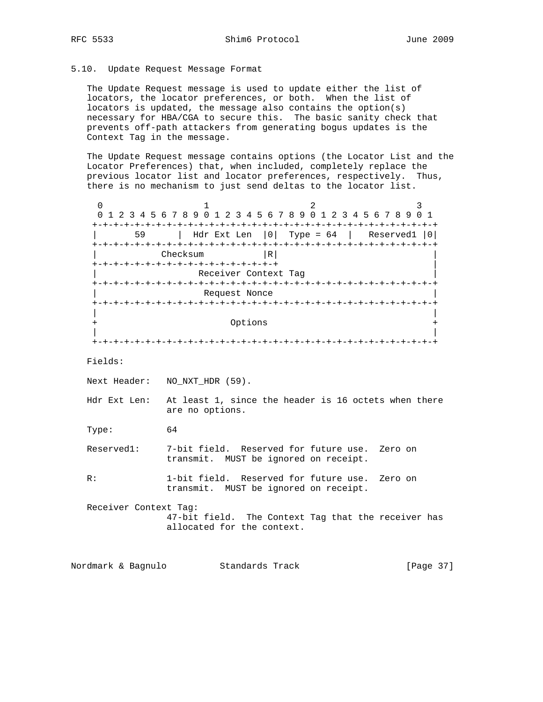# 5.10. Update Request Message Format

 The Update Request message is used to update either the list of locators, the locator preferences, or both. When the list of locators is updated, the message also contains the option(s) necessary for HBA/CGA to secure this. The basic sanity check that prevents off-path attackers from generating bogus updates is the Context Tag in the message.

 The Update Request message contains options (the Locator List and the Locator Preferences) that, when included, completely replace the previous locator list and locator preferences, respectively. Thus, there is no mechanism to just send deltas to the locator list.

0  $1$  2 3 0 1 2 3 4 5 6 7 8 9 0 1 2 3 4 5 6 7 8 9 0 1 2 3 4 5 6 7 8 9 0 1 +-+-+-+-+-+-+-+-+-+-+-+-+-+-+-+-+-+-+-+-+-+-+-+-+-+-+-+-+-+-+-+-+ | 59 | Hdr Ext Len |0| Type = 64 | Reserved1 |0| +-+-+-+-+-+-+-+-+-+-+-+-+-+-+-+-+-+-+-+-+-+-+-+-+-+-+-+-+-+-+-+-+ | Checksum |R| | +-+-+-+-+-+-+-+-+-+-+-+-+-+-+-+-+-+ | Receiver Context Tag +-+-+-+-+-+-+-+-+-+-+-+-+-+-+-+-+-+-+-+-+-+-+-+-+-+-+-+-+-+-+-+-+ Request Nonce +-+-+-+-+-+-+-+-+-+-+-+-+-+-+-+-+-+-+-+-+-+-+-+-+-+-+-+-+-+-+-+-+ | | + Options + | | +-+-+-+-+-+-+-+-+-+-+-+-+-+-+-+-+-+-+-+-+-+-+-+-+-+-+-+-+-+-+-+-+ Fields: Next Header: NO\_NXT\_HDR (59). Hdr Ext Len: At least 1, since the header is 16 octets when there are no options. Type: 64 Reserved1: 7-bit field. Reserved for future use. Zero on transmit. MUST be ignored on receipt. R: 1-bit field. Reserved for future use. Zero on transmit. MUST be ignored on receipt. Receiver Context Tag: 47-bit field. The Context Tag that the receiver has allocated for the context.

Nordmark & Bagnulo Standards Track [Page 37]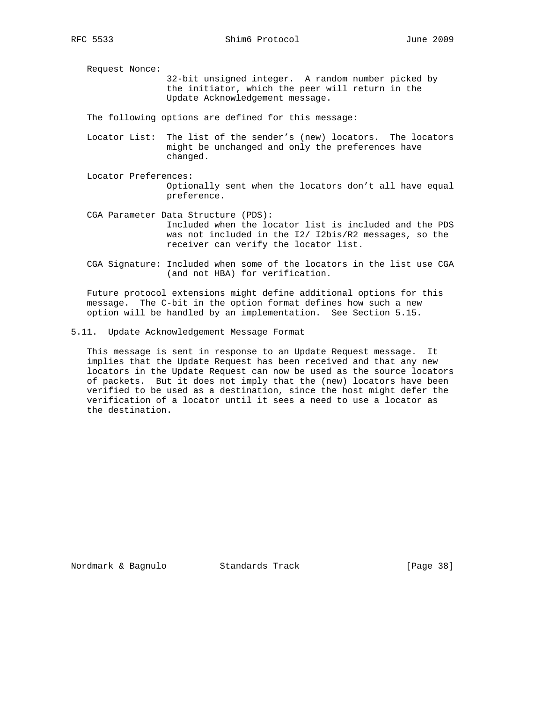Request Nonce:

 32-bit unsigned integer. A random number picked by the initiator, which the peer will return in the Update Acknowledgement message.

The following options are defined for this message:

- Locator List: The list of the sender's (new) locators. The locators might be unchanged and only the preferences have changed.
- Locator Preferences: Optionally sent when the locators don't all have equal preference.
- CGA Parameter Data Structure (PDS): Included when the locator list is included and the PDS was not included in the I2/ I2bis/R2 messages, so the receiver can verify the locator list.
- CGA Signature: Included when some of the locators in the list use CGA (and not HBA) for verification.

 Future protocol extensions might define additional options for this message. The C-bit in the option format defines how such a new option will be handled by an implementation. See Section 5.15.

5.11. Update Acknowledgement Message Format

 This message is sent in response to an Update Request message. It implies that the Update Request has been received and that any new locators in the Update Request can now be used as the source locators of packets. But it does not imply that the (new) locators have been verified to be used as a destination, since the host might defer the verification of a locator until it sees a need to use a locator as the destination.

Nordmark & Bagnulo Standards Track [Page 38]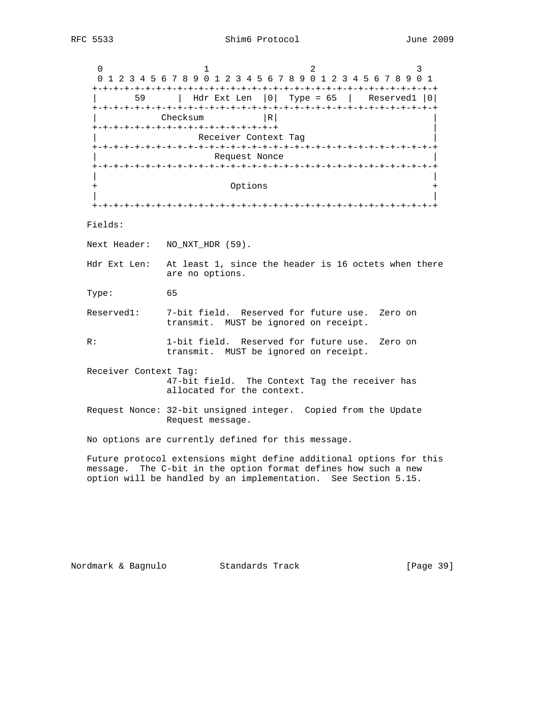$0$  1 2 3 0 1 2 3 4 5 6 7 8 9 0 1 2 3 4 5 6 7 8 9 0 1 2 3 4 5 6 7 8 9 0 1 +-+-+-+-+-+-+-+-+-+-+-+-+-+-+-+-+-+-+-+-+-+-+-+-+-+-+-+-+-+-+-+-+ | 59 | Hdr Ext Len |0| Type = 65 | Reserved1 |0| +-+-+-+-+-+-+-+-+-+-+-+-+-+-+-+-+-+-+-+-+-+-+-+-+-+-+-+-+-+-+-+-+  $Checksum$  |R| +-+-+-+-+-+-+-+-+-+-+-+-+-+-+-+-+-+ | Receiver Context Tag +-+-+-+-+-+-+-+-+-+-+-+-+-+-+-+-+-+-+-+-+-+-+-+-+-+-+-+-+-+-+-+-+ Request Nonce +-+-+-+-+-+-+-+-+-+-+-+-+-+-+-+-+-+-+-+-+-+-+-+-+-+-+-+-+-+-+-+-+ | | Options | | +-+-+-+-+-+-+-+-+-+-+-+-+-+-+-+-+-+-+-+-+-+-+-+-+-+-+-+-+-+-+-+-+ Fields: Next Header: NO\_NXT\_HDR (59). Hdr Ext Len: At least 1, since the header is 16 octets when there are no options. Type: 65 Reserved1: 7-bit field. Reserved for future use. Zero on transmit. MUST be ignored on receipt. R: 1-bit field. Reserved for future use. Zero on transmit. MUST be ignored on receipt. Receiver Context Tag: 47-bit field. The Context Tag the receiver has allocated for the context. Request Nonce: 32-bit unsigned integer. Copied from the Update Request message. No options are currently defined for this message. Future protocol extensions might define additional options for this message. The C-bit in the option format defines how such a new option will be handled by an implementation. See Section 5.15.

Nordmark & Bagnulo Standards Track [Page 39]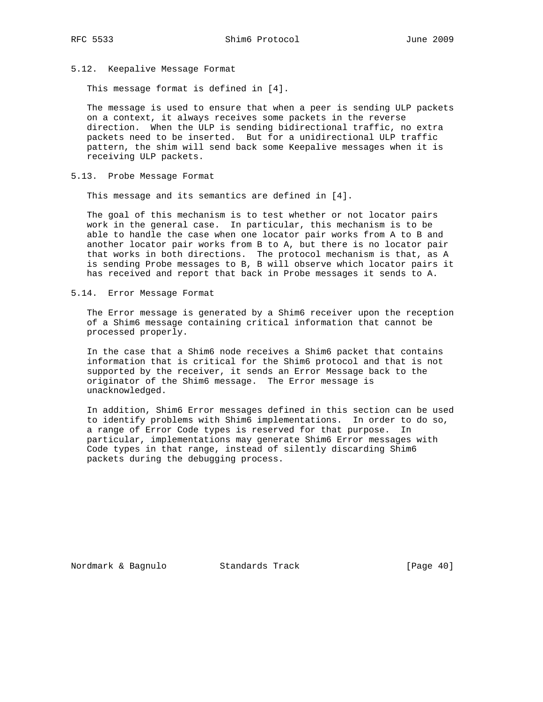- 
- 5.12. Keepalive Message Format

This message format is defined in [4].

 The message is used to ensure that when a peer is sending ULP packets on a context, it always receives some packets in the reverse direction. When the ULP is sending bidirectional traffic, no extra packets need to be inserted. But for a unidirectional ULP traffic pattern, the shim will send back some Keepalive messages when it is receiving ULP packets.

5.13. Probe Message Format

This message and its semantics are defined in [4].

 The goal of this mechanism is to test whether or not locator pairs work in the general case. In particular, this mechanism is to be able to handle the case when one locator pair works from A to B and another locator pair works from B to A, but there is no locator pair that works in both directions. The protocol mechanism is that, as A is sending Probe messages to B, B will observe which locator pairs it has received and report that back in Probe messages it sends to A.

5.14. Error Message Format

 The Error message is generated by a Shim6 receiver upon the reception of a Shim6 message containing critical information that cannot be processed properly.

 In the case that a Shim6 node receives a Shim6 packet that contains information that is critical for the Shim6 protocol and that is not supported by the receiver, it sends an Error Message back to the originator of the Shim6 message. The Error message is unacknowledged.

 In addition, Shim6 Error messages defined in this section can be used to identify problems with Shim6 implementations. In order to do so, a range of Error Code types is reserved for that purpose. In particular, implementations may generate Shim6 Error messages with Code types in that range, instead of silently discarding Shim6 packets during the debugging process.

Nordmark & Bagnulo Standards Track [Page 40]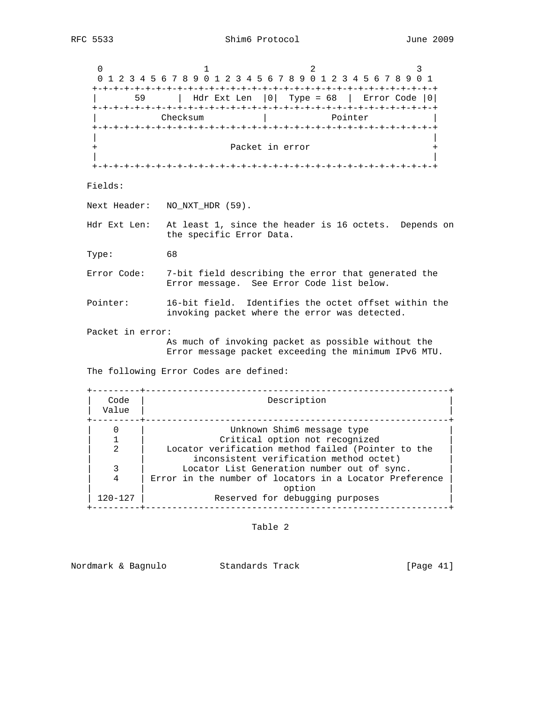$0$  1 2 3 0 1 2 3 4 5 6 7 8 9 0 1 2 3 4 5 6 7 8 9 0 1 2 3 4 5 6 7 8 9 0 1 +-+-+-+-+-+-+-+-+-+-+-+-+-+-+-+-+-+-+-+-+-+-+-+-+-+-+-+-+-+-+-+-+ | 59 | Hdr Ext Len |0| Type = 68 | Error Code |0| +-+-+-+-+-+-+-+-+-+-+-+-+-+-+-+-+-+-+-+-+-+-+-+-+-+-+-+-+-+-+-+-+ | Checksum | Pointer | +-+-+-+-+-+-+-+-+-+-+-+-+-+-+-+-+-+-+-+-+-+-+-+-+-+-+-+-+-+-+-+-+ | | Packet in error | | +-+-+-+-+-+-+-+-+-+-+-+-+-+-+-+-+-+-+-+-+-+-+-+-+-+-+-+-+-+-+-+-+ Fields: Next Header: NO\_NXT\_HDR (59). Hdr Ext Len: At least 1, since the header is 16 octets. Depends on the specific Error Data. Type: 68 Error Code: 7-bit field describing the error that generated the Error message. See Error Code list below. Pointer: 16-bit field. Identifies the octet offset within the invoking packet where the error was detected. Packet in error: As much of invoking packet as possible without the Error message packet exceeding the minimum IPv6 MTU. The following Error Codes are defined: +---------+---------------------------------------------------------+ | Code | Description | | Value | | +---------+---------------------------------------------------------+ 0 | Unknown Shim6 message type<br>1 | Critical option not recognized | 1 | Critical option not recognized | | 2 | Locator verification method failed (Pointer to the | inconsistent verification method octet) | 3 | Locator List Generation number out of sync. |

4 | Error in the number of locators in a Locator Preference | | option | 120-127 | Reserved for debugging purposes +---------+---------------------------------------------------------+

Table 2

Nordmark & Bagnulo Standards Track [Page 41]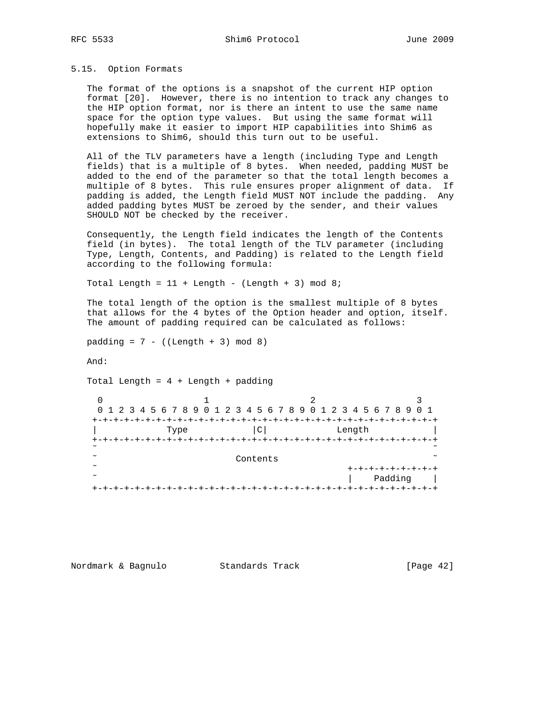# 5.15. Option Formats

 The format of the options is a snapshot of the current HIP option format [20]. However, there is no intention to track any changes to the HIP option format, nor is there an intent to use the same name space for the option type values. But using the same format will hopefully make it easier to import HIP capabilities into Shim6 as extensions to Shim6, should this turn out to be useful.

 All of the TLV parameters have a length (including Type and Length fields) that is a multiple of 8 bytes. When needed, padding MUST be added to the end of the parameter so that the total length becomes a multiple of 8 bytes. This rule ensures proper alignment of data. If padding is added, the Length field MUST NOT include the padding. Any added padding bytes MUST be zeroed by the sender, and their values SHOULD NOT be checked by the receiver.

 Consequently, the Length field indicates the length of the Contents field (in bytes). The total length of the TLV parameter (including Type, Length, Contents, and Padding) is related to the Length field according to the following formula:

Total Length =  $11 +$  Length - (Length + 3) mod 8;

 The total length of the option is the smallest multiple of 8 bytes that allows for the 4 bytes of the Option header and option, itself. The amount of padding required can be calculated as follows:

 $padding = 7 - ((Length + 3) mod 8)$ 

And:

Total Length =  $4 +$  Length + padding

|                  | 0 1 2 3 4 5 6 7 8 9 0 1 2 3 4 5 6 7 8 9 0 1 2 3 4 5 6 7 8 9 0 1 |                 |                 |                          |
|------------------|-----------------------------------------------------------------|-----------------|-----------------|--------------------------|
| $+-+$            | Type                                                            | $\mathsf{C}$    | Length          |                          |
| $+-$             |                                                                 | +-+-+-+-+-+-+-+ | -+-+-+-+-+-+-+- |                          |
| $\sim$           |                                                                 |                 |                 |                          |
| $\sim$<br>$\sim$ |                                                                 | Contents        |                 |                          |
| $\sim$           |                                                                 |                 |                 | +-+-+-+-+-+-+<br>Padding |
|                  |                                                                 |                 |                 |                          |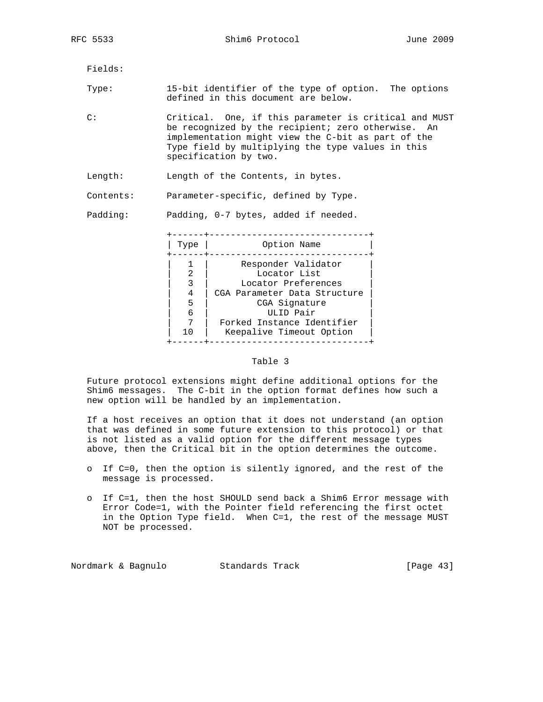RFC 5533 Shim6 Protocol June 2009

Fields:

 Type: 15-bit identifier of the type of option. The options defined in this document are below.

 C: Critical. One, if this parameter is critical and MUST be recognized by the recipient; zero otherwise. An implementation might view the C-bit as part of the Type field by multiplying the type values in this specification by two.

Length: Length of the Contents, in bytes.

Contents: Parameter-specific, defined by Type.

Padding: Padding, 0-7 bytes, added if needed.

| Type           | Option Name                                                                                                 |
|----------------|-------------------------------------------------------------------------------------------------------------|
| 4<br>5         | Responder Validator<br>Locator List<br>Locator Preferences<br>CGA Parameter Data Structure<br>CGA Signature |
| 6              | ULID Pair                                                                                                   |
| 1 <sub>0</sub> | Forked Instance Identifier<br>Keepalive Timeout Option                                                      |

# Table 3

 Future protocol extensions might define additional options for the Shim6 messages. The C-bit in the option format defines how such a new option will be handled by an implementation.

 If a host receives an option that it does not understand (an option that was defined in some future extension to this protocol) or that is not listed as a valid option for the different message types above, then the Critical bit in the option determines the outcome.

- o If C=0, then the option is silently ignored, and the rest of the message is processed.
- o If C=1, then the host SHOULD send back a Shim6 Error message with Error Code=1, with the Pointer field referencing the first octet in the Option Type field. When C=1, the rest of the message MUST NOT be processed.

Nordmark & Bagnulo Standards Track [Page 43]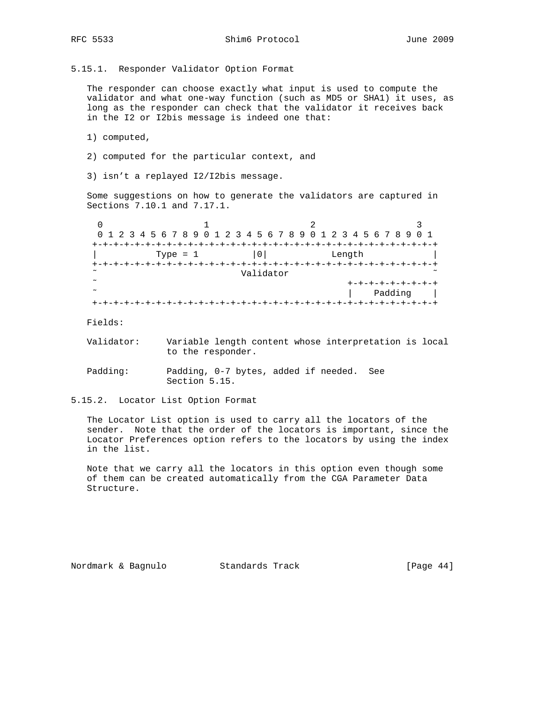5.15.1. Responder Validator Option Format

 The responder can choose exactly what input is used to compute the validator and what one-way function (such as MD5 or SHA1) it uses, as long as the responder can check that the validator it receives back in the I2 or I2bis message is indeed one that:

1) computed,

- 2) computed for the particular context, and
- 3) isn't a replayed I2/I2bis message.

 Some suggestions on how to generate the validators are captured in Sections 7.10.1 and 7.17.1.

|        | 0 1 2 3 4 5 6 7 8 9 0 1 2 3 4 5 6 7 8 9 0 1 2 3 4 5 6 7 8 9 0 1 |                |           |        |         |
|--------|-----------------------------------------------------------------|----------------|-----------|--------|---------|
|        |                                                                 | -------------- |           |        |         |
|        | Type = $1$                                                      | 0 <sup>1</sup> |           | Length |         |
|        |                                                                 |                |           |        |         |
| $\sim$ |                                                                 |                | Validator |        |         |
| $\sim$ |                                                                 |                |           |        |         |
| $\sim$ |                                                                 |                |           |        | Padding |
|        |                                                                 |                |           |        |         |

Fields:

 Validator: Variable length content whose interpretation is local to the responder.

 Padding: Padding, 0-7 bytes, added if needed. See Section 5.15.

5.15.2. Locator List Option Format

 The Locator List option is used to carry all the locators of the sender. Note that the order of the locators is important, since the Locator Preferences option refers to the locators by using the index in the list.

 Note that we carry all the locators in this option even though some of them can be created automatically from the CGA Parameter Data Structure.

Nordmark & Bagnulo Standards Track [Page 44]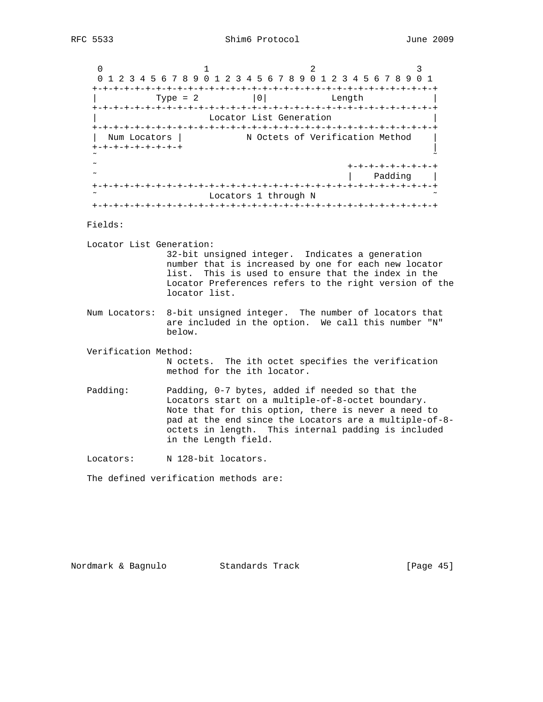0  $1$  2 3 0 1 2 3 4 5 6 7 8 9 0 1 2 3 4 5 6 7 8 9 0 1 2 3 4 5 6 7 8 9 0 1 +-+-+-+-+-+-+-+-+-+-+-+-+-+-+-+-+-+-+-+-+-+-+-+-+-+-+-+-+-+-+-+-+ | Type = 2 |0| Length +-+-+-+-+-+-+-+-+-+-+-+-+-+-+-+-+-+-+-+-+-+-+-+-+-+-+-+-+-+-+-+-+ Locator List Generation +-+-+-+-+-+-+-+-+-+-+-+-+-+-+-+-+-+-+-+-+-+-+-+-+-+-+-+-+-+-+-+-+ N Octets of Verification Method +-+-+-+-+-+-+-+-+ | ˜ ˜ ˜ +-+-+-+-+-+-+-+-+ | Padding | +-+-+-+-+-+-+-+-+-+-+-+-+-+-+-+-+-+-+-+-+-+-+-+-+-+-+-+-+-+-+-+-+ Locators 1 through N +-+-+-+-+-+-+-+-+-+-+-+-+-+-+-+-+-+-+-+-+-+-+-+-+-+-+-+-+-+-+-+-+

Fields:

Locator List Generation:

 32-bit unsigned integer. Indicates a generation number that is increased by one for each new locator list. This is used to ensure that the index in the Locator Preferences refers to the right version of the locator list.

- Num Locators: 8-bit unsigned integer. The number of locators that are included in the option. We call this number "N" below.
- Verification Method:
	- N octets. The ith octet specifies the verification method for the ith locator.
- Padding: Padding, 0-7 bytes, added if needed so that the Locators start on a multiple-of-8-octet boundary. Note that for this option, there is never a need to pad at the end since the Locators are a multiple-of-8 octets in length. This internal padding is included in the Length field.

Locators: N 128-bit locators.

The defined verification methods are:

Nordmark & Bagnulo Standards Track [Page 45]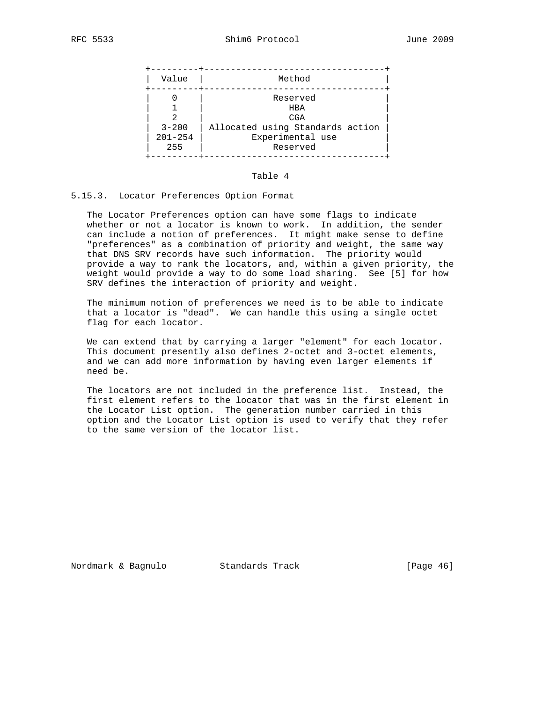| Reserved<br><b>HBA</b><br>CGA<br>Allocated using Standards action<br>$3 - 200$<br>$201 - 254$ | Value | Method           |
|-----------------------------------------------------------------------------------------------|-------|------------------|
| 255<br>Reserved                                                                               |       | Experimental use |

#### Table 4

#### 5.15.3. Locator Preferences Option Format

 The Locator Preferences option can have some flags to indicate whether or not a locator is known to work. In addition, the sender can include a notion of preferences. It might make sense to define "preferences" as a combination of priority and weight, the same way that DNS SRV records have such information. The priority would provide a way to rank the locators, and, within a given priority, the weight would provide a way to do some load sharing. See [5] for how SRV defines the interaction of priority and weight.

 The minimum notion of preferences we need is to be able to indicate that a locator is "dead". We can handle this using a single octet flag for each locator.

 We can extend that by carrying a larger "element" for each locator. This document presently also defines 2-octet and 3-octet elements, and we can add more information by having even larger elements if need be.

 The locators are not included in the preference list. Instead, the first element refers to the locator that was in the first element in the Locator List option. The generation number carried in this option and the Locator List option is used to verify that they refer to the same version of the locator list.

Nordmark & Bagnulo Standards Track [Page 46]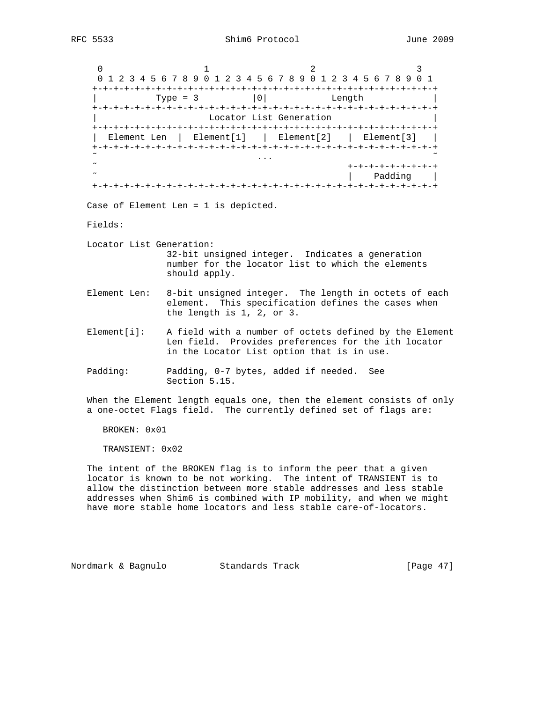0  $1$  2 3 0 1 2 3 4 5 6 7 8 9 0 1 2 3 4 5 6 7 8 9 0 1 2 3 4 5 6 7 8 9 0 1 +-+-+-+-+-+-+-+-+-+-+-+-+-+-+-+-+-+-+-+-+-+-+-+-+-+-+-+-+-+-+-+-+ | Type = 3  $|0|$  Length +-+-+-+-+-+-+-+-+-+-+-+-+-+-+-+-+-+-+-+-+-+-+-+-+-+-+-+-+-+-+-+-+ Locator List Generation +-+-+-+-+-+-+-+-+-+-+-+-+-+-+-+-+-+-+-+-+-+-+-+-+-+-+-+-+-+-+-+-+ | Element Len | Element[1] | Element[2] | Element[3] | +-+-+-+-+-+-+-+-+-+-+-+-+-+-+-+-+-+-+-+-+-+-+-+-+-+-+-+-+-+-+-+-+ ˜ ... ˜ ˜ +-+-+-+-+-+-+-+-+ | Padding | +-+-+-+-+-+-+-+-+-+-+-+-+-+-+-+-+-+-+-+-+-+-+-+-+-+-+-+-+-+-+-+-+ Case of Element Len = 1 is depicted. Fields: Locator List Generation: 32-bit unsigned integer. Indicates a generation number for the locator list to which the elements should apply. Element Len: 8-bit unsigned integer. The length in octets of each element. This specification defines the cases when the length is 1, 2, or 3. Element[i]: A field with a number of octets defined by the Element Len field. Provides preferences for the ith locator in the Locator List option that is in use. Padding: Padding, 0-7 bytes, added if needed. See Section 5.15. When the Element length equals one, then the element consists of only a one-octet Flags field. The currently defined set of flags are:

BROKEN: 0x01

TRANSIENT: 0x02

 The intent of the BROKEN flag is to inform the peer that a given locator is known to be not working. The intent of TRANSIENT is to allow the distinction between more stable addresses and less stable addresses when Shim6 is combined with IP mobility, and when we might have more stable home locators and less stable care-of-locators.

Nordmark & Bagnulo Standards Track [Page 47]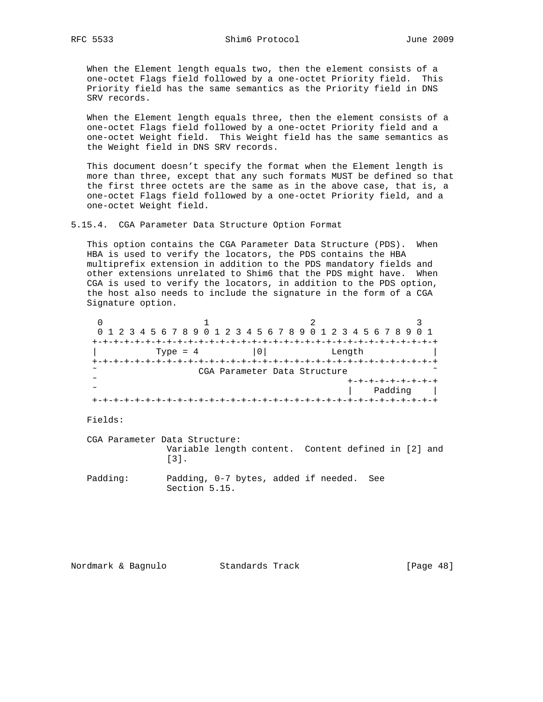When the Element length equals two, then the element consists of a one-octet Flags field followed by a one-octet Priority field. This Priority field has the same semantics as the Priority field in DNS SRV records.

 When the Element length equals three, then the element consists of a one-octet Flags field followed by a one-octet Priority field and a one-octet Weight field. This Weight field has the same semantics as the Weight field in DNS SRV records.

 This document doesn't specify the format when the Element length is more than three, except that any such formats MUST be defined so that the first three octets are the same as in the above case, that is, a one-octet Flags field followed by a one-octet Priority field, and a one-octet Weight field.

5.15.4. CGA Parameter Data Structure Option Format

 This option contains the CGA Parameter Data Structure (PDS). When HBA is used to verify the locators, the PDS contains the HBA multiprefix extension in addition to the PDS mandatory fields and other extensions unrelated to Shim6 that the PDS might have. When CGA is used to verify the locators, in addition to the PDS option, the host also needs to include the signature in the form of a CGA Signature option.

|        | 0 1 2 3 4 5 6 7 8 9 0 1 2 3 4 5 6 7 8 9 0 1 2 3 4 5 6 7 8 9 0 1 |                              |        |         |
|--------|-----------------------------------------------------------------|------------------------------|--------|---------|
| $+-+$  |                                                                 |                              |        |         |
|        | Type = $4$                                                      | 0 <sup>1</sup>               | Length |         |
|        |                                                                 |                              |        |         |
| $\sim$ |                                                                 | CGA Parameter Data Structure |        |         |
| $\sim$ |                                                                 |                              |        |         |
| $\sim$ |                                                                 |                              |        | Padding |
|        |                                                                 |                              |        |         |

Fields:

 CGA Parameter Data Structure: Variable length content. Content defined in [2] and [3].

 Padding: Padding, 0-7 bytes, added if needed. See Section 5.15.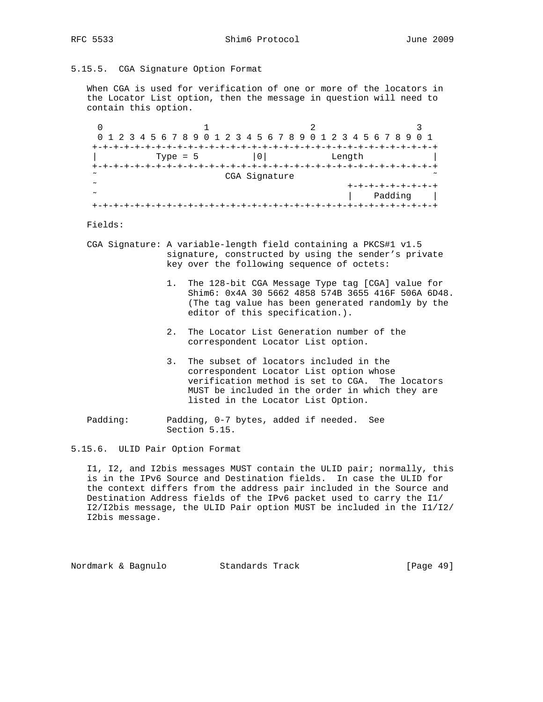5.15.5. CGA Signature Option Format

 When CGA is used for verification of one or more of the locators in the Locator List option, then the message in question will need to contain this option.

 $0$  1 2 3 0 1 2 3 4 5 6 7 8 9 0 1 2 3 4 5 6 7 8 9 0 1 2 3 4 5 6 7 8 9 0 1 +-+-+-+-+-+-+-+-+-+-+-+-+-+-+-+-+-+-+-+-+-+-+-+-+-+-+-+-+-+-+-+-+ | Type = 5  $|0|$  Length +-+-+-+-+-+-+-+-+-+-+-+-+-+-+-+-+-+-+-+-+-+-+-+-+-+-+-+-+-+-+-+-+ CGA Signature ˜ +-+-+-+-+-+-+-+-+ | Padding | +-+-+-+-+-+-+-+-+-+-+-+-+-+-+-+-+-+-+-+-+-+-+-+-+-+-+-+-+-+-+-+-+

# Fields:

- CGA Signature: A variable-length field containing a PKCS#1 v1.5 signature, constructed by using the sender's private key over the following sequence of octets:
	- 1. The 128-bit CGA Message Type tag [CGA] value for Shim6: 0x4A 30 5662 4858 574B 3655 416F 506A 6D48. (The tag value has been generated randomly by the editor of this specification.).
	- 2. The Locator List Generation number of the correspondent Locator List option.
	- 3. The subset of locators included in the correspondent Locator List option whose verification method is set to CGA. The locators MUST be included in the order in which they are listed in the Locator List Option.
- Padding: Padding, 0-7 bytes, added if needed. See Section 5.15.
- 5.15.6. ULID Pair Option Format

 I1, I2, and I2bis messages MUST contain the ULID pair; normally, this is in the IPv6 Source and Destination fields. In case the ULID for the context differs from the address pair included in the Source and Destination Address fields of the IPv6 packet used to carry the I1/ I2/I2bis message, the ULID Pair option MUST be included in the I1/I2/ I2bis message.

Nordmark & Bagnulo Standards Track [Page 49]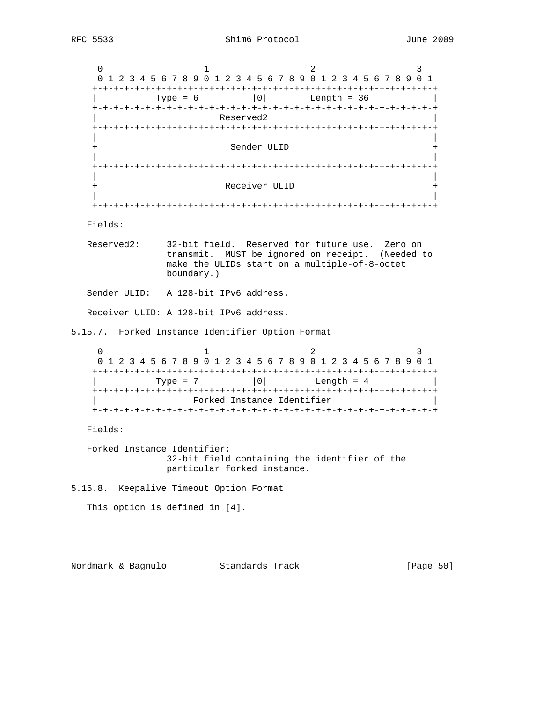$0$  1 2 3 0 1 2 3 4 5 6 7 8 9 0 1 2 3 4 5 6 7 8 9 0 1 2 3 4 5 6 7 8 9 0 1 +-+-+-+-+-+-+-+-+-+-+-+-+-+-+-+-+-+-+-+-+-+-+-+-+-+-+-+-+-+-+-+-+  $\text{Type} = 6$  |0| Length = 36 +-+-+-+-+-+-+-+-+-+-+-+-+-+-+-+-+-+-+-+-+-+-+-+-+-+-+-+-+-+-+-+-+ Reserved2 +-+-+-+-+-+-+-+-+-+-+-+-+-+-+-+-+-+-+-+-+-+-+-+-+-+-+-+-+-+-+-+-+ | | Sender ULID | | +-+-+-+-+-+-+-+-+-+-+-+-+-+-+-+-+-+-+-+-+-+-+-+-+-+-+-+-+-+-+-+-+ | | Receiver ULID | | +-+-+-+-+-+-+-+-+-+-+-+-+-+-+-+-+-+-+-+-+-+-+-+-+-+-+-+-+-+-+-+-+ Fields: Reserved2: 32-bit field. Reserved for future use. Zero on transmit. MUST be ignored on receipt. (Needed to make the ULIDs start on a multiple-of-8-octet boundary.) Sender ULID: A 128-bit IPv6 address. Receiver ULID: A 128-bit IPv6 address. 5.15.7. Forked Instance Identifier Option Format  $0$  and  $1$  and  $2$  3 0 1 2 3 4 5 6 7 8 9 0 1 2 3 4 5 6 7 8 9 0 1 2 3 4 5 6 7 8 9 0 1 +-+-+-+-+-+-+-+-+-+-+-+-+-+-+-+-+-+-+-+-+-+-+-+-+-+-+-+-+-+-+-+-+  $\text{Type} = 7$  |0| Length = 4 +-+-+-+-+-+-+-+-+-+-+-+-+-+-+-+-+-+-+-+-+-+-+-+-+-+-+-+-+-+-+-+-+ Forked Instance Identifier +-+-+-+-+-+-+-+-+-+-+-+-+-+-+-+-+-+-+-+-+-+-+-+-+-+-+-+-+-+-+-+-+ Fields: Forked Instance Identifier: 32-bit field containing the identifier of the particular forked instance. 5.15.8. Keepalive Timeout Option Format This option is defined in [4]. Nordmark & Bagnulo Standards Track [Page 50]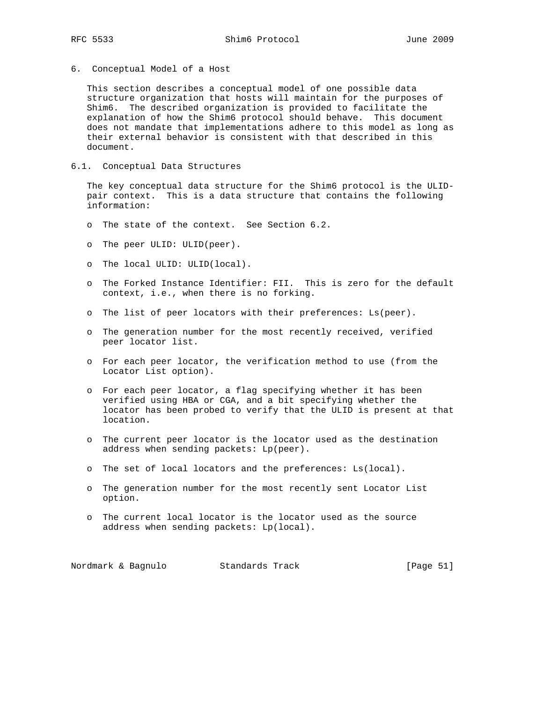6. Conceptual Model of a Host

 This section describes a conceptual model of one possible data structure organization that hosts will maintain for the purposes of Shim6. The described organization is provided to facilitate the explanation of how the Shim6 protocol should behave. This document does not mandate that implementations adhere to this model as long as their external behavior is consistent with that described in this document.

# 6.1. Conceptual Data Structures

 The key conceptual data structure for the Shim6 protocol is the ULID pair context. This is a data structure that contains the following information:

- o The state of the context. See Section 6.2.
- o The peer ULID: ULID(peer).
- o The local ULID: ULID(local).
- o The Forked Instance Identifier: FII. This is zero for the default context, i.e., when there is no forking.
- o The list of peer locators with their preferences: Ls(peer).
- o The generation number for the most recently received, verified peer locator list.
- o For each peer locator, the verification method to use (from the Locator List option).
- o For each peer locator, a flag specifying whether it has been verified using HBA or CGA, and a bit specifying whether the locator has been probed to verify that the ULID is present at that location.
- o The current peer locator is the locator used as the destination address when sending packets: Lp(peer).
- o The set of local locators and the preferences: Ls(local).
- o The generation number for the most recently sent Locator List option.
- o The current local locator is the locator used as the source address when sending packets: Lp(local).

Nordmark & Bagnulo Standards Track [Page 51]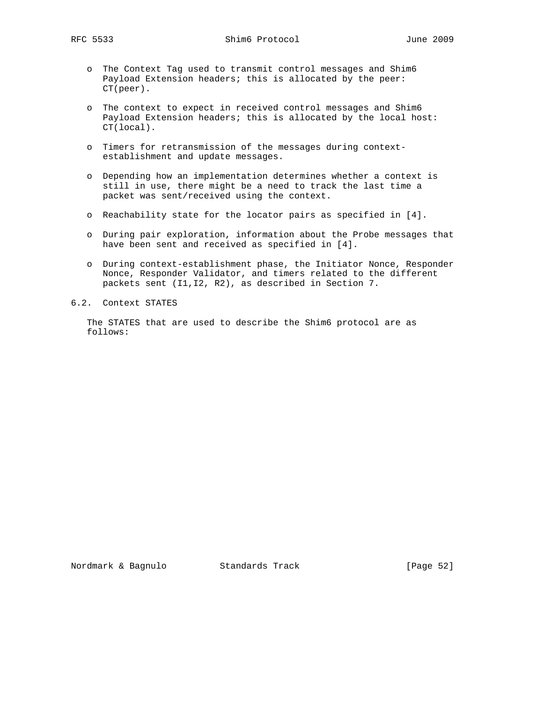RFC 5533 Shim6 Protocol June 2009

- o The Context Tag used to transmit control messages and Shim6 Payload Extension headers; this is allocated by the peer: CT(peer).
- o The context to expect in received control messages and Shim6 Payload Extension headers; this is allocated by the local host: CT(local).
- o Timers for retransmission of the messages during context establishment and update messages.
- o Depending how an implementation determines whether a context is still in use, there might be a need to track the last time a packet was sent/received using the context.
- o Reachability state for the locator pairs as specified in [4].
- o During pair exploration, information about the Probe messages that have been sent and received as specified in [4].
- o During context-establishment phase, the Initiator Nonce, Responder Nonce, Responder Validator, and timers related to the different packets sent (I1,I2, R2), as described in Section 7.
- 6.2. Context STATES

 The STATES that are used to describe the Shim6 protocol are as follows: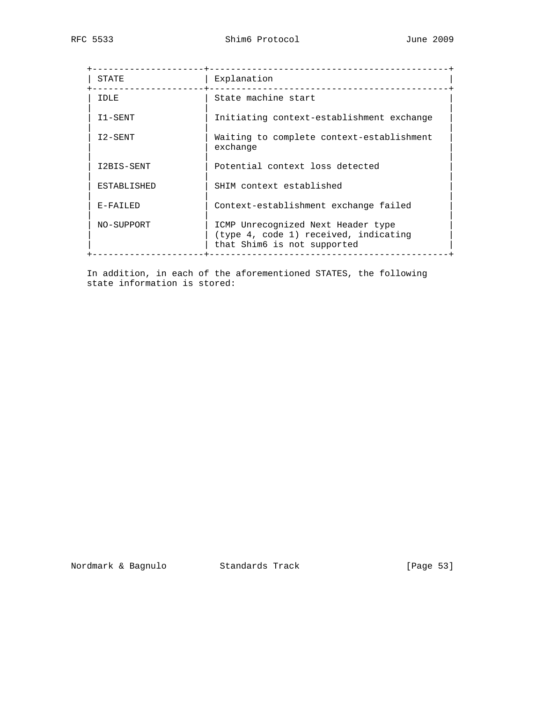| STATE             | Explanation                                                                                                |
|-------------------|------------------------------------------------------------------------------------------------------------|
| IDLE              | State machine start                                                                                        |
| I1-SENT           | Initiating context-establishment exchange                                                                  |
| I2-SENT           | Waiting to complete context-establishment<br>exchange                                                      |
| I2BIS-SENT        | Potential context loss detected                                                                            |
| ESTABLISHED       | SHIM context established                                                                                   |
| $E - FATI$ . $ED$ | Context-establishment exchange failed                                                                      |
| NO-SUPPORT        | ICMP Unrecognized Next Header type<br>(type 4, code 1) received, indicating<br>that Shim6 is not supported |

 In addition, in each of the aforementioned STATES, the following state information is stored: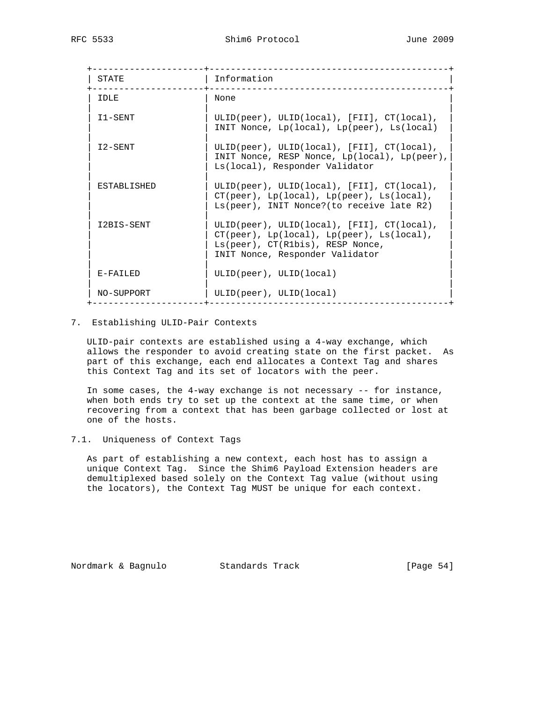| STATE         | Information                                                                                                                                                                      |
|---------------|----------------------------------------------------------------------------------------------------------------------------------------------------------------------------------|
| TDLE.         | None                                                                                                                                                                             |
| I1-SENT       | ULID(peer), ULID(local), [FII], CT(local),<br>INIT Nonce, $Lp(local)$ , $Lp(peer)$ , $Ls(local)$                                                                                 |
| I2-SENT       | ULID(peer), ULID(local), $[FI1]$ , $CT(local)$ ,<br>INIT Nonce, RESP Nonce, Lp(local), Lp(peer),<br>Ls(local), Responder Validator                                               |
| ESTABLISHED   | ULID(peer), ULID(local), [FII], CT(local),<br>$CT(peer)$ , $Lp(local)$ , $Lp(peer)$ , $Ls(local)$ ,<br>Ls(peer), INIT Nonce?(to receive late R2)                                 |
| I2BIS-SENT    | ULID(peer), ULID(local), [FII], CT(local),<br>$CT(peer)$ , $Lp(local)$ , $Lp(peer)$ , $Ls(local)$ ,<br>$Ls(peer)$ , $CT(R1bis)$ , RESP Nonce,<br>INIT Nonce, Responder Validator |
| $E-FATT$ $ED$ | ULID(peer), ULID(local)                                                                                                                                                          |
| NO-SUPPORT    | ULID(peer), ULID(local)                                                                                                                                                          |

# 7. Establishing ULID-Pair Contexts

 ULID-pair contexts are established using a 4-way exchange, which allows the responder to avoid creating state on the first packet. As part of this exchange, each end allocates a Context Tag and shares this Context Tag and its set of locators with the peer.

 In some cases, the 4-way exchange is not necessary -- for instance, when both ends try to set up the context at the same time, or when recovering from a context that has been garbage collected or lost at one of the hosts.

# 7.1. Uniqueness of Context Tags

 As part of establishing a new context, each host has to assign a unique Context Tag. Since the Shim6 Payload Extension headers are demultiplexed based solely on the Context Tag value (without using the locators), the Context Tag MUST be unique for each context.

Nordmark & Bagnulo Standards Track (Page 54)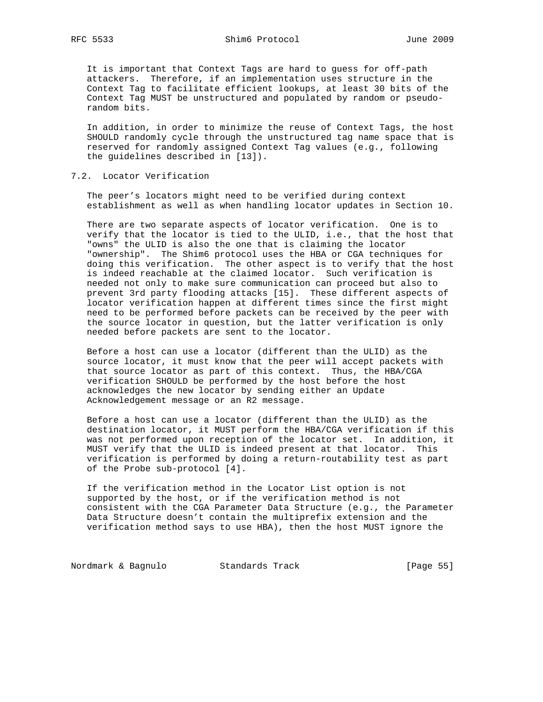It is important that Context Tags are hard to guess for off-path attackers. Therefore, if an implementation uses structure in the Context Tag to facilitate efficient lookups, at least 30 bits of the Context Tag MUST be unstructured and populated by random or pseudo random bits.

 In addition, in order to minimize the reuse of Context Tags, the host SHOULD randomly cycle through the unstructured tag name space that is reserved for randomly assigned Context Tag values (e.g., following the guidelines described in [13]).

# 7.2. Locator Verification

 The peer's locators might need to be verified during context establishment as well as when handling locator updates in Section 10.

 There are two separate aspects of locator verification. One is to verify that the locator is tied to the ULID, i.e., that the host that "owns" the ULID is also the one that is claiming the locator "ownership". The Shim6 protocol uses the HBA or CGA techniques for doing this verification. The other aspect is to verify that the host is indeed reachable at the claimed locator. Such verification is needed not only to make sure communication can proceed but also to prevent 3rd party flooding attacks [15]. These different aspects of locator verification happen at different times since the first might need to be performed before packets can be received by the peer with the source locator in question, but the latter verification is only needed before packets are sent to the locator.

 Before a host can use a locator (different than the ULID) as the source locator, it must know that the peer will accept packets with that source locator as part of this context. Thus, the HBA/CGA verification SHOULD be performed by the host before the host acknowledges the new locator by sending either an Update Acknowledgement message or an R2 message.

 Before a host can use a locator (different than the ULID) as the destination locator, it MUST perform the HBA/CGA verification if this was not performed upon reception of the locator set. In addition, it MUST verify that the ULID is indeed present at that locator. This verification is performed by doing a return-routability test as part of the Probe sub-protocol [4].

 If the verification method in the Locator List option is not supported by the host, or if the verification method is not consistent with the CGA Parameter Data Structure (e.g., the Parameter Data Structure doesn't contain the multiprefix extension and the verification method says to use HBA), then the host MUST ignore the

Nordmark & Bagnulo Standards Track [Page 55]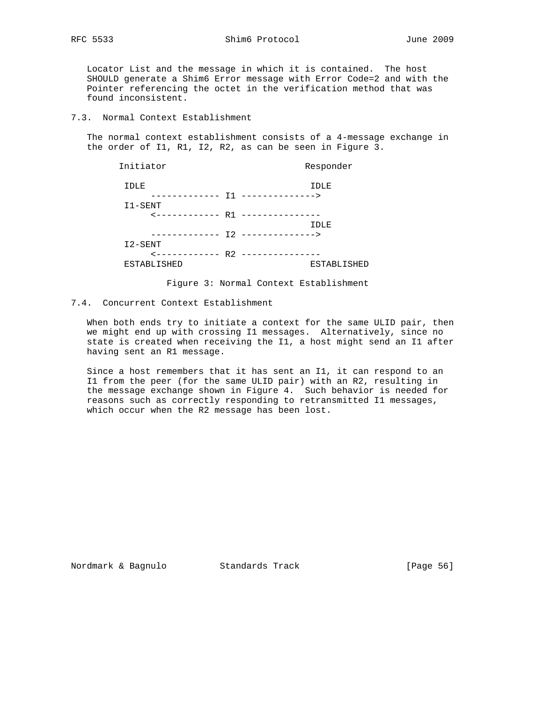Locator List and the message in which it is contained. The host SHOULD generate a Shim6 Error message with Error Code=2 and with the Pointer referencing the octet in the verification method that was found inconsistent.

7.3. Normal Context Establishment

 The normal context establishment consists of a 4-message exchange in the order of I1, R1, I2, R2, as can be seen in Figure 3.

| Initiator                        | Responder          |
|----------------------------------|--------------------|
| IDLE                             | IDLE               |
| ----------- T1 -------------->   |                    |
| I1-SENT                          |                    |
| <------------ R1 --------------- |                    |
|                                  | IDLE               |
|                                  |                    |
| I2-SENT                          |                    |
| <------------ R2 --------------- |                    |
| <b>ESTABLISHED</b>               | <b>ESTABLISHED</b> |
|                                  |                    |

Figure 3: Normal Context Establishment

# 7.4. Concurrent Context Establishment

 When both ends try to initiate a context for the same ULID pair, then we might end up with crossing I1 messages. Alternatively, since no state is created when receiving the I1, a host might send an I1 after having sent an R1 message.

 Since a host remembers that it has sent an I1, it can respond to an I1 from the peer (for the same ULID pair) with an R2, resulting in the message exchange shown in Figure 4. Such behavior is needed for reasons such as correctly responding to retransmitted I1 messages, which occur when the R2 message has been lost.

Nordmark & Bagnulo Standards Track [Page 56]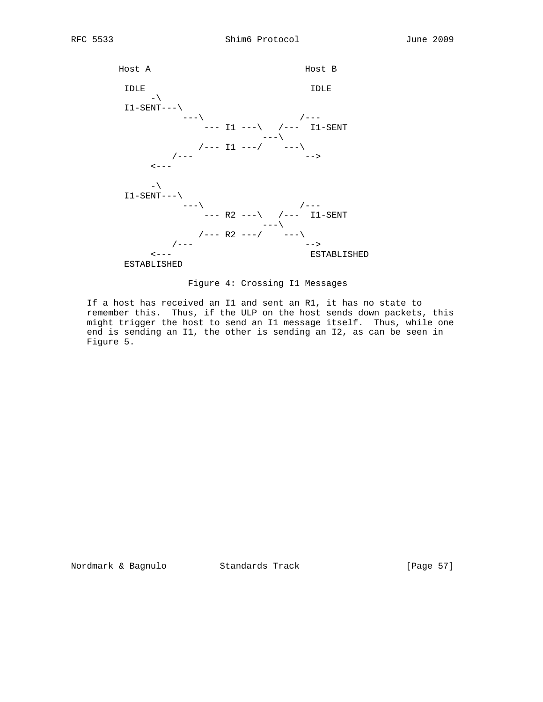



Figure 4: Crossing I1 Messages

 If a host has received an I1 and sent an R1, it has no state to remember this. Thus, if the ULP on the host sends down packets, this might trigger the host to send an I1 message itself. Thus, while one end is sending an I1, the other is sending an I2, as can be seen in Figure 5.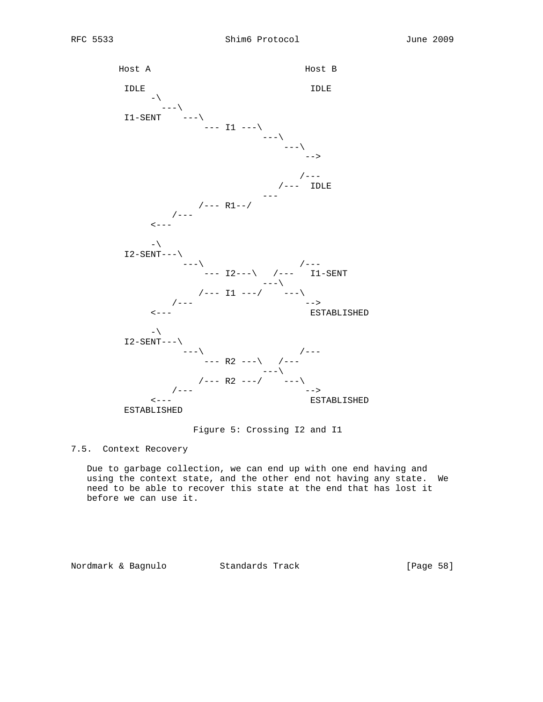

Figure 5: Crossing I2 and I1

# 7.5. Context Recovery

 Due to garbage collection, we can end up with one end having and using the context state, and the other end not having any state. We need to be able to recover this state at the end that has lost it before we can use it.

Nordmark & Bagnulo Standards Track [Page 58]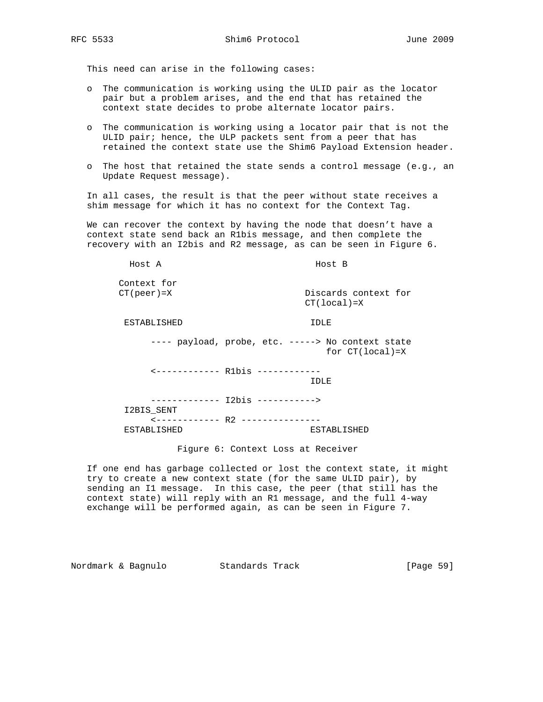This need can arise in the following cases:

- o The communication is working using the ULID pair as the locator pair but a problem arises, and the end that has retained the context state decides to probe alternate locator pairs.
- o The communication is working using a locator pair that is not the ULID pair; hence, the ULP packets sent from a peer that has retained the context state use the Shim6 Payload Extension header.
- o The host that retained the state sends a control message (e.g., an Update Request message).

 In all cases, the result is that the peer without state receives a shim message for which it has no context for the Context Tag.

 We can recover the context by having the node that doesn't have a context state send back an R1bis message, and then complete the recovery with an I2bis and R2 message, as can be seen in Figure 6.

 Host A Host B Context for CT(peer)=X Discards context for CT(local)=X

ESTABLISHED IDLE

---- payload, probe, etc. -----> No context state for CT(local)=X

<------------ R1bis ------------

IDLE

 ------------- I2bis -----------> I2BIS\_SENT <------------ R2 --------------- ESTABLISHED ESTABLISHED

Figure 6: Context Loss at Receiver

 If one end has garbage collected or lost the context state, it might try to create a new context state (for the same ULID pair), by sending an I1 message. In this case, the peer (that still has the context state) will reply with an R1 message, and the full 4-way exchange will be performed again, as can be seen in Figure 7.

Nordmark & Bagnulo Standards Track [Page 59]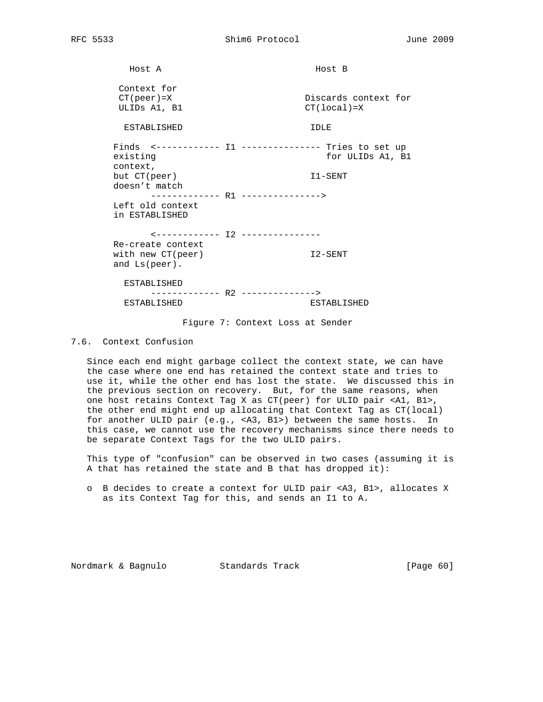Host A **Host B** Context for<br>CT(peer)=X Discards context for ULIDS A1, B1 CT(local)=X ESTABLISHED IDLE Finds <------------ I1 --------------- Tries to set up existing existing to the set of the set of the set of the set of the set of the set of the set of the set of the set of the set of the set of the set of the set of the set of the set of the set of the set of the set of the context, but CT(peer) I1-SENT doesn't match ------------- R1 ---------------> Left old context in ESTABLISHED <------------ I2 --------------- Re-create context with new CT(peer)  $12-SENT$  and Ls(peer). ESTABLISHED ------------- R2 --------------> ESTABLISHED ESTABLISHED

Figure 7: Context Loss at Sender

#### 7.6. Context Confusion

 Since each end might garbage collect the context state, we can have the case where one end has retained the context state and tries to use it, while the other end has lost the state. We discussed this in the previous section on recovery. But, for the same reasons, when one host retains Context Tag X as CT(peer) for ULID pair <A1, B1>, the other end might end up allocating that Context Tag as CT(local) for another ULID pair (e.g., <A3, B1>) between the same hosts. In this case, we cannot use the recovery mechanisms since there needs to be separate Context Tags for the two ULID pairs.

 This type of "confusion" can be observed in two cases (assuming it is A that has retained the state and B that has dropped it):

 o B decides to create a context for ULID pair <A3, B1>, allocates X as its Context Tag for this, and sends an I1 to A.

Nordmark & Bagnulo Standards Track [Page 60]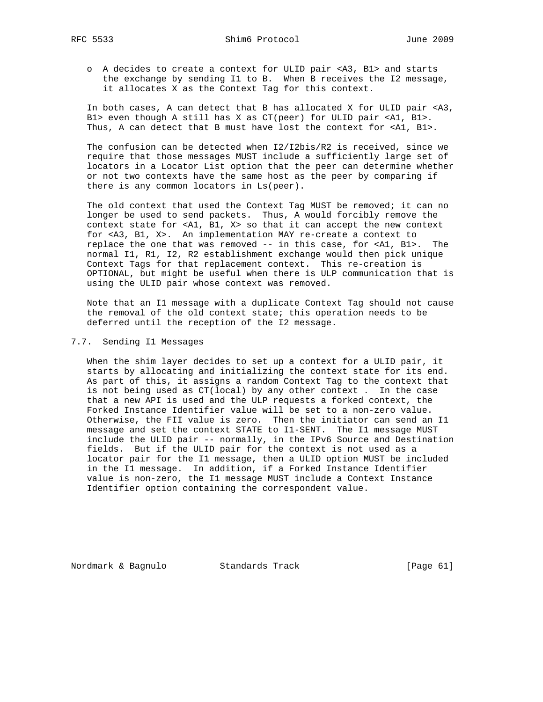- - o A decides to create a context for ULID pair <A3, B1> and starts the exchange by sending I1 to B. When B receives the I2 message, it allocates X as the Context Tag for this context.

 In both cases, A can detect that B has allocated X for ULID pair <A3, B1> even though A still has X as CT(peer) for ULID pair <A1, B1>. Thus, A can detect that B must have lost the context for <A1, B1>.

 The confusion can be detected when I2/I2bis/R2 is received, since we require that those messages MUST include a sufficiently large set of locators in a Locator List option that the peer can determine whether or not two contexts have the same host as the peer by comparing if there is any common locators in Ls(peer).

 The old context that used the Context Tag MUST be removed; it can no longer be used to send packets. Thus, A would forcibly remove the context state for <A1, B1, X> so that it can accept the new context for <A3, B1, X>. An implementation MAY re-create a context to replace the one that was removed -- in this case, for <A1, B1>. The normal I1, R1, I2, R2 establishment exchange would then pick unique Context Tags for that replacement context. This re-creation is OPTIONAL, but might be useful when there is ULP communication that is using the ULID pair whose context was removed.

 Note that an I1 message with a duplicate Context Tag should not cause the removal of the old context state; this operation needs to be deferred until the reception of the I2 message.

# 7.7. Sending I1 Messages

 When the shim layer decides to set up a context for a ULID pair, it starts by allocating and initializing the context state for its end. As part of this, it assigns a random Context Tag to the context that is not being used as CT(local) by any other context . In the case that a new API is used and the ULP requests a forked context, the Forked Instance Identifier value will be set to a non-zero value. Otherwise, the FII value is zero. Then the initiator can send an I1 message and set the context STATE to I1-SENT. The I1 message MUST include the ULID pair -- normally, in the IPv6 Source and Destination fields. But if the ULID pair for the context is not used as a locator pair for the I1 message, then a ULID option MUST be included in the I1 message. In addition, if a Forked Instance Identifier value is non-zero, the I1 message MUST include a Context Instance Identifier option containing the correspondent value.

Nordmark & Bagnulo Standards Track [Page 61]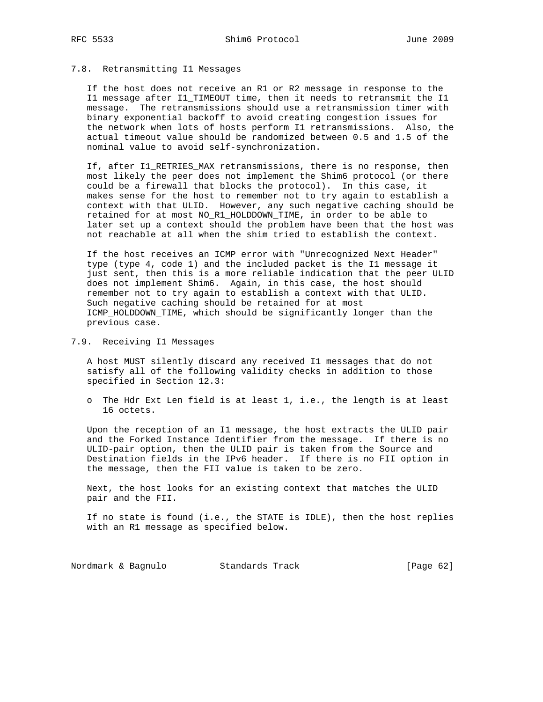#### 7.8. Retransmitting I1 Messages

 If the host does not receive an R1 or R2 message in response to the I1 message after I1\_TIMEOUT time, then it needs to retransmit the I1 message. The retransmissions should use a retransmission timer with binary exponential backoff to avoid creating congestion issues for the network when lots of hosts perform I1 retransmissions. Also, the actual timeout value should be randomized between 0.5 and 1.5 of the nominal value to avoid self-synchronization.

 If, after I1\_RETRIES\_MAX retransmissions, there is no response, then most likely the peer does not implement the Shim6 protocol (or there could be a firewall that blocks the protocol). In this case, it makes sense for the host to remember not to try again to establish a context with that ULID. However, any such negative caching should be retained for at most NO\_R1\_HOLDDOWN\_TIME, in order to be able to later set up a context should the problem have been that the host was not reachable at all when the shim tried to establish the context.

 If the host receives an ICMP error with "Unrecognized Next Header" type (type 4, code 1) and the included packet is the I1 message it just sent, then this is a more reliable indication that the peer ULID does not implement Shim6. Again, in this case, the host should remember not to try again to establish a context with that ULID. Such negative caching should be retained for at most ICMP\_HOLDDOWN\_TIME, which should be significantly longer than the previous case.

7.9. Receiving I1 Messages

 A host MUST silently discard any received I1 messages that do not satisfy all of the following validity checks in addition to those specified in Section 12.3:

 o The Hdr Ext Len field is at least 1, i.e., the length is at least 16 octets.

 Upon the reception of an I1 message, the host extracts the ULID pair and the Forked Instance Identifier from the message. If there is no ULID-pair option, then the ULID pair is taken from the Source and Destination fields in the IPv6 header. If there is no FII option in the message, then the FII value is taken to be zero.

 Next, the host looks for an existing context that matches the ULID pair and the FII.

 If no state is found (i.e., the STATE is IDLE), then the host replies with an R1 message as specified below.

Nordmark & Bagnulo Standards Track [Page 62]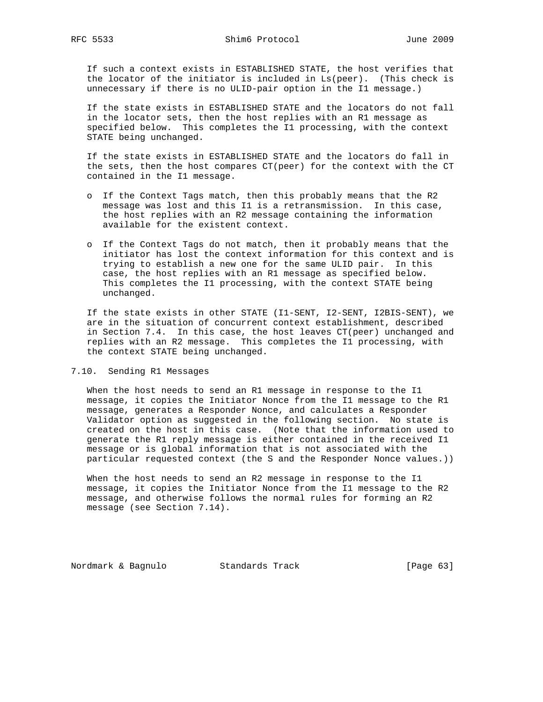If such a context exists in ESTABLISHED STATE, the host verifies that the locator of the initiator is included in Ls(peer). (This check is unnecessary if there is no ULID-pair option in the I1 message.)

 If the state exists in ESTABLISHED STATE and the locators do not fall in the locator sets, then the host replies with an R1 message as specified below. This completes the I1 processing, with the context STATE being unchanged.

 If the state exists in ESTABLISHED STATE and the locators do fall in the sets, then the host compares CT(peer) for the context with the CT contained in the I1 message.

- o If the Context Tags match, then this probably means that the R2 message was lost and this I1 is a retransmission. In this case, the host replies with an R2 message containing the information available for the existent context.
- o If the Context Tags do not match, then it probably means that the initiator has lost the context information for this context and is trying to establish a new one for the same ULID pair. In this case, the host replies with an R1 message as specified below. This completes the I1 processing, with the context STATE being unchanged.

 If the state exists in other STATE (I1-SENT, I2-SENT, I2BIS-SENT), we are in the situation of concurrent context establishment, described in Section 7.4. In this case, the host leaves CT(peer) unchanged and replies with an R2 message. This completes the I1 processing, with the context STATE being unchanged.

7.10. Sending R1 Messages

 When the host needs to send an R1 message in response to the I1 message, it copies the Initiator Nonce from the I1 message to the R1 message, generates a Responder Nonce, and calculates a Responder Validator option as suggested in the following section. No state is created on the host in this case. (Note that the information used to generate the R1 reply message is either contained in the received I1 message or is global information that is not associated with the particular requested context (the S and the Responder Nonce values.))

 When the host needs to send an R2 message in response to the I1 message, it copies the Initiator Nonce from the I1 message to the R2 message, and otherwise follows the normal rules for forming an R2 message (see Section 7.14).

Nordmark & Bagnulo Standards Track [Page 63]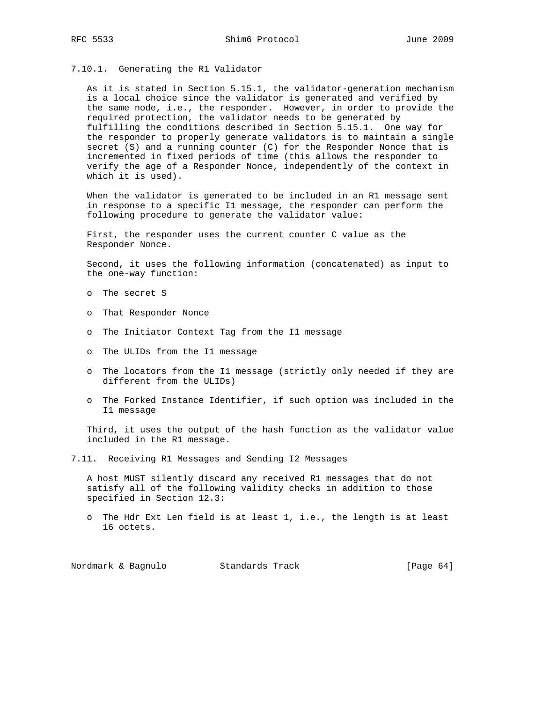#### 7.10.1. Generating the R1 Validator

 As it is stated in Section 5.15.1, the validator-generation mechanism is a local choice since the validator is generated and verified by the same node, i.e., the responder. However, in order to provide the required protection, the validator needs to be generated by fulfilling the conditions described in Section 5.15.1. One way for the responder to properly generate validators is to maintain a single secret (S) and a running counter (C) for the Responder Nonce that is incremented in fixed periods of time (this allows the responder to verify the age of a Responder Nonce, independently of the context in which it is used).

 When the validator is generated to be included in an R1 message sent in response to a specific I1 message, the responder can perform the following procedure to generate the validator value:

 First, the responder uses the current counter C value as the Responder Nonce.

 Second, it uses the following information (concatenated) as input to the one-way function:

- o The secret S
- o That Responder Nonce
- o The Initiator Context Tag from the I1 message
- o The ULIDs from the I1 message
- o The locators from the I1 message (strictly only needed if they are different from the ULIDs)
- o The Forked Instance Identifier, if such option was included in the I1 message

 Third, it uses the output of the hash function as the validator value included in the R1 message.

7.11. Receiving R1 Messages and Sending I2 Messages

 A host MUST silently discard any received R1 messages that do not satisfy all of the following validity checks in addition to those specified in Section 12.3:

 o The Hdr Ext Len field is at least 1, i.e., the length is at least 16 octets.

Nordmark & Bagnulo Standards Track [Page 64]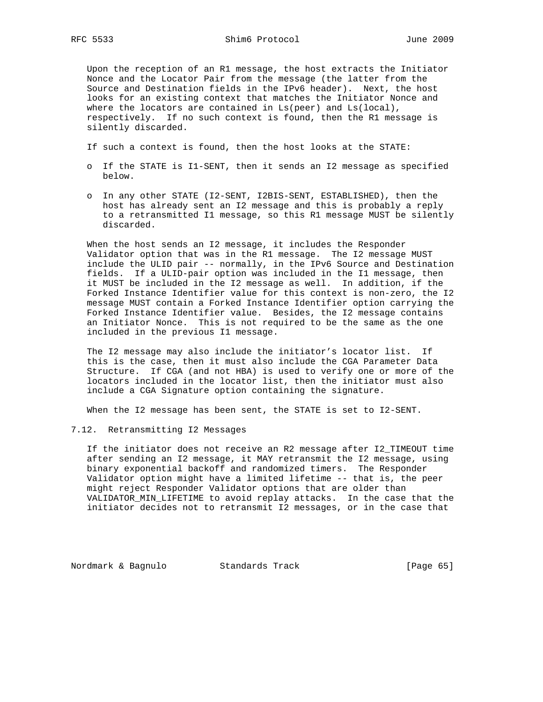Upon the reception of an R1 message, the host extracts the Initiator Nonce and the Locator Pair from the message (the latter from the Source and Destination fields in the IPv6 header). Next, the host looks for an existing context that matches the Initiator Nonce and where the locators are contained in Ls(peer) and Ls(local), respectively. If no such context is found, then the R1 message is silently discarded.

- If such a context is found, then the host looks at the STATE:
- o If the STATE is I1-SENT, then it sends an I2 message as specified below.
- o In any other STATE (I2-SENT, I2BIS-SENT, ESTABLISHED), then the host has already sent an I2 message and this is probably a reply to a retransmitted I1 message, so this R1 message MUST be silently discarded.

 When the host sends an I2 message, it includes the Responder Validator option that was in the R1 message. The I2 message MUST include the ULID pair -- normally, in the IPv6 Source and Destination fields. If a ULID-pair option was included in the I1 message, then it MUST be included in the I2 message as well. In addition, if the Forked Instance Identifier value for this context is non-zero, the I2 message MUST contain a Forked Instance Identifier option carrying the Forked Instance Identifier value. Besides, the I2 message contains an Initiator Nonce. This is not required to be the same as the one included in the previous I1 message.

 The I2 message may also include the initiator's locator list. If this is the case, then it must also include the CGA Parameter Data Structure. If CGA (and not HBA) is used to verify one or more of the locators included in the locator list, then the initiator must also include a CGA Signature option containing the signature.

When the I2 message has been sent, the STATE is set to I2-SENT.

#### 7.12. Retransmitting I2 Messages

 If the initiator does not receive an R2 message after I2\_TIMEOUT time after sending an I2 message, it MAY retransmit the I2 message, using binary exponential backoff and randomized timers. The Responder Validator option might have a limited lifetime -- that is, the peer might reject Responder Validator options that are older than VALIDATOR\_MIN\_LIFETIME to avoid replay attacks. In the case that the initiator decides not to retransmit I2 messages, or in the case that

Nordmark & Bagnulo Standards Track [Page 65]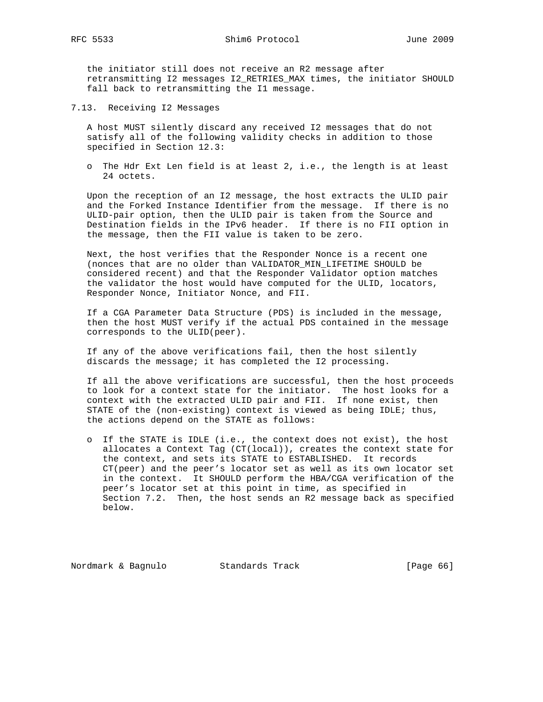the initiator still does not receive an R2 message after retransmitting I2 messages I2\_RETRIES\_MAX times, the initiator SHOULD fall back to retransmitting the I1 message.

7.13. Receiving I2 Messages

 A host MUST silently discard any received I2 messages that do not satisfy all of the following validity checks in addition to those specified in Section 12.3:

 o The Hdr Ext Len field is at least 2, i.e., the length is at least 24 octets.

 Upon the reception of an I2 message, the host extracts the ULID pair and the Forked Instance Identifier from the message. If there is no ULID-pair option, then the ULID pair is taken from the Source and Destination fields in the IPv6 header. If there is no FII option in the message, then the FII value is taken to be zero.

 Next, the host verifies that the Responder Nonce is a recent one (nonces that are no older than VALIDATOR\_MIN\_LIFETIME SHOULD be considered recent) and that the Responder Validator option matches the validator the host would have computed for the ULID, locators, Responder Nonce, Initiator Nonce, and FII.

 If a CGA Parameter Data Structure (PDS) is included in the message, then the host MUST verify if the actual PDS contained in the message corresponds to the ULID(peer).

 If any of the above verifications fail, then the host silently discards the message; it has completed the I2 processing.

 If all the above verifications are successful, then the host proceeds to look for a context state for the initiator. The host looks for a context with the extracted ULID pair and FII. If none exist, then STATE of the (non-existing) context is viewed as being IDLE; thus, the actions depend on the STATE as follows:

 o If the STATE is IDLE (i.e., the context does not exist), the host allocates a Context Tag (CT(local)), creates the context state for the context, and sets its STATE to ESTABLISHED. It records CT(peer) and the peer's locator set as well as its own locator set in the context. It SHOULD perform the HBA/CGA verification of the peer's locator set at this point in time, as specified in Section 7.2. Then, the host sends an R2 message back as specified below.

Nordmark & Bagnulo Standards Track [Page 66]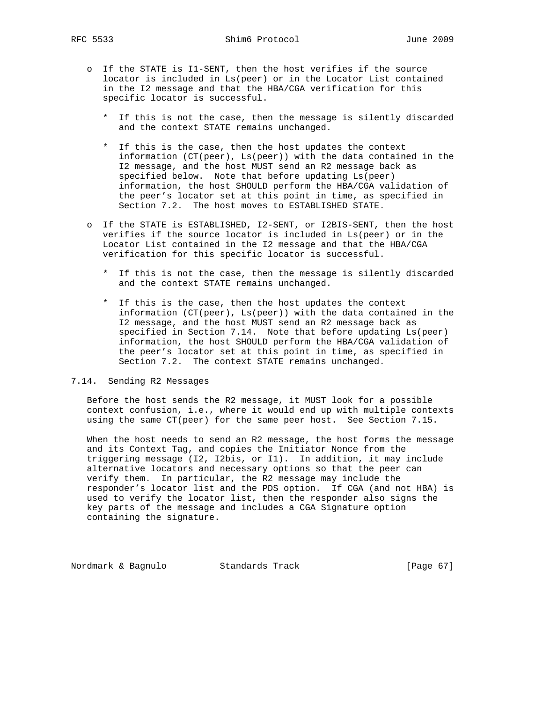- o If the STATE is I1-SENT, then the host verifies if the source locator is included in Ls(peer) or in the Locator List contained in the I2 message and that the HBA/CGA verification for this specific locator is successful.
	- \* If this is not the case, then the message is silently discarded and the context STATE remains unchanged.
	- \* If this is the case, then the host updates the context information (CT(peer), Ls(peer)) with the data contained in the I2 message, and the host MUST send an R2 message back as specified below. Note that before updating Ls(peer) information, the host SHOULD perform the HBA/CGA validation of the peer's locator set at this point in time, as specified in Section 7.2. The host moves to ESTABLISHED STATE.
- o If the STATE is ESTABLISHED, I2-SENT, or I2BIS-SENT, then the host verifies if the source locator is included in Ls(peer) or in the Locator List contained in the I2 message and that the HBA/CGA verification for this specific locator is successful.
	- \* If this is not the case, then the message is silently discarded and the context STATE remains unchanged.
	- \* If this is the case, then the host updates the context information (CT(peer), Ls(peer)) with the data contained in the I2 message, and the host MUST send an R2 message back as specified in Section 7.14. Note that before updating Ls(peer) information, the host SHOULD perform the HBA/CGA validation of the peer's locator set at this point in time, as specified in Section 7.2. The context STATE remains unchanged.

#### 7.14. Sending R2 Messages

 Before the host sends the R2 message, it MUST look for a possible context confusion, i.e., where it would end up with multiple contexts using the same CT(peer) for the same peer host. See Section 7.15.

 When the host needs to send an R2 message, the host forms the message and its Context Tag, and copies the Initiator Nonce from the triggering message (I2, I2bis, or I1). In addition, it may include alternative locators and necessary options so that the peer can verify them. In particular, the R2 message may include the responder's locator list and the PDS option. If CGA (and not HBA) is used to verify the locator list, then the responder also signs the key parts of the message and includes a CGA Signature option containing the signature.

Nordmark & Bagnulo Standards Track [Page 67]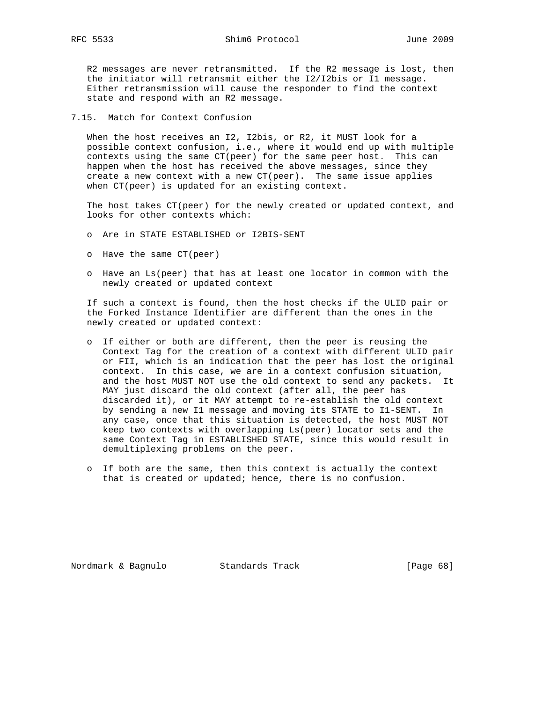R2 messages are never retransmitted. If the R2 message is lost, then the initiator will retransmit either the I2/I2bis or I1 message. Either retransmission will cause the responder to find the context state and respond with an R2 message.

7.15. Match for Context Confusion

 When the host receives an I2, I2bis, or R2, it MUST look for a possible context confusion, i.e., where it would end up with multiple contexts using the same CT(peer) for the same peer host. This can happen when the host has received the above messages, since they create a new context with a new  $CT(peer)$ . The same issue applies when CT(peer) is updated for an existing context.

 The host takes CT(peer) for the newly created or updated context, and looks for other contexts which:

- o Are in STATE ESTABLISHED or I2BIS-SENT
- o Have the same CT(peer)
- o Have an Ls(peer) that has at least one locator in common with the newly created or updated context

 If such a context is found, then the host checks if the ULID pair or the Forked Instance Identifier are different than the ones in the newly created or updated context:

- o If either or both are different, then the peer is reusing the Context Tag for the creation of a context with different ULID pair or FII, which is an indication that the peer has lost the original context. In this case, we are in a context confusion situation, and the host MUST NOT use the old context to send any packets. It MAY just discard the old context (after all, the peer has discarded it), or it MAY attempt to re-establish the old context by sending a new I1 message and moving its STATE to I1-SENT. In any case, once that this situation is detected, the host MUST NOT keep two contexts with overlapping Ls(peer) locator sets and the same Context Tag in ESTABLISHED STATE, since this would result in demultiplexing problems on the peer.
- o If both are the same, then this context is actually the context that is created or updated; hence, there is no confusion.

Nordmark & Bagnulo Standards Track [Page 68]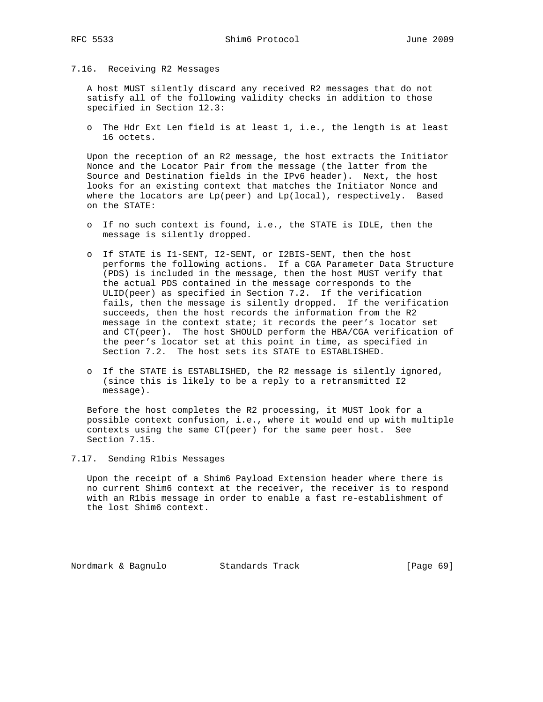### 7.16. Receiving R2 Messages

 A host MUST silently discard any received R2 messages that do not satisfy all of the following validity checks in addition to those specified in Section 12.3:

 o The Hdr Ext Len field is at least 1, i.e., the length is at least 16 octets.

 Upon the reception of an R2 message, the host extracts the Initiator Nonce and the Locator Pair from the message (the latter from the Source and Destination fields in the IPv6 header). Next, the host looks for an existing context that matches the Initiator Nonce and where the locators are Lp(peer) and Lp(local), respectively. Based on the STATE:

- o If no such context is found, i.e., the STATE is IDLE, then the message is silently dropped.
- o If STATE is I1-SENT, I2-SENT, or I2BIS-SENT, then the host performs the following actions. If a CGA Parameter Data Structure (PDS) is included in the message, then the host MUST verify that the actual PDS contained in the message corresponds to the ULID(peer) as specified in Section 7.2. If the verification fails, then the message is silently dropped. If the verification succeeds, then the host records the information from the R2 message in the context state; it records the peer's locator set and CT(peer). The host SHOULD perform the HBA/CGA verification of the peer's locator set at this point in time, as specified in Section 7.2. The host sets its STATE to ESTABLISHED.
- o If the STATE is ESTABLISHED, the R2 message is silently ignored, (since this is likely to be a reply to a retransmitted I2 message).

 Before the host completes the R2 processing, it MUST look for a possible context confusion, i.e., where it would end up with multiple contexts using the same CT(peer) for the same peer host. See Section 7.15.

### 7.17. Sending R1bis Messages

 Upon the receipt of a Shim6 Payload Extension header where there is no current Shim6 context at the receiver, the receiver is to respond with an R1bis message in order to enable a fast re-establishment of the lost Shim6 context.

Nordmark & Bagnulo Standards Track [Page 69]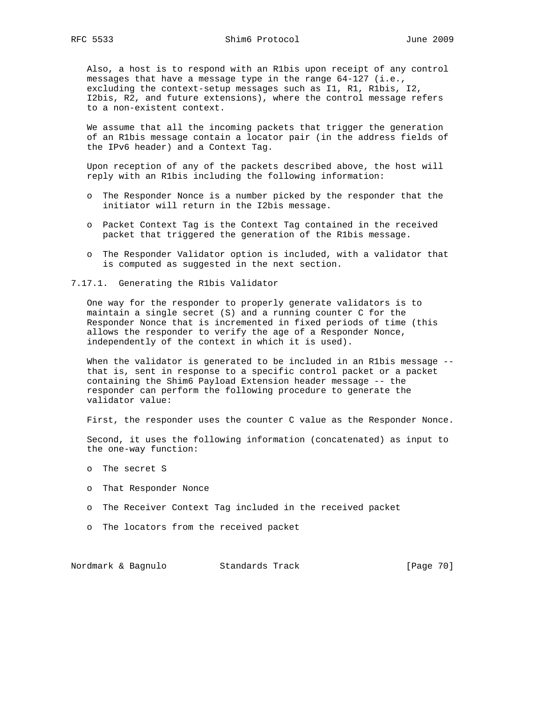Also, a host is to respond with an R1bis upon receipt of any control messages that have a message type in the range 64-127 (i.e., excluding the context-setup messages such as I1, R1, R1bis, I2, I2bis, R2, and future extensions), where the control message refers to a non-existent context.

 We assume that all the incoming packets that trigger the generation of an R1bis message contain a locator pair (in the address fields of the IPv6 header) and a Context Tag.

 Upon reception of any of the packets described above, the host will reply with an R1bis including the following information:

- o The Responder Nonce is a number picked by the responder that the initiator will return in the I2bis message.
- o Packet Context Tag is the Context Tag contained in the received packet that triggered the generation of the R1bis message.
- o The Responder Validator option is included, with a validator that is computed as suggested in the next section.
- 7.17.1. Generating the R1bis Validator

 One way for the responder to properly generate validators is to maintain a single secret (S) and a running counter C for the Responder Nonce that is incremented in fixed periods of time (this allows the responder to verify the age of a Responder Nonce, independently of the context in which it is used).

When the validator is generated to be included in an R1bis message - that is, sent in response to a specific control packet or a packet containing the Shim6 Payload Extension header message -- the responder can perform the following procedure to generate the validator value:

First, the responder uses the counter C value as the Responder Nonce.

 Second, it uses the following information (concatenated) as input to the one-way function:

- o The secret S
- o That Responder Nonce
- o The Receiver Context Tag included in the received packet
- o The locators from the received packet

Nordmark & Bagnulo Standards Track [Page 70]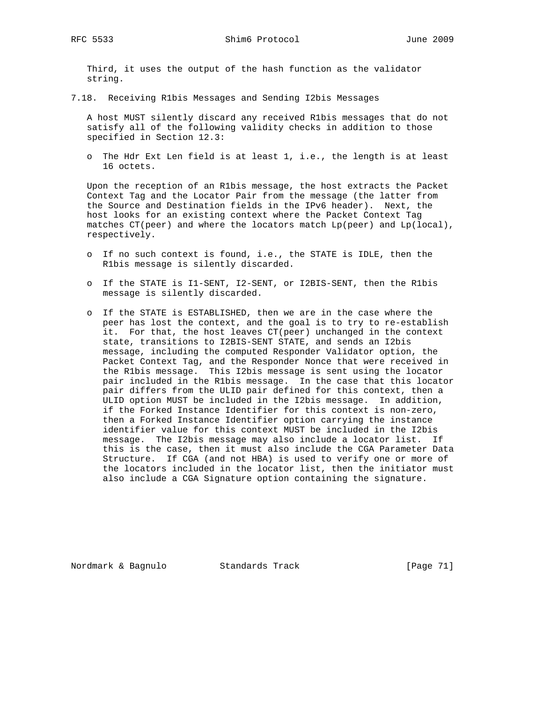Third, it uses the output of the hash function as the validator string.

7.18. Receiving R1bis Messages and Sending I2bis Messages

 A host MUST silently discard any received R1bis messages that do not satisfy all of the following validity checks in addition to those specified in Section 12.3:

 o The Hdr Ext Len field is at least 1, i.e., the length is at least 16 octets.

 Upon the reception of an R1bis message, the host extracts the Packet Context Tag and the Locator Pair from the message (the latter from the Source and Destination fields in the IPv6 header). Next, the host looks for an existing context where the Packet Context Tag matches CT(peer) and where the locators match Lp(peer) and Lp(local), respectively.

- o If no such context is found, i.e., the STATE is IDLE, then the R1bis message is silently discarded.
- o If the STATE is I1-SENT, I2-SENT, or I2BIS-SENT, then the R1bis message is silently discarded.
- o If the STATE is ESTABLISHED, then we are in the case where the peer has lost the context, and the goal is to try to re-establish it. For that, the host leaves CT(peer) unchanged in the context state, transitions to I2BIS-SENT STATE, and sends an I2bis message, including the computed Responder Validator option, the Packet Context Tag, and the Responder Nonce that were received in the R1bis message. This I2bis message is sent using the locator pair included in the R1bis message. In the case that this locator pair differs from the ULID pair defined for this context, then a ULID option MUST be included in the I2bis message. In addition, if the Forked Instance Identifier for this context is non-zero, then a Forked Instance Identifier option carrying the instance identifier value for this context MUST be included in the I2bis message. The I2bis message may also include a locator list. If this is the case, then it must also include the CGA Parameter Data Structure. If CGA (and not HBA) is used to verify one or more of the locators included in the locator list, then the initiator must also include a CGA Signature option containing the signature.

Nordmark & Bagnulo Standards Track [Page 71]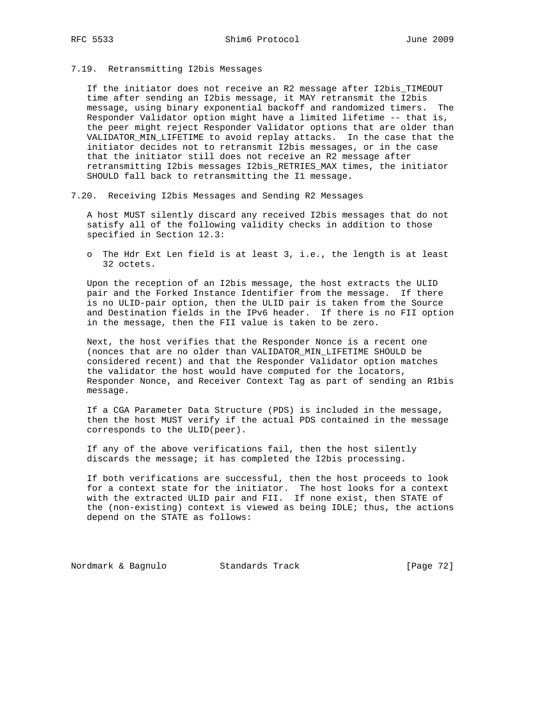7.19. Retransmitting I2bis Messages

 If the initiator does not receive an R2 message after I2bis\_TIMEOUT time after sending an I2bis message, it MAY retransmit the I2bis message, using binary exponential backoff and randomized timers. The Responder Validator option might have a limited lifetime -- that is, the peer might reject Responder Validator options that are older than VALIDATOR\_MIN\_LIFETIME to avoid replay attacks. In the case that the initiator decides not to retransmit I2bis messages, or in the case that the initiator still does not receive an R2 message after retransmitting I2bis messages I2bis\_RETRIES\_MAX times, the initiator SHOULD fall back to retransmitting the I1 message.

7.20. Receiving I2bis Messages and Sending R2 Messages

 A host MUST silently discard any received I2bis messages that do not satisfy all of the following validity checks in addition to those specified in Section 12.3:

 o The Hdr Ext Len field is at least 3, i.e., the length is at least 32 octets.

 Upon the reception of an I2bis message, the host extracts the ULID pair and the Forked Instance Identifier from the message. If there is no ULID-pair option, then the ULID pair is taken from the Source and Destination fields in the IPv6 header. If there is no FII option in the message, then the FII value is taken to be zero.

 Next, the host verifies that the Responder Nonce is a recent one (nonces that are no older than VALIDATOR\_MIN\_LIFETIME SHOULD be considered recent) and that the Responder Validator option matches the validator the host would have computed for the locators, Responder Nonce, and Receiver Context Tag as part of sending an R1bis message.

 If a CGA Parameter Data Structure (PDS) is included in the message, then the host MUST verify if the actual PDS contained in the message corresponds to the ULID(peer).

 If any of the above verifications fail, then the host silently discards the message; it has completed the I2bis processing.

 If both verifications are successful, then the host proceeds to look for a context state for the initiator. The host looks for a context with the extracted ULID pair and FII. If none exist, then STATE of the (non-existing) context is viewed as being IDLE; thus, the actions depend on the STATE as follows:

Nordmark & Bagnulo Standards Track [Page 72]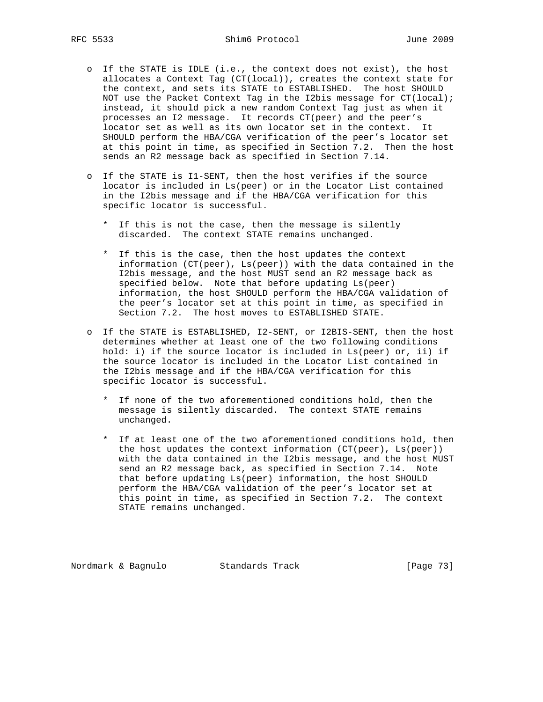- o If the STATE is IDLE (i.e., the context does not exist), the host allocates a Context Tag (CT(local)), creates the context state for the context, and sets its STATE to ESTABLISHED. The host SHOULD NOT use the Packet Context Tag in the I2bis message for CT(local); instead, it should pick a new random Context Tag just as when it processes an I2 message. It records CT(peer) and the peer's locator set as well as its own locator set in the context. It SHOULD perform the HBA/CGA verification of the peer's locator set at this point in time, as specified in Section 7.2. Then the host sends an R2 message back as specified in Section 7.14.
- o If the STATE is I1-SENT, then the host verifies if the source locator is included in Ls(peer) or in the Locator List contained in the I2bis message and if the HBA/CGA verification for this specific locator is successful.
	- \* If this is not the case, then the message is silently discarded. The context STATE remains unchanged.
	- \* If this is the case, then the host updates the context information (CT(peer), Ls(peer)) with the data contained in the I2bis message, and the host MUST send an R2 message back as specified below. Note that before updating Ls(peer) information, the host SHOULD perform the HBA/CGA validation of the peer's locator set at this point in time, as specified in Section 7.2. The host moves to ESTABLISHED STATE.
- o If the STATE is ESTABLISHED, I2-SENT, or I2BIS-SENT, then the host determines whether at least one of the two following conditions hold: i) if the source locator is included in Ls(peer) or, ii) if the source locator is included in the Locator List contained in the I2bis message and if the HBA/CGA verification for this specific locator is successful.
	- \* If none of the two aforementioned conditions hold, then the message is silently discarded. The context STATE remains unchanged.
	- \* If at least one of the two aforementioned conditions hold, then the host updates the context information (CT(peer), Ls(peer)) with the data contained in the I2bis message, and the host MUST send an R2 message back, as specified in Section 7.14. Note that before updating Ls(peer) information, the host SHOULD perform the HBA/CGA validation of the peer's locator set at this point in time, as specified in Section 7.2. The context STATE remains unchanged.

Nordmark & Bagnulo Standards Track [Page 73]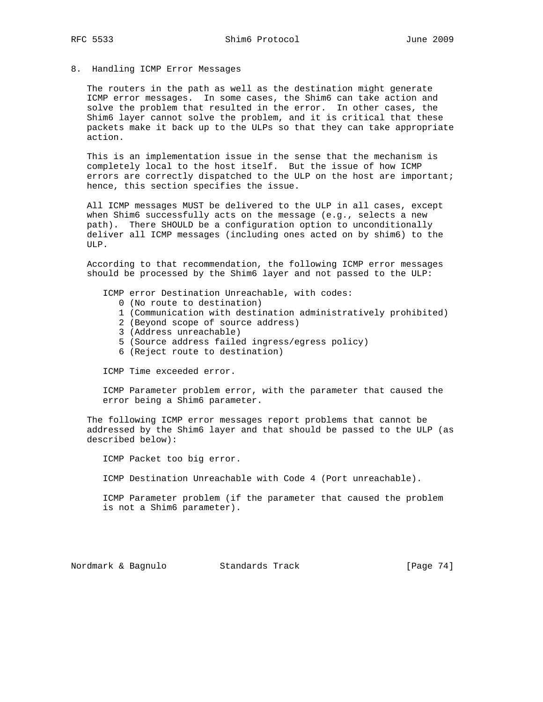# 8. Handling ICMP Error Messages

 The routers in the path as well as the destination might generate ICMP error messages. In some cases, the Shim6 can take action and solve the problem that resulted in the error. In other cases, the Shim6 layer cannot solve the problem, and it is critical that these packets make it back up to the ULPs so that they can take appropriate action.

 This is an implementation issue in the sense that the mechanism is completely local to the host itself. But the issue of how ICMP errors are correctly dispatched to the ULP on the host are important; hence, this section specifies the issue.

 All ICMP messages MUST be delivered to the ULP in all cases, except when Shim6 successfully acts on the message (e.g., selects a new path). There SHOULD be a configuration option to unconditionally deliver all ICMP messages (including ones acted on by shim6) to the ULP.

 According to that recommendation, the following ICMP error messages should be processed by the Shim6 layer and not passed to the ULP:

ICMP error Destination Unreachable, with codes:

- 0 (No route to destination)
- 1 (Communication with destination administratively prohibited)
- 2 (Beyond scope of source address)
- 3 (Address unreachable)
- 5 (Source address failed ingress/egress policy)
- 6 (Reject route to destination)

ICMP Time exceeded error.

 ICMP Parameter problem error, with the parameter that caused the error being a Shim6 parameter.

 The following ICMP error messages report problems that cannot be addressed by the Shim6 layer and that should be passed to the ULP (as described below):

ICMP Packet too big error.

ICMP Destination Unreachable with Code 4 (Port unreachable).

 ICMP Parameter problem (if the parameter that caused the problem is not a Shim6 parameter).

Nordmark & Bagnulo Standards Track [Page 74]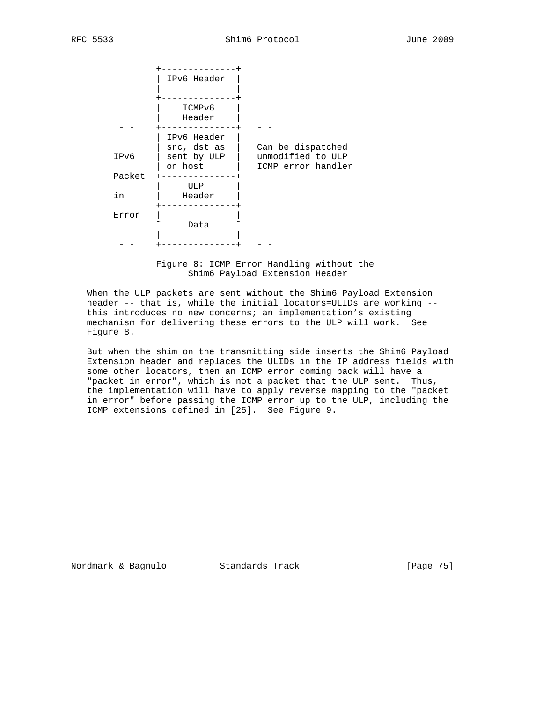|        | IPv6 Header                                          |                                                              |
|--------|------------------------------------------------------|--------------------------------------------------------------|
|        | ICMPv6<br>Header                                     |                                                              |
| IPv6   | IPv6 Header<br>src, dst as<br>sent by ULP<br>on host | Can be dispatched<br>unmodified to ULP<br>ICMP error handler |
| Packet | ULP                                                  |                                                              |
| in     | Header                                               |                                                              |
| Error  | Data                                                 |                                                              |
|        |                                                      |                                                              |

 Figure 8: ICMP Error Handling without the Shim6 Payload Extension Header

 When the ULP packets are sent without the Shim6 Payload Extension header -- that is, while the initial locators=ULIDs are working - this introduces no new concerns; an implementation's existing mechanism for delivering these errors to the ULP will work. See Figure 8.

 But when the shim on the transmitting side inserts the Shim6 Payload Extension header and replaces the ULIDs in the IP address fields with some other locators, then an ICMP error coming back will have a "packet in error", which is not a packet that the ULP sent. Thus, the implementation will have to apply reverse mapping to the "packet in error" before passing the ICMP error up to the ULP, including the ICMP extensions defined in [25]. See Figure 9.

Nordmark & Bagnulo Standards Track [Page 75]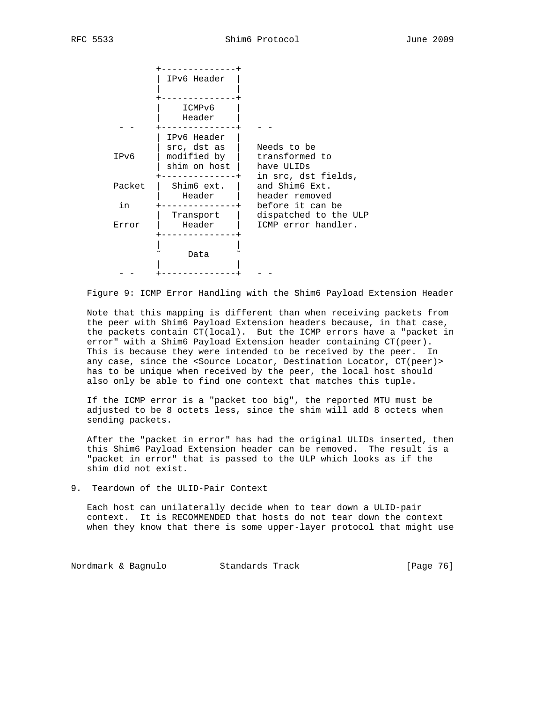|              | IPv6 Header                                               |                                                                    |
|--------------|-----------------------------------------------------------|--------------------------------------------------------------------|
|              | ICMPv6<br>Header                                          |                                                                    |
| IPv6         | IPv6 Header<br>src, dst as<br>modified by<br>shim on host | Needs to be<br>transformed to<br>have ULIDs<br>in src, dst fields, |
| Packet<br>in | Shim6 ext.<br>Header                                      | and Shim6 Ext.<br>header removed<br>before it can be               |
| Error        | Transport<br>Header                                       | dispatched to the ULP<br>ICMP error handler.                       |
|              | Data                                                      |                                                                    |

Figure 9: ICMP Error Handling with the Shim6 Payload Extension Header

 Note that this mapping is different than when receiving packets from the peer with Shim6 Payload Extension headers because, in that case, the packets contain CT(local). But the ICMP errors have a "packet in error" with a Shim6 Payload Extension header containing CT(peer). This is because they were intended to be received by the peer. In any case, since the <Source Locator, Destination Locator, CT(peer)> has to be unique when received by the peer, the local host should also only be able to find one context that matches this tuple.

 If the ICMP error is a "packet too big", the reported MTU must be adjusted to be 8 octets less, since the shim will add 8 octets when sending packets.

 After the "packet in error" has had the original ULIDs inserted, then this Shim6 Payload Extension header can be removed. The result is a "packet in error" that is passed to the ULP which looks as if the shim did not exist.

9. Teardown of the ULID-Pair Context

 Each host can unilaterally decide when to tear down a ULID-pair context. It is RECOMMENDED that hosts do not tear down the context when they know that there is some upper-layer protocol that might use

Nordmark & Bagnulo Standards Track [Page 76]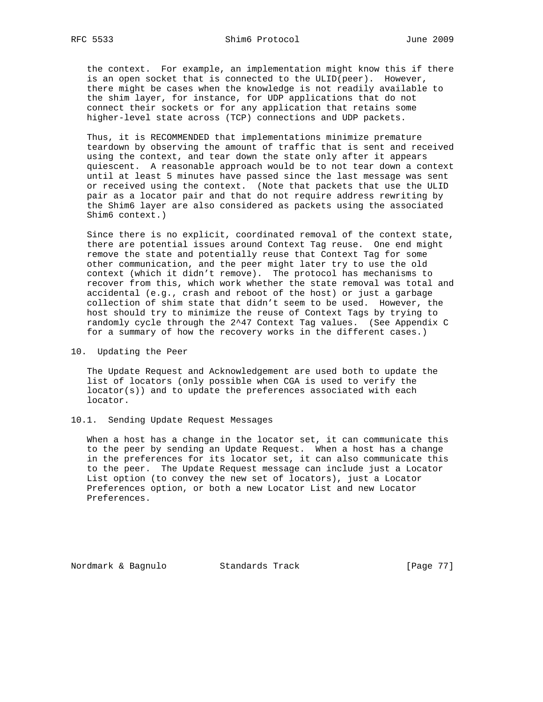the context. For example, an implementation might know this if there is an open socket that is connected to the ULID(peer). However, there might be cases when the knowledge is not readily available to the shim layer, for instance, for UDP applications that do not connect their sockets or for any application that retains some higher-level state across (TCP) connections and UDP packets.

 Thus, it is RECOMMENDED that implementations minimize premature teardown by observing the amount of traffic that is sent and received using the context, and tear down the state only after it appears quiescent. A reasonable approach would be to not tear down a context until at least 5 minutes have passed since the last message was sent or received using the context. (Note that packets that use the ULID pair as a locator pair and that do not require address rewriting by the Shim6 layer are also considered as packets using the associated Shim6 context.)

 Since there is no explicit, coordinated removal of the context state, there are potential issues around Context Tag reuse. One end might remove the state and potentially reuse that Context Tag for some other communication, and the peer might later try to use the old context (which it didn't remove). The protocol has mechanisms to recover from this, which work whether the state removal was total and accidental (e.g., crash and reboot of the host) or just a garbage collection of shim state that didn't seem to be used. However, the host should try to minimize the reuse of Context Tags by trying to randomly cycle through the 2^47 Context Tag values. (See Appendix C for a summary of how the recovery works in the different cases.)

### 10. Updating the Peer

 The Update Request and Acknowledgement are used both to update the list of locators (only possible when CGA is used to verify the locator(s)) and to update the preferences associated with each locator.

## 10.1. Sending Update Request Messages

 When a host has a change in the locator set, it can communicate this to the peer by sending an Update Request. When a host has a change in the preferences for its locator set, it can also communicate this to the peer. The Update Request message can include just a Locator List option (to convey the new set of locators), just a Locator Preferences option, or both a new Locator List and new Locator Preferences.

Nordmark & Bagnulo Standards Track [Page 77]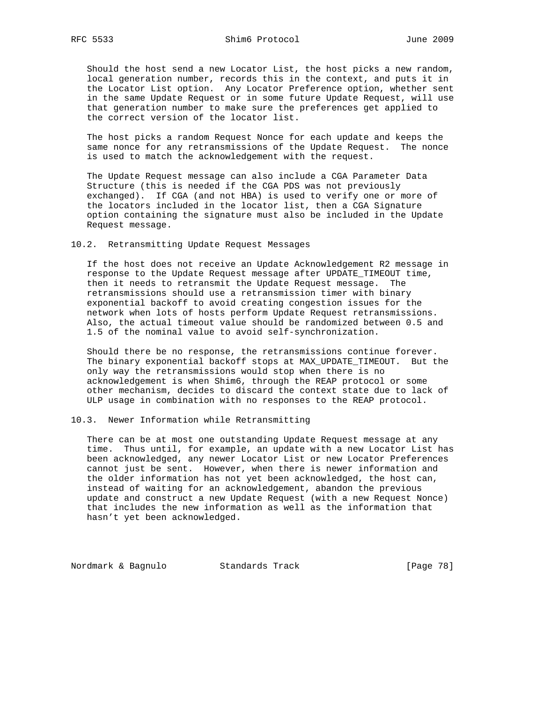Should the host send a new Locator List, the host picks a new random, local generation number, records this in the context, and puts it in the Locator List option. Any Locator Preference option, whether sent in the same Update Request or in some future Update Request, will use that generation number to make sure the preferences get applied to the correct version of the locator list.

 The host picks a random Request Nonce for each update and keeps the same nonce for any retransmissions of the Update Request. The nonce is used to match the acknowledgement with the request.

 The Update Request message can also include a CGA Parameter Data Structure (this is needed if the CGA PDS was not previously exchanged). If CGA (and not HBA) is used to verify one or more of the locators included in the locator list, then a CGA Signature option containing the signature must also be included in the Update Request message.

10.2. Retransmitting Update Request Messages

 If the host does not receive an Update Acknowledgement R2 message in response to the Update Request message after UPDATE\_TIMEOUT time, then it needs to retransmit the Update Request message. The retransmissions should use a retransmission timer with binary exponential backoff to avoid creating congestion issues for the network when lots of hosts perform Update Request retransmissions. Also, the actual timeout value should be randomized between 0.5 and 1.5 of the nominal value to avoid self-synchronization.

 Should there be no response, the retransmissions continue forever. The binary exponential backoff stops at MAX\_UPDATE\_TIMEOUT. But the only way the retransmissions would stop when there is no acknowledgement is when Shim6, through the REAP protocol or some other mechanism, decides to discard the context state due to lack of ULP usage in combination with no responses to the REAP protocol.

10.3. Newer Information while Retransmitting

 There can be at most one outstanding Update Request message at any time. Thus until, for example, an update with a new Locator List has been acknowledged, any newer Locator List or new Locator Preferences cannot just be sent. However, when there is newer information and the older information has not yet been acknowledged, the host can, instead of waiting for an acknowledgement, abandon the previous update and construct a new Update Request (with a new Request Nonce) that includes the new information as well as the information that hasn't yet been acknowledged.

Nordmark & Bagnulo Standards Track [Page 78]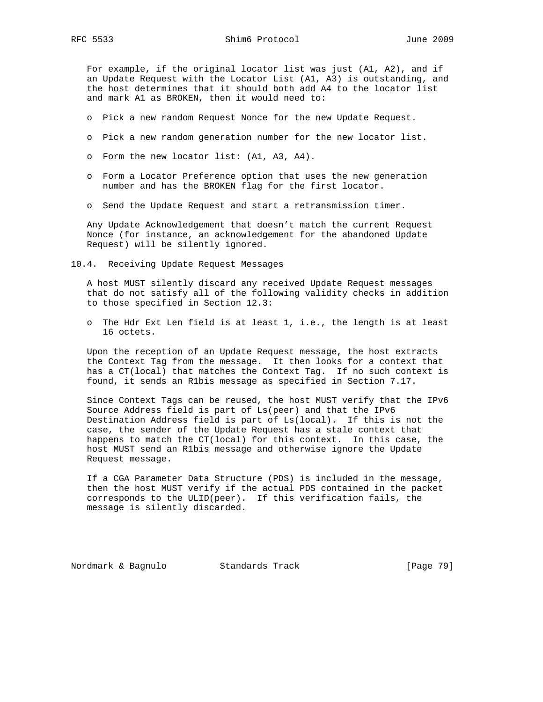For example, if the original locator list was just (A1, A2), and if an Update Request with the Locator List (A1, A3) is outstanding, and the host determines that it should both add A4 to the locator list and mark A1 as BROKEN, then it would need to:

- o Pick a new random Request Nonce for the new Update Request.
- o Pick a new random generation number for the new locator list.
- o Form the new locator list: (A1, A3, A4).
- o Form a Locator Preference option that uses the new generation number and has the BROKEN flag for the first locator.
- o Send the Update Request and start a retransmission timer.

 Any Update Acknowledgement that doesn't match the current Request Nonce (for instance, an acknowledgement for the abandoned Update Request) will be silently ignored.

10.4. Receiving Update Request Messages

 A host MUST silently discard any received Update Request messages that do not satisfy all of the following validity checks in addition to those specified in Section 12.3:

 o The Hdr Ext Len field is at least 1, i.e., the length is at least 16 octets.

 Upon the reception of an Update Request message, the host extracts the Context Tag from the message. It then looks for a context that has a CT(local) that matches the Context Tag. If no such context is found, it sends an R1bis message as specified in Section 7.17.

 Since Context Tags can be reused, the host MUST verify that the IPv6 Source Address field is part of Ls(peer) and that the IPv6 Destination Address field is part of Ls(local). If this is not the case, the sender of the Update Request has a stale context that happens to match the CT(local) for this context. In this case, the host MUST send an R1bis message and otherwise ignore the Update Request message.

 If a CGA Parameter Data Structure (PDS) is included in the message, then the host MUST verify if the actual PDS contained in the packet corresponds to the ULID(peer). If this verification fails, the message is silently discarded.

Nordmark & Bagnulo Standards Track [Page 79]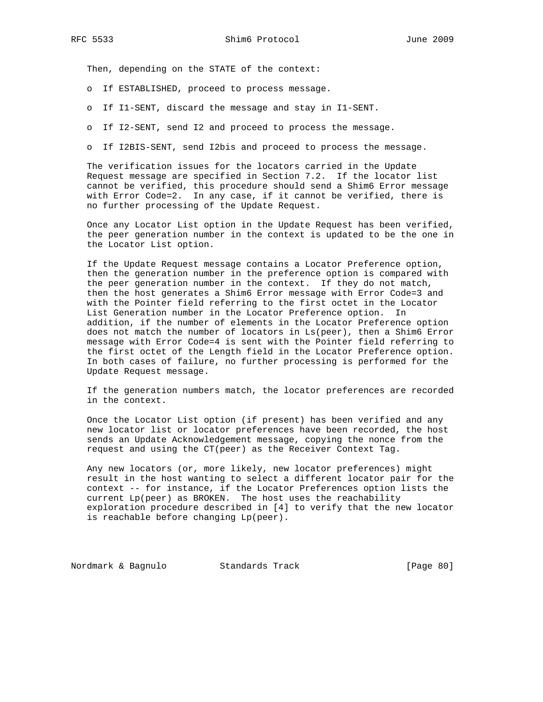Then, depending on the STATE of the context:

- o If ESTABLISHED, proceed to process message.
- o If I1-SENT, discard the message and stay in I1-SENT.
- o If I2-SENT, send I2 and proceed to process the message.
- o If I2BIS-SENT, send I2bis and proceed to process the message.

 The verification issues for the locators carried in the Update Request message are specified in Section 7.2. If the locator list cannot be verified, this procedure should send a Shim6 Error message with Error Code=2. In any case, if it cannot be verified, there is no further processing of the Update Request.

 Once any Locator List option in the Update Request has been verified, the peer generation number in the context is updated to be the one in the Locator List option.

 If the Update Request message contains a Locator Preference option, then the generation number in the preference option is compared with the peer generation number in the context. If they do not match, then the host generates a Shim6 Error message with Error Code=3 and with the Pointer field referring to the first octet in the Locator List Generation number in the Locator Preference option. In addition, if the number of elements in the Locator Preference option does not match the number of locators in Ls(peer), then a Shim6 Error message with Error Code=4 is sent with the Pointer field referring to the first octet of the Length field in the Locator Preference option. In both cases of failure, no further processing is performed for the Update Request message.

 If the generation numbers match, the locator preferences are recorded in the context.

 Once the Locator List option (if present) has been verified and any new locator list or locator preferences have been recorded, the host sends an Update Acknowledgement message, copying the nonce from the request and using the CT(peer) as the Receiver Context Tag.

 Any new locators (or, more likely, new locator preferences) might result in the host wanting to select a different locator pair for the context -- for instance, if the Locator Preferences option lists the current Lp(peer) as BROKEN. The host uses the reachability exploration procedure described in [4] to verify that the new locator is reachable before changing Lp(peer).

Nordmark & Bagnulo Standards Track [Page 80]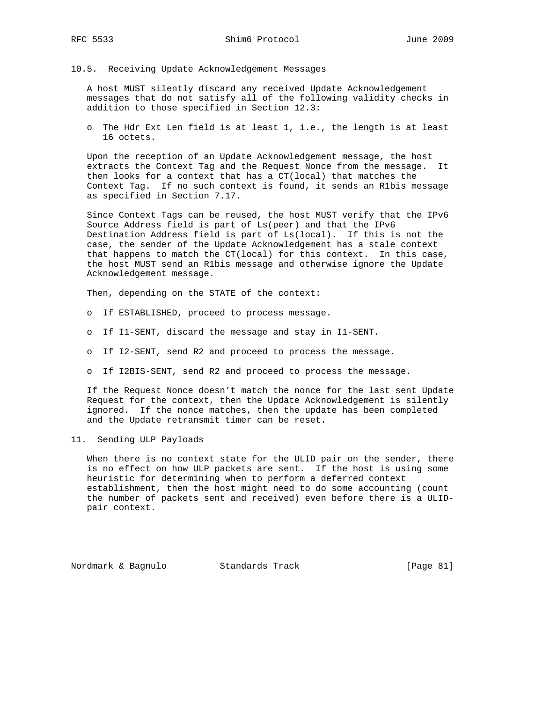10.5. Receiving Update Acknowledgement Messages

 A host MUST silently discard any received Update Acknowledgement messages that do not satisfy all of the following validity checks in addition to those specified in Section 12.3:

 o The Hdr Ext Len field is at least 1, i.e., the length is at least 16 octets.

 Upon the reception of an Update Acknowledgement message, the host extracts the Context Tag and the Request Nonce from the message. It then looks for a context that has a CT(local) that matches the Context Tag. If no such context is found, it sends an R1bis message as specified in Section 7.17.

 Since Context Tags can be reused, the host MUST verify that the IPv6 Source Address field is part of Ls(peer) and that the IPv6 Destination Address field is part of Ls(local). If this is not the case, the sender of the Update Acknowledgement has a stale context that happens to match the CT(local) for this context. In this case, the host MUST send an R1bis message and otherwise ignore the Update Acknowledgement message.

Then, depending on the STATE of the context:

- o If ESTABLISHED, proceed to process message.
- o If I1-SENT, discard the message and stay in I1-SENT.
- o If I2-SENT, send R2 and proceed to process the message.
- o If I2BIS-SENT, send R2 and proceed to process the message.

 If the Request Nonce doesn't match the nonce for the last sent Update Request for the context, then the Update Acknowledgement is silently ignored. If the nonce matches, then the update has been completed and the Update retransmit timer can be reset.

11. Sending ULP Payloads

When there is no context state for the ULID pair on the sender, there is no effect on how ULP packets are sent. If the host is using some heuristic for determining when to perform a deferred context establishment, then the host might need to do some accounting (count the number of packets sent and received) even before there is a ULID pair context.

Nordmark & Bagnulo Standards Track [Page 81]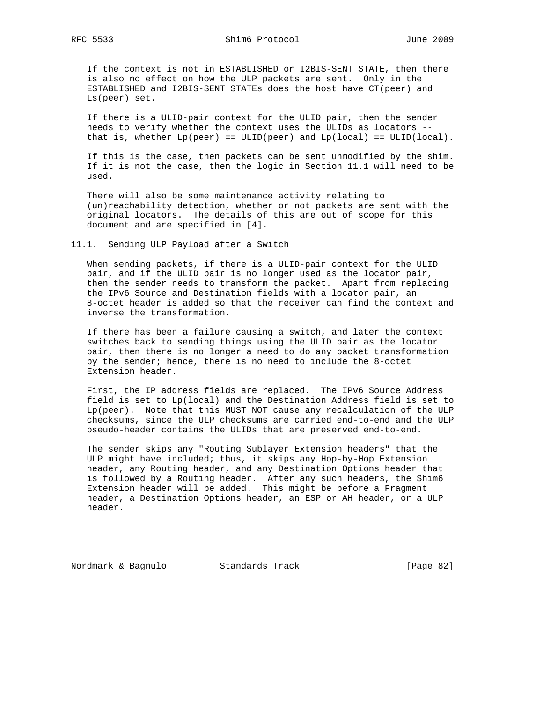If the context is not in ESTABLISHED or I2BIS-SENT STATE, then there is also no effect on how the ULP packets are sent. Only in the ESTABLISHED and I2BIS-SENT STATEs does the host have CT(peer) and Ls(peer) set.

 If there is a ULID-pair context for the ULID pair, then the sender needs to verify whether the context uses the ULIDs as locators - that is, whether  $Lp(\text{peer}) = ULD(\text{peer})$  and  $Lp(\text{local}) = ULD(\text{local})$ .

 If this is the case, then packets can be sent unmodified by the shim. If it is not the case, then the logic in Section 11.1 will need to be used.

 There will also be some maintenance activity relating to (un)reachability detection, whether or not packets are sent with the original locators. The details of this are out of scope for this document and are specified in [4].

11.1. Sending ULP Payload after a Switch

 When sending packets, if there is a ULID-pair context for the ULID pair, and if the ULID pair is no longer used as the locator pair, then the sender needs to transform the packet. Apart from replacing the IPv6 Source and Destination fields with a locator pair, an 8-octet header is added so that the receiver can find the context and inverse the transformation.

 If there has been a failure causing a switch, and later the context switches back to sending things using the ULID pair as the locator pair, then there is no longer a need to do any packet transformation by the sender; hence, there is no need to include the 8-octet Extension header.

 First, the IP address fields are replaced. The IPv6 Source Address field is set to Lp(local) and the Destination Address field is set to Lp(peer). Note that this MUST NOT cause any recalculation of the ULP checksums, since the ULP checksums are carried end-to-end and the ULP pseudo-header contains the ULIDs that are preserved end-to-end.

 The sender skips any "Routing Sublayer Extension headers" that the ULP might have included; thus, it skips any Hop-by-Hop Extension header, any Routing header, and any Destination Options header that is followed by a Routing header. After any such headers, the Shim6 Extension header will be added. This might be before a Fragment header, a Destination Options header, an ESP or AH header, or a ULP header.

Nordmark & Bagnulo Standards Track [Page 82]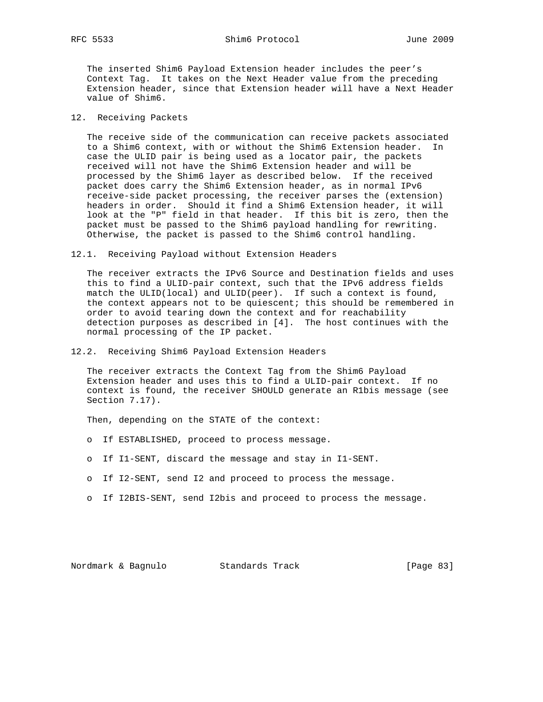The inserted Shim6 Payload Extension header includes the peer's Context Tag. It takes on the Next Header value from the preceding Extension header, since that Extension header will have a Next Header value of Shim6.

### 12. Receiving Packets

 The receive side of the communication can receive packets associated to a Shim6 context, with or without the Shim6 Extension header. In case the ULID pair is being used as a locator pair, the packets received will not have the Shim6 Extension header and will be processed by the Shim6 layer as described below. If the received packet does carry the Shim6 Extension header, as in normal IPv6 receive-side packet processing, the receiver parses the (extension) headers in order. Should it find a Shim6 Extension header, it will look at the "P" field in that header. If this bit is zero, then the packet must be passed to the Shim6 payload handling for rewriting. Otherwise, the packet is passed to the Shim6 control handling.

12.1. Receiving Payload without Extension Headers

 The receiver extracts the IPv6 Source and Destination fields and uses this to find a ULID-pair context, such that the IPv6 address fields match the ULID(local) and ULID(peer). If such a context is found, the context appears not to be quiescent; this should be remembered in order to avoid tearing down the context and for reachability detection purposes as described in [4]. The host continues with the normal processing of the IP packet.

12.2. Receiving Shim6 Payload Extension Headers

 The receiver extracts the Context Tag from the Shim6 Payload Extension header and uses this to find a ULID-pair context. If no context is found, the receiver SHOULD generate an R1bis message (see Section 7.17).

Then, depending on the STATE of the context:

- o If ESTABLISHED, proceed to process message.
- o If I1-SENT, discard the message and stay in I1-SENT.
- o If I2-SENT, send I2 and proceed to process the message.
- o If I2BIS-SENT, send I2bis and proceed to process the message.

Nordmark & Bagnulo Standards Track [Page 83]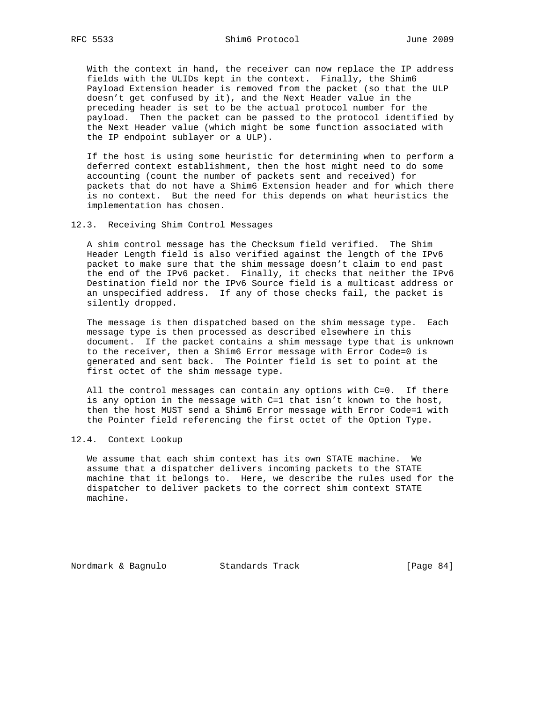With the context in hand, the receiver can now replace the IP address fields with the ULIDs kept in the context. Finally, the Shim6 Payload Extension header is removed from the packet (so that the ULP doesn't get confused by it), and the Next Header value in the preceding header is set to be the actual protocol number for the payload. Then the packet can be passed to the protocol identified by the Next Header value (which might be some function associated with the IP endpoint sublayer or a ULP).

 If the host is using some heuristic for determining when to perform a deferred context establishment, then the host might need to do some accounting (count the number of packets sent and received) for packets that do not have a Shim6 Extension header and for which there is no context. But the need for this depends on what heuristics the implementation has chosen.

12.3. Receiving Shim Control Messages

 A shim control message has the Checksum field verified. The Shim Header Length field is also verified against the length of the IPv6 packet to make sure that the shim message doesn't claim to end past the end of the IPv6 packet. Finally, it checks that neither the IPv6 Destination field nor the IPv6 Source field is a multicast address or an unspecified address. If any of those checks fail, the packet is silently dropped.

 The message is then dispatched based on the shim message type. Each message type is then processed as described elsewhere in this document. If the packet contains a shim message type that is unknown to the receiver, then a Shim6 Error message with Error Code=0 is generated and sent back. The Pointer field is set to point at the first octet of the shim message type.

 All the control messages can contain any options with C=0. If there is any option in the message with C=1 that isn't known to the host, then the host MUST send a Shim6 Error message with Error Code=1 with the Pointer field referencing the first octet of the Option Type.

12.4. Context Lookup

 We assume that each shim context has its own STATE machine. We assume that a dispatcher delivers incoming packets to the STATE machine that it belongs to. Here, we describe the rules used for the dispatcher to deliver packets to the correct shim context STATE machine.

Nordmark & Bagnulo Standards Track [Page 84]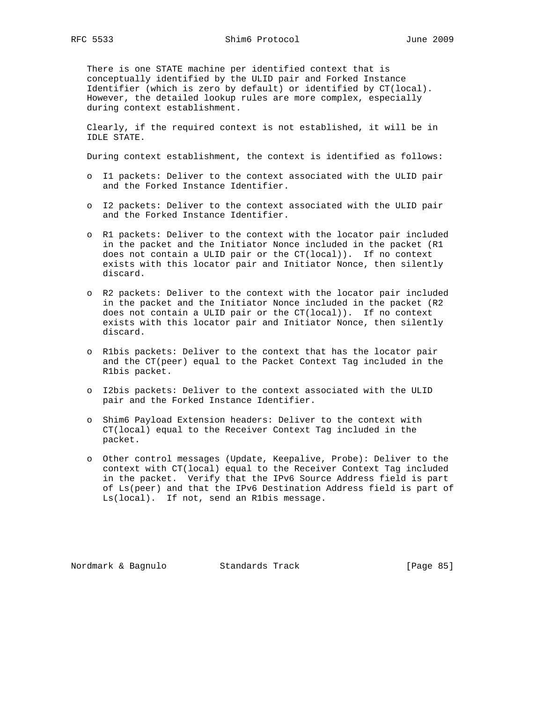There is one STATE machine per identified context that is conceptually identified by the ULID pair and Forked Instance Identifier (which is zero by default) or identified by CT(local). However, the detailed lookup rules are more complex, especially during context establishment.

 Clearly, if the required context is not established, it will be in IDLE STATE.

During context establishment, the context is identified as follows:

- o I1 packets: Deliver to the context associated with the ULID pair and the Forked Instance Identifier.
- o I2 packets: Deliver to the context associated with the ULID pair and the Forked Instance Identifier.
- o R1 packets: Deliver to the context with the locator pair included in the packet and the Initiator Nonce included in the packet (R1 does not contain a ULID pair or the CT(local)). If no context exists with this locator pair and Initiator Nonce, then silently discard.
- o R2 packets: Deliver to the context with the locator pair included in the packet and the Initiator Nonce included in the packet (R2 does not contain a ULID pair or the CT(local)). If no context exists with this locator pair and Initiator Nonce, then silently discard.
- o R1bis packets: Deliver to the context that has the locator pair and the CT(peer) equal to the Packet Context Tag included in the R1bis packet.
- o I2bis packets: Deliver to the context associated with the ULID pair and the Forked Instance Identifier.
- o Shim6 Payload Extension headers: Deliver to the context with CT(local) equal to the Receiver Context Tag included in the packet.
- o Other control messages (Update, Keepalive, Probe): Deliver to the context with CT(local) equal to the Receiver Context Tag included in the packet. Verify that the IPv6 Source Address field is part of Ls(peer) and that the IPv6 Destination Address field is part of Ls(local). If not, send an R1bis message.

Nordmark & Bagnulo Standards Track [Page 85]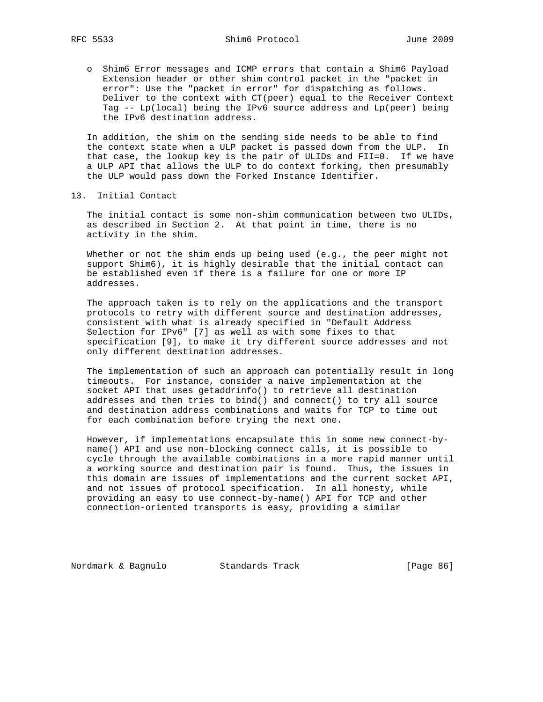o Shim6 Error messages and ICMP errors that contain a Shim6 Payload Extension header or other shim control packet in the "packet in error": Use the "packet in error" for dispatching as follows. Deliver to the context with CT(peer) equal to the Receiver Context Tag -- Lp(local) being the IPv6 source address and Lp(peer) being the IPv6 destination address.

 In addition, the shim on the sending side needs to be able to find the context state when a ULP packet is passed down from the ULP. In that case, the lookup key is the pair of ULIDs and FII=0. If we have a ULP API that allows the ULP to do context forking, then presumably the ULP would pass down the Forked Instance Identifier.

13. Initial Contact

 The initial contact is some non-shim communication between two ULIDs, as described in Section 2. At that point in time, there is no activity in the shim.

 Whether or not the shim ends up being used (e.g., the peer might not support Shim6), it is highly desirable that the initial contact can be established even if there is a failure for one or more IP addresses.

 The approach taken is to rely on the applications and the transport protocols to retry with different source and destination addresses, consistent with what is already specified in "Default Address Selection for IPv6" [7] as well as with some fixes to that specification [9], to make it try different source addresses and not only different destination addresses.

 The implementation of such an approach can potentially result in long timeouts. For instance, consider a naive implementation at the socket API that uses getaddrinfo() to retrieve all destination addresses and then tries to bind() and connect() to try all source and destination address combinations and waits for TCP to time out for each combination before trying the next one.

 However, if implementations encapsulate this in some new connect-by name() API and use non-blocking connect calls, it is possible to cycle through the available combinations in a more rapid manner until a working source and destination pair is found. Thus, the issues in this domain are issues of implementations and the current socket API, and not issues of protocol specification. In all honesty, while providing an easy to use connect-by-name() API for TCP and other connection-oriented transports is easy, providing a similar

Nordmark & Bagnulo Standards Track [Page 86]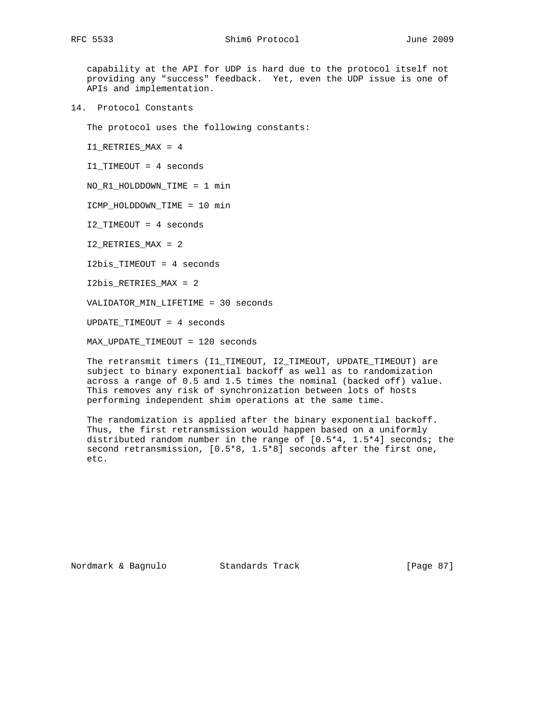capability at the API for UDP is hard due to the protocol itself not providing any "success" feedback. Yet, even the UDP issue is one of APIs and implementation.

14. Protocol Constants

The protocol uses the following constants:

I1\_RETRIES\_MAX = 4

I1\_TIMEOUT = 4 seconds

NO\_R1\_HOLDDOWN\_TIME = 1 min

ICMP\_HOLDDOWN\_TIME = 10 min

I2\_TIMEOUT = 4 seconds

I2\_RETRIES\_MAX = 2

I2bis\_TIMEOUT = 4 seconds

I2bis\_RETRIES\_MAX = 2

VALIDATOR\_MIN\_LIFETIME = 30 seconds

UPDATE\_TIMEOUT = 4 seconds

MAX\_UPDATE\_TIMEOUT = 120 seconds

 The retransmit timers (I1\_TIMEOUT, I2\_TIMEOUT, UPDATE\_TIMEOUT) are subject to binary exponential backoff as well as to randomization across a range of 0.5 and 1.5 times the nominal (backed off) value. This removes any risk of synchronization between lots of hosts performing independent shim operations at the same time.

 The randomization is applied after the binary exponential backoff. Thus, the first retransmission would happen based on a uniformly distributed random number in the range of [0.5\*4, 1.5\*4] seconds; the second retransmission, [0.5\*8, 1.5\*8] seconds after the first one, etc.

Nordmark & Bagnulo Standards Track [Page 87]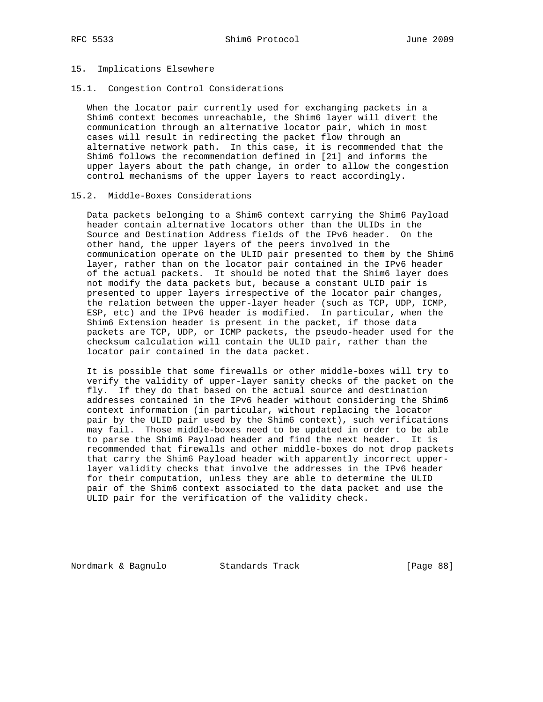# 15. Implications Elsewhere

15.1. Congestion Control Considerations

 When the locator pair currently used for exchanging packets in a Shim6 context becomes unreachable, the Shim6 layer will divert the communication through an alternative locator pair, which in most cases will result in redirecting the packet flow through an alternative network path. In this case, it is recommended that the Shim6 follows the recommendation defined in [21] and informs the upper layers about the path change, in order to allow the congestion control mechanisms of the upper layers to react accordingly.

#### 15.2. Middle-Boxes Considerations

 Data packets belonging to a Shim6 context carrying the Shim6 Payload header contain alternative locators other than the ULIDs in the Source and Destination Address fields of the IPv6 header. On the other hand, the upper layers of the peers involved in the communication operate on the ULID pair presented to them by the Shim6 layer, rather than on the locator pair contained in the IPv6 header of the actual packets. It should be noted that the Shim6 layer does not modify the data packets but, because a constant ULID pair is presented to upper layers irrespective of the locator pair changes, the relation between the upper-layer header (such as TCP, UDP, ICMP, ESP, etc) and the IPv6 header is modified. In particular, when the Shim6 Extension header is present in the packet, if those data packets are TCP, UDP, or ICMP packets, the pseudo-header used for the checksum calculation will contain the ULID pair, rather than the locator pair contained in the data packet.

 It is possible that some firewalls or other middle-boxes will try to verify the validity of upper-layer sanity checks of the packet on the fly. If they do that based on the actual source and destination addresses contained in the IPv6 header without considering the Shim6 context information (in particular, without replacing the locator pair by the ULID pair used by the Shim6 context), such verifications may fail. Those middle-boxes need to be updated in order to be able to parse the Shim6 Payload header and find the next header. It is recommended that firewalls and other middle-boxes do not drop packets that carry the Shim6 Payload header with apparently incorrect upper layer validity checks that involve the addresses in the IPv6 header for their computation, unless they are able to determine the ULID pair of the Shim6 context associated to the data packet and use the ULID pair for the verification of the validity check.

Nordmark & Bagnulo Standards Track [Page 88]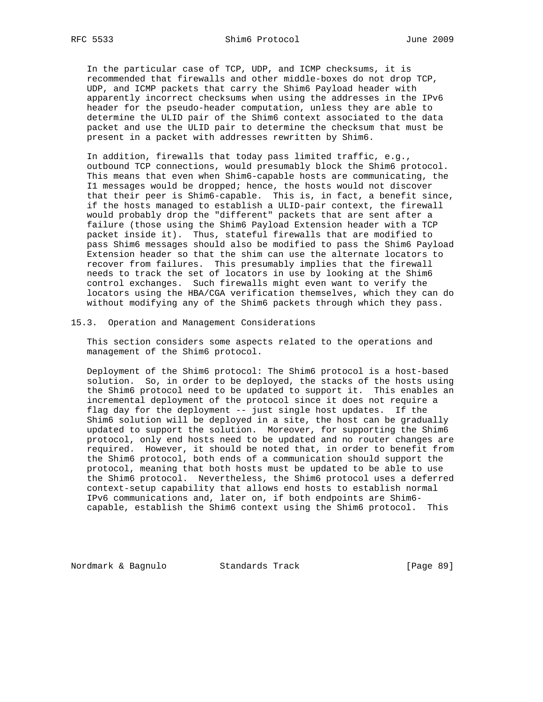In the particular case of TCP, UDP, and ICMP checksums, it is recommended that firewalls and other middle-boxes do not drop TCP, UDP, and ICMP packets that carry the Shim6 Payload header with apparently incorrect checksums when using the addresses in the IPv6 header for the pseudo-header computation, unless they are able to determine the ULID pair of the Shim6 context associated to the data packet and use the ULID pair to determine the checksum that must be present in a packet with addresses rewritten by Shim6.

 In addition, firewalls that today pass limited traffic, e.g., outbound TCP connections, would presumably block the Shim6 protocol. This means that even when Shim6-capable hosts are communicating, the I1 messages would be dropped; hence, the hosts would not discover that their peer is Shim6-capable. This is, in fact, a benefit since, if the hosts managed to establish a ULID-pair context, the firewall would probably drop the "different" packets that are sent after a failure (those using the Shim6 Payload Extension header with a TCP packet inside it). Thus, stateful firewalls that are modified to pass Shim6 messages should also be modified to pass the Shim6 Payload Extension header so that the shim can use the alternate locators to recover from failures. This presumably implies that the firewall needs to track the set of locators in use by looking at the Shim6 control exchanges. Such firewalls might even want to verify the locators using the HBA/CGA verification themselves, which they can do without modifying any of the Shim6 packets through which they pass.

#### 15.3. Operation and Management Considerations

 This section considers some aspects related to the operations and management of the Shim6 protocol.

 Deployment of the Shim6 protocol: The Shim6 protocol is a host-based solution. So, in order to be deployed, the stacks of the hosts using the Shim6 protocol need to be updated to support it. This enables an incremental deployment of the protocol since it does not require a flag day for the deployment -- just single host updates. If the Shim6 solution will be deployed in a site, the host can be gradually updated to support the solution. Moreover, for supporting the Shim6 protocol, only end hosts need to be updated and no router changes are required. However, it should be noted that, in order to benefit from the Shim6 protocol, both ends of a communication should support the protocol, meaning that both hosts must be updated to be able to use the Shim6 protocol. Nevertheless, the Shim6 protocol uses a deferred context-setup capability that allows end hosts to establish normal IPv6 communications and, later on, if both endpoints are Shim6 capable, establish the Shim6 context using the Shim6 protocol. This

Nordmark & Bagnulo Standards Track [Page 89]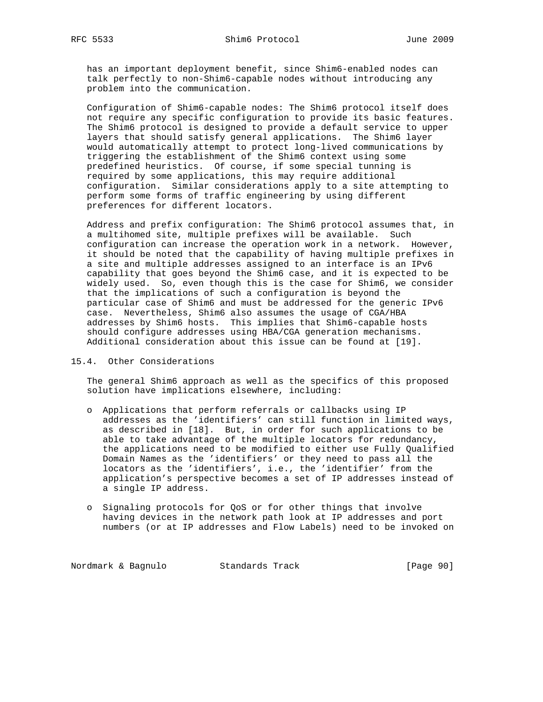has an important deployment benefit, since Shim6-enabled nodes can talk perfectly to non-Shim6-capable nodes without introducing any problem into the communication.

 Configuration of Shim6-capable nodes: The Shim6 protocol itself does not require any specific configuration to provide its basic features. The Shim6 protocol is designed to provide a default service to upper layers that should satisfy general applications. The Shim6 layer would automatically attempt to protect long-lived communications by triggering the establishment of the Shim6 context using some predefined heuristics. Of course, if some special tunning is required by some applications, this may require additional configuration. Similar considerations apply to a site attempting to perform some forms of traffic engineering by using different preferences for different locators.

 Address and prefix configuration: The Shim6 protocol assumes that, in a multihomed site, multiple prefixes will be available. Such configuration can increase the operation work in a network. However, it should be noted that the capability of having multiple prefixes in a site and multiple addresses assigned to an interface is an IPv6 capability that goes beyond the Shim6 case, and it is expected to be widely used. So, even though this is the case for Shim6, we consider that the implications of such a configuration is beyond the particular case of Shim6 and must be addressed for the generic IPv6 case. Nevertheless, Shim6 also assumes the usage of CGA/HBA addresses by Shim6 hosts. This implies that Shim6-capable hosts should configure addresses using HBA/CGA generation mechanisms. Additional consideration about this issue can be found at [19].

### 15.4. Other Considerations

 The general Shim6 approach as well as the specifics of this proposed solution have implications elsewhere, including:

- o Applications that perform referrals or callbacks using IP addresses as the 'identifiers' can still function in limited ways, as described in [18]. But, in order for such applications to be able to take advantage of the multiple locators for redundancy, the applications need to be modified to either use Fully Qualified Domain Names as the 'identifiers' or they need to pass all the locators as the 'identifiers', i.e., the 'identifier' from the application's perspective becomes a set of IP addresses instead of a single IP address.
- o Signaling protocols for QoS or for other things that involve having devices in the network path look at IP addresses and port numbers (or at IP addresses and Flow Labels) need to be invoked on

Nordmark & Bagnulo Standards Track [Page 90]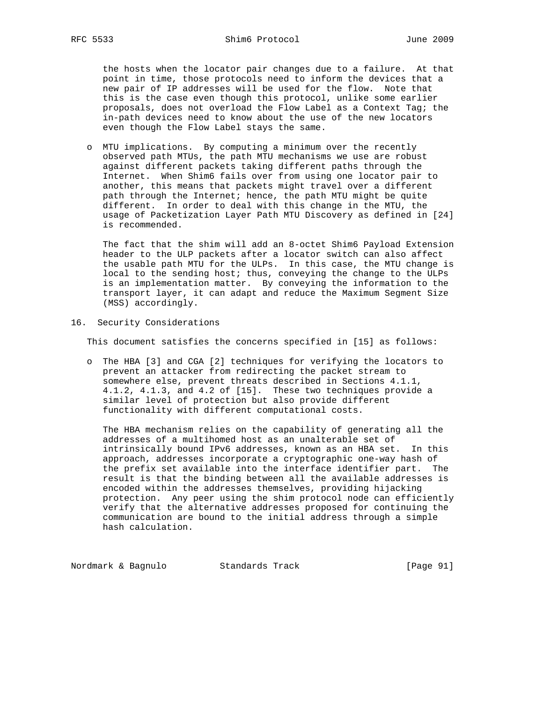the hosts when the locator pair changes due to a failure. At that point in time, those protocols need to inform the devices that a new pair of IP addresses will be used for the flow. Note that this is the case even though this protocol, unlike some earlier proposals, does not overload the Flow Label as a Context Tag; the in-path devices need to know about the use of the new locators even though the Flow Label stays the same.

 o MTU implications. By computing a minimum over the recently observed path MTUs, the path MTU mechanisms we use are robust against different packets taking different paths through the Internet. When Shim6 fails over from using one locator pair to another, this means that packets might travel over a different path through the Internet; hence, the path MTU might be quite different. In order to deal with this change in the MTU, the usage of Packetization Layer Path MTU Discovery as defined in [24] is recommended.

 The fact that the shim will add an 8-octet Shim6 Payload Extension header to the ULP packets after a locator switch can also affect the usable path MTU for the ULPs. In this case, the MTU change is local to the sending host; thus, conveying the change to the ULPs is an implementation matter. By conveying the information to the transport layer, it can adapt and reduce the Maximum Segment Size (MSS) accordingly.

#### 16. Security Considerations

This document satisfies the concerns specified in [15] as follows:

 o The HBA [3] and CGA [2] techniques for verifying the locators to prevent an attacker from redirecting the packet stream to somewhere else, prevent threats described in Sections 4.1.1, 4.1.2, 4.1.3, and 4.2 of [15]. These two techniques provide a similar level of protection but also provide different functionality with different computational costs.

 The HBA mechanism relies on the capability of generating all the addresses of a multihomed host as an unalterable set of intrinsically bound IPv6 addresses, known as an HBA set. In this approach, addresses incorporate a cryptographic one-way hash of the prefix set available into the interface identifier part. The result is that the binding between all the available addresses is encoded within the addresses themselves, providing hijacking protection. Any peer using the shim protocol node can efficiently verify that the alternative addresses proposed for continuing the communication are bound to the initial address through a simple hash calculation.

Nordmark & Bagnulo Standards Track [Page 91]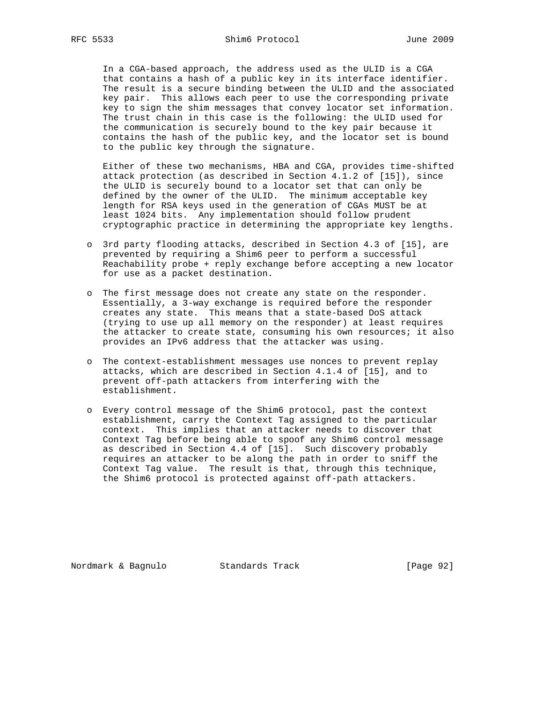In a CGA-based approach, the address used as the ULID is a CGA that contains a hash of a public key in its interface identifier. The result is a secure binding between the ULID and the associated key pair. This allows each peer to use the corresponding private key to sign the shim messages that convey locator set information. The trust chain in this case is the following: the ULID used for the communication is securely bound to the key pair because it contains the hash of the public key, and the locator set is bound to the public key through the signature.

 Either of these two mechanisms, HBA and CGA, provides time-shifted attack protection (as described in Section 4.1.2 of [15]), since the ULID is securely bound to a locator set that can only be defined by the owner of the ULID. The minimum acceptable key length for RSA keys used in the generation of CGAs MUST be at least 1024 bits. Any implementation should follow prudent cryptographic practice in determining the appropriate key lengths.

- o 3rd party flooding attacks, described in Section 4.3 of [15], are prevented by requiring a Shim6 peer to perform a successful Reachability probe + reply exchange before accepting a new locator for use as a packet destination.
- o The first message does not create any state on the responder. Essentially, a 3-way exchange is required before the responder creates any state. This means that a state-based DoS attack (trying to use up all memory on the responder) at least requires the attacker to create state, consuming his own resources; it also provides an IPv6 address that the attacker was using.
- o The context-establishment messages use nonces to prevent replay attacks, which are described in Section 4.1.4 of [15], and to prevent off-path attackers from interfering with the establishment.
- o Every control message of the Shim6 protocol, past the context establishment, carry the Context Tag assigned to the particular context. This implies that an attacker needs to discover that Context Tag before being able to spoof any Shim6 control message as described in Section 4.4 of [15]. Such discovery probably requires an attacker to be along the path in order to sniff the Context Tag value. The result is that, through this technique, the Shim6 protocol is protected against off-path attackers.

Nordmark & Bagnulo Standards Track [Page 92]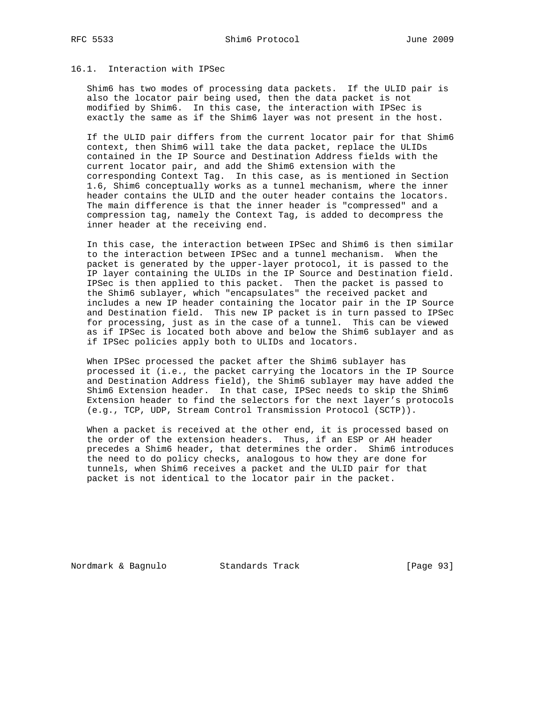#### 16.1. Interaction with IPSec

 Shim6 has two modes of processing data packets. If the ULID pair is also the locator pair being used, then the data packet is not modified by Shim6. In this case, the interaction with IPSec is exactly the same as if the Shim6 layer was not present in the host.

 If the ULID pair differs from the current locator pair for that Shim6 context, then Shim6 will take the data packet, replace the ULIDs contained in the IP Source and Destination Address fields with the current locator pair, and add the Shim6 extension with the corresponding Context Tag. In this case, as is mentioned in Section 1.6, Shim6 conceptually works as a tunnel mechanism, where the inner header contains the ULID and the outer header contains the locators. The main difference is that the inner header is "compressed" and a compression tag, namely the Context Tag, is added to decompress the inner header at the receiving end.

 In this case, the interaction between IPSec and Shim6 is then similar to the interaction between IPSec and a tunnel mechanism. When the packet is generated by the upper-layer protocol, it is passed to the IP layer containing the ULIDs in the IP Source and Destination field. IPSec is then applied to this packet. Then the packet is passed to the Shim6 sublayer, which "encapsulates" the received packet and includes a new IP header containing the locator pair in the IP Source and Destination field. This new IP packet is in turn passed to IPSec for processing, just as in the case of a tunnel. This can be viewed as if IPSec is located both above and below the Shim6 sublayer and as if IPSec policies apply both to ULIDs and locators.

 When IPSec processed the packet after the Shim6 sublayer has processed it (i.e., the packet carrying the locators in the IP Source and Destination Address field), the Shim6 sublayer may have added the Shim6 Extension header. In that case, IPSec needs to skip the Shim6 Extension header to find the selectors for the next layer's protocols (e.g., TCP, UDP, Stream Control Transmission Protocol (SCTP)).

 When a packet is received at the other end, it is processed based on the order of the extension headers. Thus, if an ESP or AH header precedes a Shim6 header, that determines the order. Shim6 introduces the need to do policy checks, analogous to how they are done for tunnels, when Shim6 receives a packet and the ULID pair for that packet is not identical to the locator pair in the packet.

Nordmark & Bagnulo Standards Track [Page 93]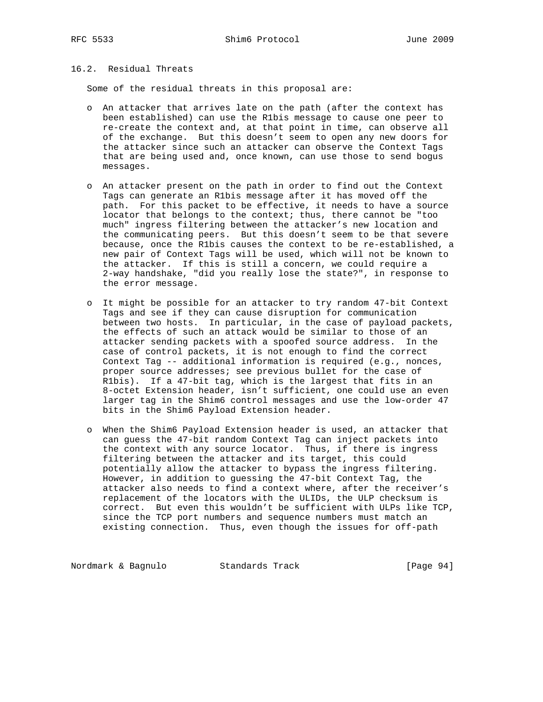# 16.2. Residual Threats

Some of the residual threats in this proposal are:

- o An attacker that arrives late on the path (after the context has been established) can use the R1bis message to cause one peer to re-create the context and, at that point in time, can observe all of the exchange. But this doesn't seem to open any new doors for the attacker since such an attacker can observe the Context Tags that are being used and, once known, can use those to send bogus messages.
- o An attacker present on the path in order to find out the Context Tags can generate an R1bis message after it has moved off the path. For this packet to be effective, it needs to have a source locator that belongs to the context; thus, there cannot be "too much" ingress filtering between the attacker's new location and the communicating peers. But this doesn't seem to be that severe because, once the R1bis causes the context to be re-established, a new pair of Context Tags will be used, which will not be known to the attacker. If this is still a concern, we could require a 2-way handshake, "did you really lose the state?", in response to the error message.
- o It might be possible for an attacker to try random 47-bit Context Tags and see if they can cause disruption for communication between two hosts. In particular, in the case of payload packets, the effects of such an attack would be similar to those of an attacker sending packets with a spoofed source address. In the case of control packets, it is not enough to find the correct Context Tag -- additional information is required (e.g., nonces, proper source addresses; see previous bullet for the case of R1bis). If a 47-bit tag, which is the largest that fits in an 8-octet Extension header, isn't sufficient, one could use an even larger tag in the Shim6 control messages and use the low-order 47 bits in the Shim6 Payload Extension header.
- o When the Shim6 Payload Extension header is used, an attacker that can guess the 47-bit random Context Tag can inject packets into the context with any source locator. Thus, if there is ingress filtering between the attacker and its target, this could potentially allow the attacker to bypass the ingress filtering. However, in addition to guessing the 47-bit Context Tag, the attacker also needs to find a context where, after the receiver's replacement of the locators with the ULIDs, the ULP checksum is correct. But even this wouldn't be sufficient with ULPs like TCP, since the TCP port numbers and sequence numbers must match an existing connection. Thus, even though the issues for off-path

Nordmark & Bagnulo Standards Track [Page 94]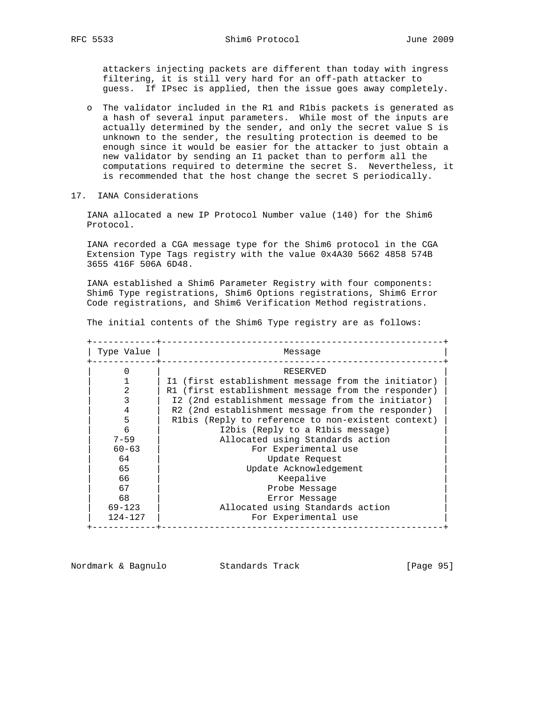attackers injecting packets are different than today with ingress filtering, it is still very hard for an off-path attacker to guess. If IPsec is applied, then the issue goes away completely.

- o The validator included in the R1 and R1bis packets is generated as a hash of several input parameters. While most of the inputs are actually determined by the sender, and only the secret value S is unknown to the sender, the resulting protection is deemed to be enough since it would be easier for the attacker to just obtain a new validator by sending an I1 packet than to perform all the computations required to determine the secret S. Nevertheless, it is recommended that the host change the secret S periodically.
- 17. IANA Considerations

 IANA allocated a new IP Protocol Number value (140) for the Shim6 Protocol.

 IANA recorded a CGA message type for the Shim6 protocol in the CGA Extension Type Tags registry with the value 0x4A30 5662 4858 574B 3655 416F 506A 6D48.

 IANA established a Shim6 Parameter Registry with four components: Shim6 Type registrations, Shim6 Options registrations, Shim6 Error Code registrations, and Shim6 Verification Method registrations.

The initial contents of the Shim6 Type registry are as follows:

| Type Value  | Message                                             |
|-------------|-----------------------------------------------------|
|             | RESERVED                                            |
|             | I1 (first establishment message from the initiator) |
| 2           | R1 (first establishment message from the responder) |
|             | I2 (2nd establishment message from the initiator)   |
| 4           | R2 (2nd establishment message from the responder)   |
| 5           | R1bis (Reply to reference to non-existent context)  |
| 6           | I2bis (Reply to a R1bis message)                    |
| $7 - 59$    | Allocated using Standards action                    |
| $60 - 63$   | For Experimental use                                |
| 64          | Update Request                                      |
| 65          | Update Acknowledgement                              |
| 66          | Keepalive                                           |
| 67          | Probe Message                                       |
| 68          | Error Message                                       |
| $69 - 123$  | Allocated using Standards action                    |
| $124 - 127$ | For Experimental use                                |

Nordmark & Bagnulo Standards Track [Page 95]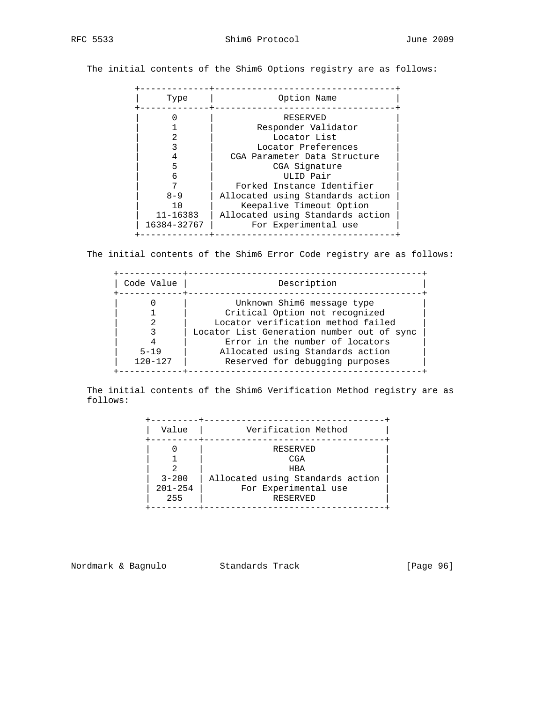The initial contents of the Shim6 Options registry are as follows:

| Type                                         | Option Name                                                                                                              |
|----------------------------------------------|--------------------------------------------------------------------------------------------------------------------------|
|                                              | RESERVED<br>Responder Validator<br>Locator List<br>Locator Preferences<br>CGA Parameter Data Structure<br>CGA Signature  |
| 6                                            | ULID Pair<br>Forked Instance Identifier                                                                                  |
| $8 - 9$<br>10<br>$11 - 16383$<br>16384-32767 | Allocated using Standards action<br>Keepalive Timeout Option<br>Allocated using Standards action<br>For Experimental use |

The initial contents of the Shim6 Error Code registry are as follows:

| Code Value  | Description                                |
|-------------|--------------------------------------------|
|             | Unknown Shim6 message type                 |
|             | Critical Option not recognized             |
|             | Locator verification method failed         |
|             | Locator List Generation number out of sync |
|             | Error in the number of locators            |
| $5 - 19$    | Allocated using Standards action           |
| $120 - 127$ | Reserved for debugging purposes            |

 The initial contents of the Shim6 Verification Method registry are as follows:

| Value                           | Verification Method                                                                                   |  |
|---------------------------------|-------------------------------------------------------------------------------------------------------|--|
| $3 - 200$<br>$201 - 254$<br>255 | RESERVED<br><b>CGA</b><br>HBA<br>Allocated using Standards action<br>For Experimental use<br>RESERVED |  |

Nordmark & Bagnulo Standards Track [Page 96]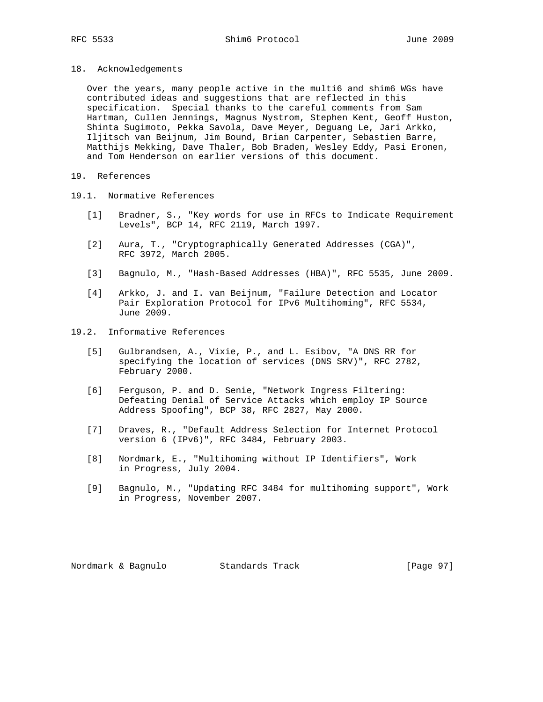18. Acknowledgements

 Over the years, many people active in the multi6 and shim6 WGs have contributed ideas and suggestions that are reflected in this specification. Special thanks to the careful comments from Sam Hartman, Cullen Jennings, Magnus Nystrom, Stephen Kent, Geoff Huston, Shinta Sugimoto, Pekka Savola, Dave Meyer, Deguang Le, Jari Arkko, Iljitsch van Beijnum, Jim Bound, Brian Carpenter, Sebastien Barre, Matthijs Mekking, Dave Thaler, Bob Braden, Wesley Eddy, Pasi Eronen, and Tom Henderson on earlier versions of this document.

- 19. References
- 19.1. Normative References
	- [1] Bradner, S., "Key words for use in RFCs to Indicate Requirement Levels", BCP 14, RFC 2119, March 1997.
	- [2] Aura, T., "Cryptographically Generated Addresses (CGA)", RFC 3972, March 2005.
	- [3] Bagnulo, M., "Hash-Based Addresses (HBA)", RFC 5535, June 2009.
	- [4] Arkko, J. and I. van Beijnum, "Failure Detection and Locator Pair Exploration Protocol for IPv6 Multihoming", RFC 5534, June 2009.
- 19.2. Informative References
	- [5] Gulbrandsen, A., Vixie, P., and L. Esibov, "A DNS RR for specifying the location of services (DNS SRV)", RFC 2782, February 2000.
	- [6] Ferguson, P. and D. Senie, "Network Ingress Filtering: Defeating Denial of Service Attacks which employ IP Source Address Spoofing", BCP 38, RFC 2827, May 2000.
	- [7] Draves, R., "Default Address Selection for Internet Protocol version 6 (IPv6)", RFC 3484, February 2003.
	- [8] Nordmark, E., "Multihoming without IP Identifiers", Work in Progress, July 2004.
	- [9] Bagnulo, M., "Updating RFC 3484 for multihoming support", Work in Progress, November 2007.

Nordmark & Bagnulo Standards Track [Page 97]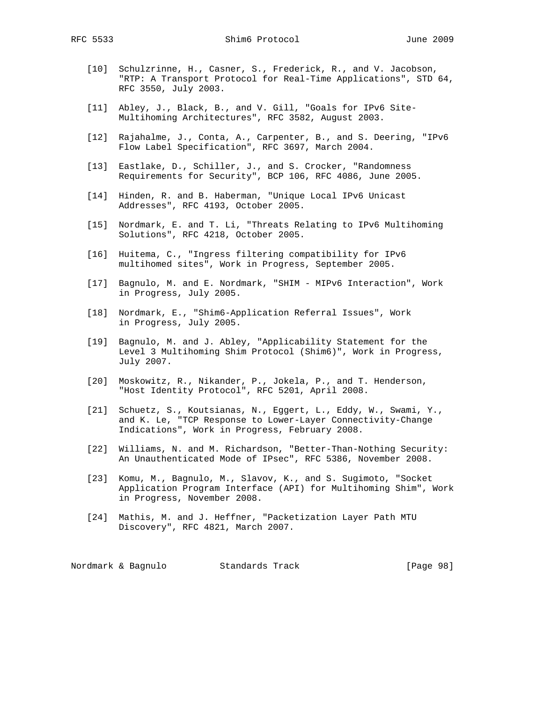RFC 5533 Shim6 Protocol June 2009

- [10] Schulzrinne, H., Casner, S., Frederick, R., and V. Jacobson, "RTP: A Transport Protocol for Real-Time Applications", STD 64, RFC 3550, July 2003.
- [11] Abley, J., Black, B., and V. Gill, "Goals for IPv6 Site- Multihoming Architectures", RFC 3582, August 2003.
- [12] Rajahalme, J., Conta, A., Carpenter, B., and S. Deering, "IPv6 Flow Label Specification", RFC 3697, March 2004.
- [13] Eastlake, D., Schiller, J., and S. Crocker, "Randomness Requirements for Security", BCP 106, RFC 4086, June 2005.
- [14] Hinden, R. and B. Haberman, "Unique Local IPv6 Unicast Addresses", RFC 4193, October 2005.
- [15] Nordmark, E. and T. Li, "Threats Relating to IPv6 Multihoming Solutions", RFC 4218, October 2005.
- [16] Huitema, C., "Ingress filtering compatibility for IPv6 multihomed sites", Work in Progress, September 2005.
- [17] Bagnulo, M. and E. Nordmark, "SHIM MIPv6 Interaction", Work in Progress, July 2005.
- [18] Nordmark, E., "Shim6-Application Referral Issues", Work in Progress, July 2005.
- [19] Bagnulo, M. and J. Abley, "Applicability Statement for the Level 3 Multihoming Shim Protocol (Shim6)", Work in Progress, July 2007.
- [20] Moskowitz, R., Nikander, P., Jokela, P., and T. Henderson, "Host Identity Protocol", RFC 5201, April 2008.
- [21] Schuetz, S., Koutsianas, N., Eggert, L., Eddy, W., Swami, Y., and K. Le, "TCP Response to Lower-Layer Connectivity-Change Indications", Work in Progress, February 2008.
- [22] Williams, N. and M. Richardson, "Better-Than-Nothing Security: An Unauthenticated Mode of IPsec", RFC 5386, November 2008.
- [23] Komu, M., Bagnulo, M., Slavov, K., and S. Sugimoto, "Socket Application Program Interface (API) for Multihoming Shim", Work in Progress, November 2008.
- [24] Mathis, M. and J. Heffner, "Packetization Layer Path MTU Discovery", RFC 4821, March 2007.

Nordmark & Bagnulo Standards Track [Page 98]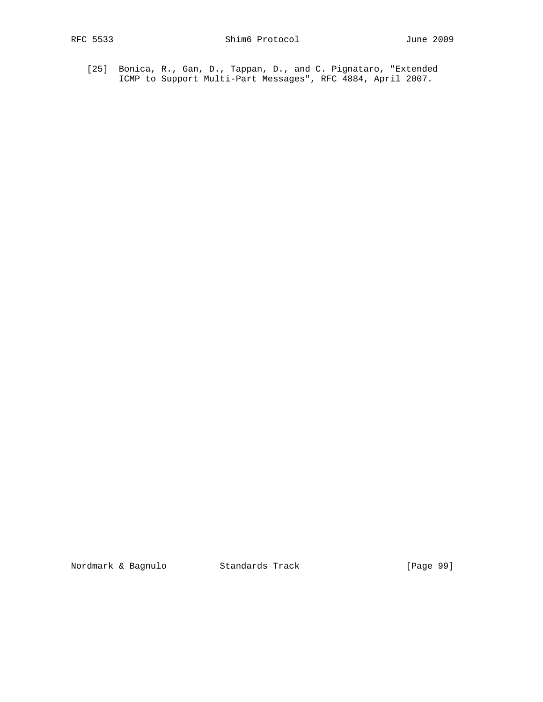[25] Bonica, R., Gan, D., Tappan, D., and C. Pignataro, "Extended ICMP to Support Multi-Part Messages", RFC 4884, April 2007.

Nordmark & Bagnulo Standards Track [Page 99]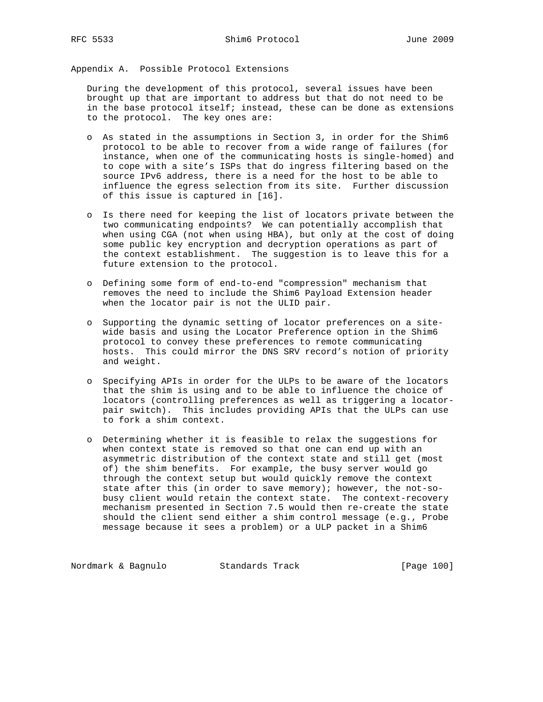Appendix A. Possible Protocol Extensions

 During the development of this protocol, several issues have been brought up that are important to address but that do not need to be in the base protocol itself; instead, these can be done as extensions to the protocol. The key ones are:

- o As stated in the assumptions in Section 3, in order for the Shim6 protocol to be able to recover from a wide range of failures (for instance, when one of the communicating hosts is single-homed) and to cope with a site's ISPs that do ingress filtering based on the source IPv6 address, there is a need for the host to be able to influence the egress selection from its site. Further discussion of this issue is captured in [16].
- o Is there need for keeping the list of locators private between the two communicating endpoints? We can potentially accomplish that when using CGA (not when using HBA), but only at the cost of doing some public key encryption and decryption operations as part of the context establishment. The suggestion is to leave this for a future extension to the protocol.
- o Defining some form of end-to-end "compression" mechanism that removes the need to include the Shim6 Payload Extension header when the locator pair is not the ULID pair.
- o Supporting the dynamic setting of locator preferences on a site wide basis and using the Locator Preference option in the Shim6 protocol to convey these preferences to remote communicating hosts. This could mirror the DNS SRV record's notion of priority and weight.
- o Specifying APIs in order for the ULPs to be aware of the locators that the shim is using and to be able to influence the choice of locators (controlling preferences as well as triggering a locator pair switch). This includes providing APIs that the ULPs can use to fork a shim context.
- o Determining whether it is feasible to relax the suggestions for when context state is removed so that one can end up with an asymmetric distribution of the context state and still get (most of) the shim benefits. For example, the busy server would go through the context setup but would quickly remove the context state after this (in order to save memory); however, the not-so busy client would retain the context state. The context-recovery mechanism presented in Section 7.5 would then re-create the state should the client send either a shim control message (e.g., Probe message because it sees a problem) or a ULP packet in a Shim6

Nordmark & Bagnulo Standards Track [Page 100]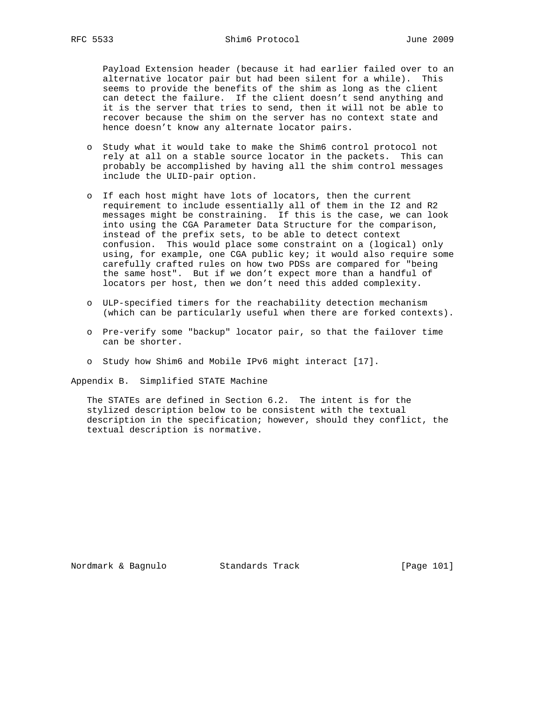Payload Extension header (because it had earlier failed over to an alternative locator pair but had been silent for a while). This seems to provide the benefits of the shim as long as the client can detect the failure. If the client doesn't send anything and it is the server that tries to send, then it will not be able to recover because the shim on the server has no context state and hence doesn't know any alternate locator pairs.

- o Study what it would take to make the Shim6 control protocol not rely at all on a stable source locator in the packets. This can probably be accomplished by having all the shim control messages include the ULID-pair option.
- o If each host might have lots of locators, then the current requirement to include essentially all of them in the I2 and R2 messages might be constraining. If this is the case, we can look into using the CGA Parameter Data Structure for the comparison, instead of the prefix sets, to be able to detect context confusion. This would place some constraint on a (logical) only using, for example, one CGA public key; it would also require some carefully crafted rules on how two PDSs are compared for "being the same host". But if we don't expect more than a handful of locators per host, then we don't need this added complexity.
- o ULP-specified timers for the reachability detection mechanism (which can be particularly useful when there are forked contexts).
- o Pre-verify some "backup" locator pair, so that the failover time can be shorter.
- o Study how Shim6 and Mobile IPv6 might interact [17].

Appendix B. Simplified STATE Machine

 The STATEs are defined in Section 6.2. The intent is for the stylized description below to be consistent with the textual description in the specification; however, should they conflict, the textual description is normative.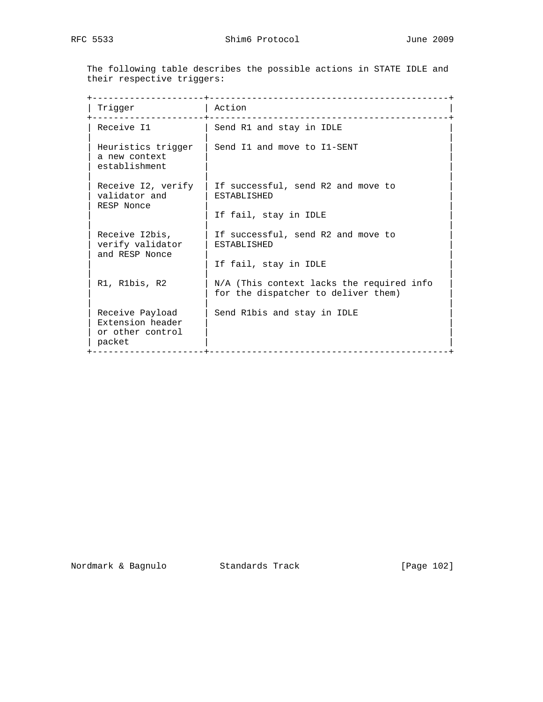The following table describes the possible actions in STATE IDLE and their respective triggers:

| Trigger                                                           | Action<br>__________________________                                             |
|-------------------------------------------------------------------|----------------------------------------------------------------------------------|
| Receive I1                                                        | Send R1 and stay in IDLE                                                         |
| Heuristics trigger<br>a new context<br>establishment              | Send I1 and move to I1-SENT                                                      |
| Receive I2, verify<br>validator and<br>RESP Nonce                 | If successful, send R2 and move to<br><b>ESTABLISHED</b>                         |
|                                                                   | If fail, stay in IDLE                                                            |
| Receive I2bis,<br>verify validator<br>and RESP Nonce              | If successful, send R2 and move to<br><b>ESTABLISHED</b>                         |
|                                                                   | If fail, stay in IDLE                                                            |
| R1, R1bis, R2                                                     | N/A (This context lacks the required info<br>for the dispatcher to deliver them) |
| Receive Payload<br>Extension header<br>or other control<br>packet | Send R1bis and stay in IDLE                                                      |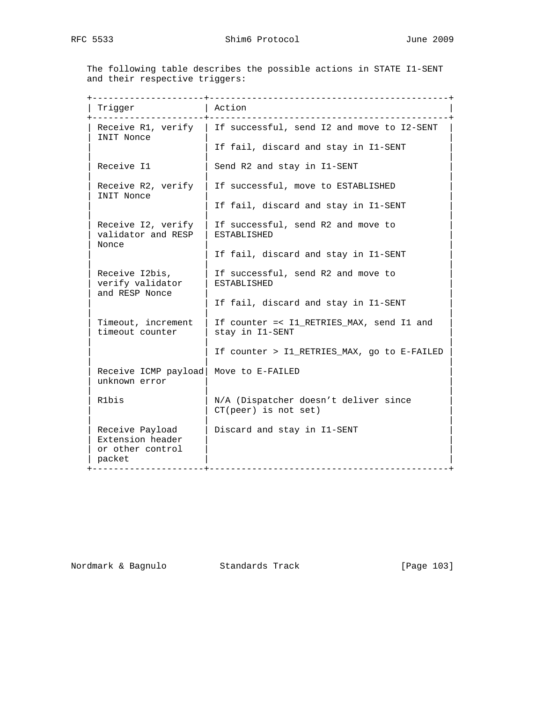The following table describes the possible actions in STATE I1-SENT and their respective triggers:

| Trigger                                                           | Action                                                                                                  |
|-------------------------------------------------------------------|---------------------------------------------------------------------------------------------------------|
| INIT Nonce                                                        | Receive R1, verify   If successful, send I2 and move to I2-SENT<br>If fail, discard and stay in I1-SENT |
| Receive I1                                                        | Send R2 and stay in I1-SENT                                                                             |
| Receive R2, verify<br>INIT Nonce                                  | If successful, move to ESTABLISHED                                                                      |
|                                                                   | If fail, discard and stay in I1-SENT                                                                    |
| Receive I2, verify<br>validator and RESP                          | If successful, send R2 and move to<br><b>ESTABLISHED</b>                                                |
| Nonce                                                             | If fail, discard and stay in I1-SENT                                                                    |
| Receive I2bis,<br>verify validator<br>and RESP Nonce              | If successful, send R2 and move to<br><b>ESTABLISHED</b>                                                |
|                                                                   | If fail, discard and stay in I1-SENT                                                                    |
| Timeout, increment<br>timeout counter                             | If counter =< I1_RETRIES_MAX, send I1 and<br>stay in I1-SENT                                            |
|                                                                   | If counter > Il_RETRIES_MAX, go to E-FAILED                                                             |
| Receive ICMP payload<br>unknown error                             | Move to E-FAILED                                                                                        |
| R1bis                                                             | N/A (Dispatcher doesn't deliver since<br>$CT(peer)$ is not set)                                         |
| Receive Payload<br>Extension header<br>or other control<br>packet | Discard and stay in I1-SENT<br>--------------------                                                     |

Nordmark & Bagnulo Standards Track [Page 103]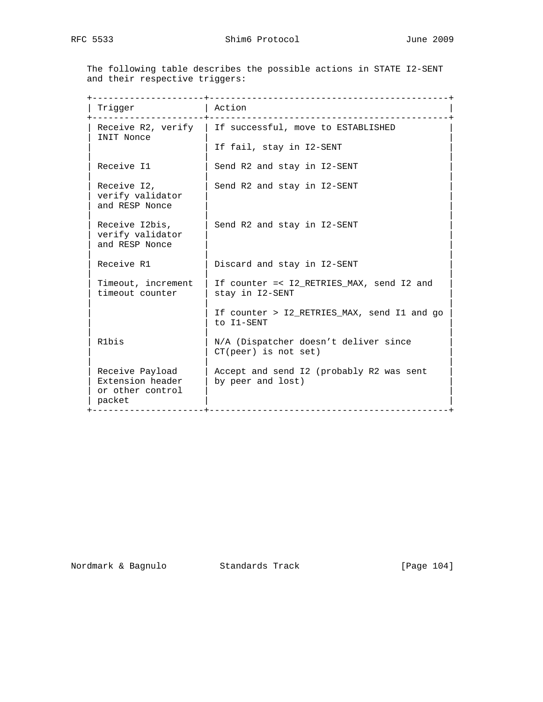The following table describes the possible actions in STATE I2-SENT and their respective triggers:

| Trigger                                                           | Action                                                                                            |
|-------------------------------------------------------------------|---------------------------------------------------------------------------------------------------|
| INIT Nonce                                                        | Receive R2, verify   If successful, move to ESTABLISHED                                           |
|                                                                   | If fail, stay in I2-SENT                                                                          |
| Receive I1                                                        | Send R2 and stay in I2-SENT                                                                       |
| Receive I2,<br>verify validator<br>and RESP Nonce                 | Send R2 and stay in I2-SENT                                                                       |
| Receive I2bis,<br>verify validator<br>and RESP Nonce              | Send R2 and stay in I2-SENT                                                                       |
| Receive R1                                                        | Discard and stay in I2-SENT                                                                       |
| Timeout, increment<br>timeout counter                             | If counter =< I2_RETRIES_MAX, send I2 and<br>stay in I2-SENT                                      |
|                                                                   | If counter > I2_RETRIES_MAX, send I1 and go<br>to I1-SENT                                         |
| R1bis                                                             | N/A (Dispatcher doesn't deliver since<br>$CT(peer)$ is not set)                                   |
| Receive Payload<br>Extension header<br>or other control<br>packet | Accept and send I2 (probably R2 was sent<br>by peer and lost)<br>-------------------------------- |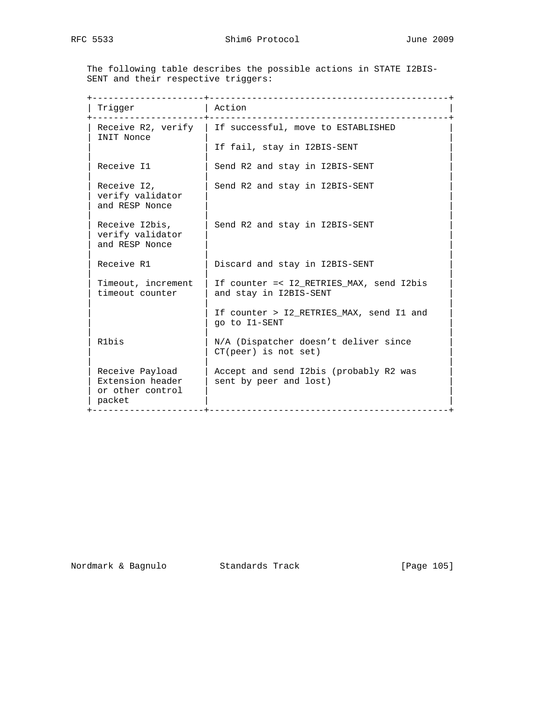The following table describes the possible actions in STATE I2BIS- SENT and their respective triggers:

| Trigger                                                           | Action                                                                                              |
|-------------------------------------------------------------------|-----------------------------------------------------------------------------------------------------|
| INIT Nonce                                                        | Receive R2, verify   If successful, move to ESTABLISHED                                             |
|                                                                   | If fail, stay in I2BIS-SENT                                                                         |
| Receive I1                                                        | Send R2 and stay in I2BIS-SENT                                                                      |
| Receive I2,<br>verify validator<br>and RESP Nonce                 | Send R2 and stay in I2BIS-SENT                                                                      |
| Receive I2bis,<br>verify validator<br>and RESP Nonce              | Send R2 and stay in I2BIS-SENT                                                                      |
| Receive R1                                                        | Discard and stay in I2BIS-SENT                                                                      |
| Timeout, increment<br>timeout counter                             | If counter =< I2 RETRIES MAX, send I2bis<br>and stay in I2BIS-SENT                                  |
|                                                                   | If counter > I2_RETRIES_MAX, send I1 and<br>go to Il-SENT                                           |
| R1bis                                                             | N/A (Dispatcher doesn't deliver since<br>$CT(peer)$ is not set)                                     |
| Receive Payload<br>Extension header<br>or other control<br>packet | Accept and send I2bis (probably R2 was<br>sent by peer and lost)<br>_______________________________ |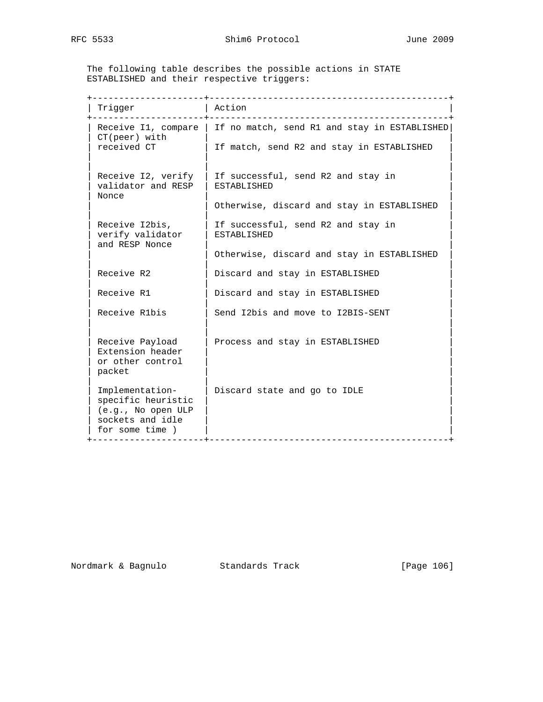The following table describes the possible actions in STATE ESTABLISHED and their respective triggers:

| Trigger                                                                                            | Action                                                                                                          |
|----------------------------------------------------------------------------------------------------|-----------------------------------------------------------------------------------------------------------------|
| $CT(peer)$ with<br>received CT                                                                     | Receive I1, compare   If no match, send R1 and stay in ESTABLISHED<br>If match, send R2 and stay in ESTABLISHED |
| Receive I2, verify<br>validator and RESP<br>Nonce                                                  | If successful, send R2 and stay in<br><b>ESTABLISHED</b><br>Otherwise, discard and stay in ESTABLISHED          |
| Receive I2bis,<br>verify validator                                                                 | If successful, send R2 and stay in<br><b>ESTABLISHED</b>                                                        |
| and RESP Nonce                                                                                     | Otherwise, discard and stay in ESTABLISHED                                                                      |
| Receive R2                                                                                         | Discard and stay in ESTABLISHED                                                                                 |
| Receive R1                                                                                         | Discard and stay in ESTABLISHED                                                                                 |
| Receive R1bis                                                                                      | Send I2bis and move to I2BIS-SENT                                                                               |
| Receive Payload<br>Extension header<br>or other control<br>packet                                  | Process and stay in ESTABLISHED                                                                                 |
| Implementation-<br>specific heuristic<br>(e.g., No open ULP<br>sockets and idle<br>for some time ) | Discard state and go to IDLE<br>-------------------------------                                                 |

Nordmark & Bagnulo Standards Track [Page 106]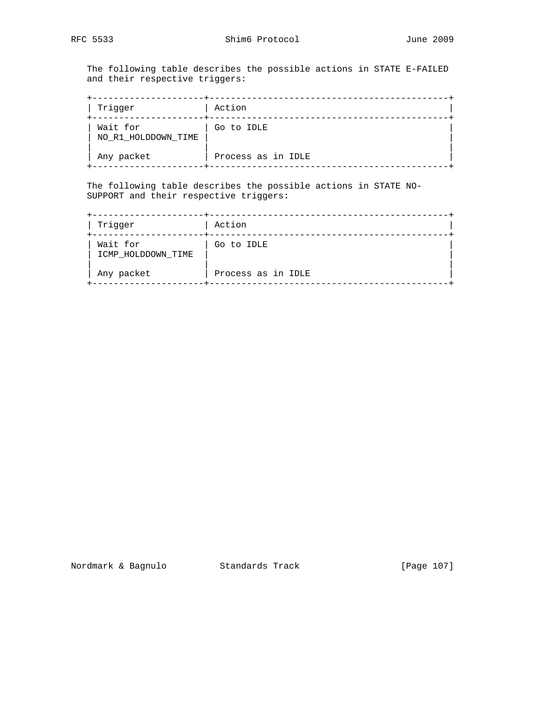The following table describes the possible actions in STATE E-FAILED and their respective triggers:

| Trigger                         | Action             |  |
|---------------------------------|--------------------|--|
| Wait for<br>NO_R1_HOLDDOWN_TIME | Go to IDLE         |  |
| Any packet                      | Process as in IDLE |  |

 The following table describes the possible actions in STATE NO- SUPPORT and their respective triggers:

| Trigger                        | Action             |  |
|--------------------------------|--------------------|--|
| Wait for<br>ICMP HOLDDOWN TIME | Go to IDLE         |  |
| Any packet                     | Process as in IDLE |  |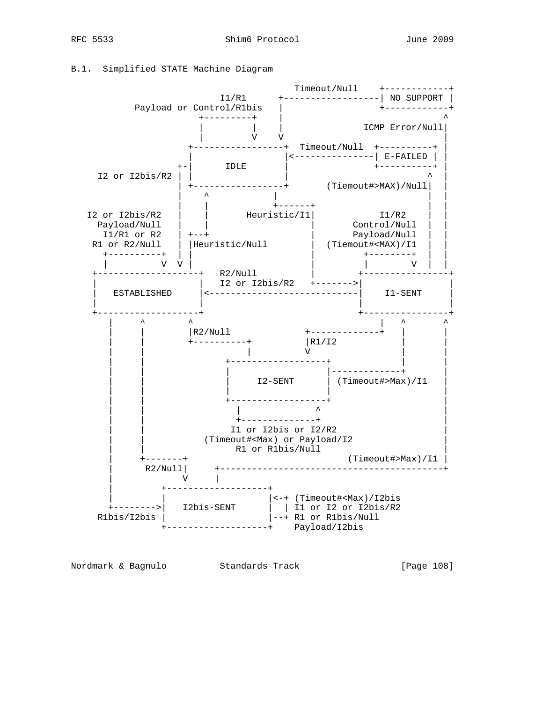B.1. Simplified STATE Machine Diagram



Nordmark & Bagnulo Standards Track [Page 108]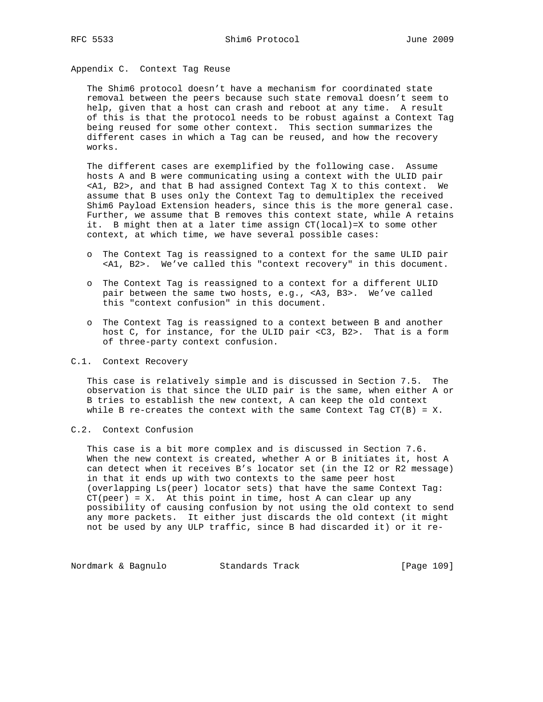# Appendix C. Context Tag Reuse

 The Shim6 protocol doesn't have a mechanism for coordinated state removal between the peers because such state removal doesn't seem to help, given that a host can crash and reboot at any time. A result of this is that the protocol needs to be robust against a Context Tag being reused for some other context. This section summarizes the different cases in which a Tag can be reused, and how the recovery works.

 The different cases are exemplified by the following case. Assume hosts A and B were communicating using a context with the ULID pair <A1, B2>, and that B had assigned Context Tag X to this context. We assume that B uses only the Context Tag to demultiplex the received Shim6 Payload Extension headers, since this is the more general case. Further, we assume that B removes this context state, while A retains it. B might then at a later time assign CT(local)=X to some other context, at which time, we have several possible cases:

- o The Context Tag is reassigned to a context for the same ULID pair <A1, B2>. We've called this "context recovery" in this document.
- o The Context Tag is reassigned to a context for a different ULID pair between the same two hosts, e.g., <A3, B3>. We've called this "context confusion" in this document.
- o The Context Tag is reassigned to a context between B and another host C, for instance, for the ULID pair <C3, B2>. That is a form of three-party context confusion.

## C.1. Context Recovery

 This case is relatively simple and is discussed in Section 7.5. The observation is that since the ULID pair is the same, when either A or B tries to establish the new context, A can keep the old context while B re-creates the context with the same Context Tag  $CT(B) = X$ .

## C.2. Context Confusion

 This case is a bit more complex and is discussed in Section 7.6. When the new context is created, whether A or B initiates it, host A can detect when it receives B's locator set (in the I2 or R2 message) in that it ends up with two contexts to the same peer host (overlapping Ls(peer) locator sets) that have the same Context Tag:  $CT(peer) = X.$  At this point in time, host A can clear up any possibility of causing confusion by not using the old context to send any more packets. It either just discards the old context (it might not be used by any ULP traffic, since B had discarded it) or it re-

Nordmark & Bagnulo Standards Track [Page 109]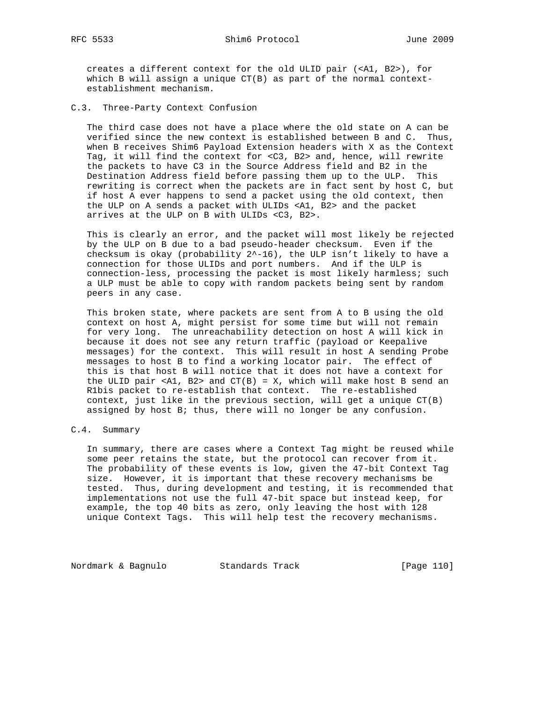creates a different context for the old ULID pair (<A1, B2>), for which B will assign a unique CT(B) as part of the normal context establishment mechanism.

C.3. Three-Party Context Confusion

 The third case does not have a place where the old state on A can be verified since the new context is established between B and C. Thus, when B receives Shim6 Payload Extension headers with X as the Context Tag, it will find the context for <C3, B2> and, hence, will rewrite the packets to have C3 in the Source Address field and B2 in the Destination Address field before passing them up to the ULP. This rewriting is correct when the packets are in fact sent by host C, but if host A ever happens to send a packet using the old context, then the ULP on A sends a packet with ULIDs <A1, B2> and the packet arrives at the ULP on B with ULIDs <C3, B2>.

 This is clearly an error, and the packet will most likely be rejected by the ULP on B due to a bad pseudo-header checksum. Even if the checksum is okay (probability  $2^{\lambda}$ -16), the ULP isn't likely to have a connection for those ULIDs and port numbers. And if the ULP is connection-less, processing the packet is most likely harmless; such a ULP must be able to copy with random packets being sent by random peers in any case.

 This broken state, where packets are sent from A to B using the old context on host A, might persist for some time but will not remain for very long. The unreachability detection on host A will kick in because it does not see any return traffic (payload or Keepalive messages) for the context. This will result in host A sending Probe messages to host B to find a working locator pair. The effect of this is that host B will notice that it does not have a context for the ULID pair <A1, B2> and  $CT(B) = X$ , which will make host B send an R1bis packet to re-establish that context. The re-established context, just like in the previous section, will get a unique  $CT(B)$ assigned by host B; thus, there will no longer be any confusion.

# C.4. Summary

 In summary, there are cases where a Context Tag might be reused while some peer retains the state, but the protocol can recover from it. The probability of these events is low, given the 47-bit Context Tag size. However, it is important that these recovery mechanisms be tested. Thus, during development and testing, it is recommended that implementations not use the full 47-bit space but instead keep, for example, the top 40 bits as zero, only leaving the host with 128 unique Context Tags. This will help test the recovery mechanisms.

Nordmark & Bagnulo Standards Track [Page 110]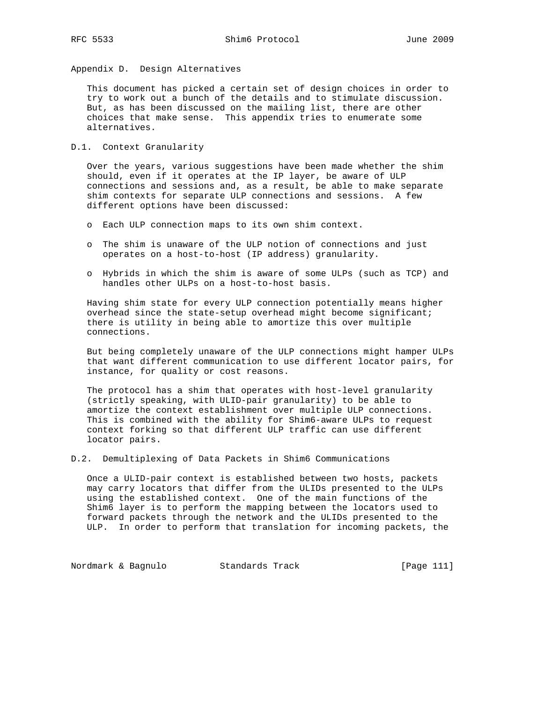Appendix D. Design Alternatives

 This document has picked a certain set of design choices in order to try to work out a bunch of the details and to stimulate discussion. But, as has been discussed on the mailing list, there are other choices that make sense. This appendix tries to enumerate some alternatives.

D.1. Context Granularity

 Over the years, various suggestions have been made whether the shim should, even if it operates at the IP layer, be aware of ULP connections and sessions and, as a result, be able to make separate shim contexts for separate ULP connections and sessions. A few different options have been discussed:

- o Each ULP connection maps to its own shim context.
- o The shim is unaware of the ULP notion of connections and just operates on a host-to-host (IP address) granularity.
- o Hybrids in which the shim is aware of some ULPs (such as TCP) and handles other ULPs on a host-to-host basis.

 Having shim state for every ULP connection potentially means higher overhead since the state-setup overhead might become significant; there is utility in being able to amortize this over multiple connections.

 But being completely unaware of the ULP connections might hamper ULPs that want different communication to use different locator pairs, for instance, for quality or cost reasons.

 The protocol has a shim that operates with host-level granularity (strictly speaking, with ULID-pair granularity) to be able to amortize the context establishment over multiple ULP connections. This is combined with the ability for Shim6-aware ULPs to request context forking so that different ULP traffic can use different locator pairs.

D.2. Demultiplexing of Data Packets in Shim6 Communications

 Once a ULID-pair context is established between two hosts, packets may carry locators that differ from the ULIDs presented to the ULPs using the established context. One of the main functions of the Shim6 layer is to perform the mapping between the locators used to forward packets through the network and the ULIDs presented to the ULP. In order to perform that translation for incoming packets, the

Nordmark & Bagnulo Standards Track [Page 111]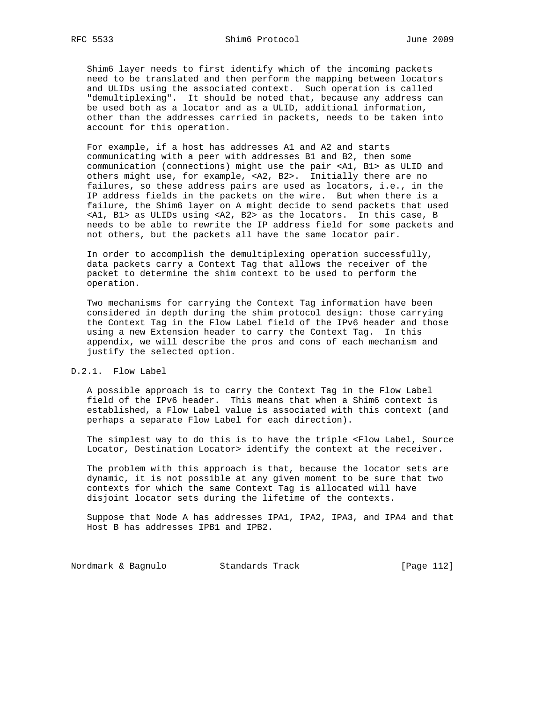Shim6 layer needs to first identify which of the incoming packets need to be translated and then perform the mapping between locators and ULIDs using the associated context. Such operation is called "demultiplexing". It should be noted that, because any address can be used both as a locator and as a ULID, additional information, other than the addresses carried in packets, needs to be taken into account for this operation.

 For example, if a host has addresses A1 and A2 and starts communicating with a peer with addresses B1 and B2, then some communication (connections) might use the pair <A1, B1> as ULID and others might use, for example, <A2, B2>. Initially there are no failures, so these address pairs are used as locators, i.e., in the IP address fields in the packets on the wire. But when there is a failure, the Shim6 layer on A might decide to send packets that used <A1, B1> as ULIDs using <A2, B2> as the locators. In this case, B needs to be able to rewrite the IP address field for some packets and not others, but the packets all have the same locator pair.

 In order to accomplish the demultiplexing operation successfully, data packets carry a Context Tag that allows the receiver of the packet to determine the shim context to be used to perform the operation.

 Two mechanisms for carrying the Context Tag information have been considered in depth during the shim protocol design: those carrying the Context Tag in the Flow Label field of the IPv6 header and those using a new Extension header to carry the Context Tag. In this appendix, we will describe the pros and cons of each mechanism and justify the selected option.

## D.2.1. Flow Label

 A possible approach is to carry the Context Tag in the Flow Label field of the IPv6 header. This means that when a Shim6 context is established, a Flow Label value is associated with this context (and perhaps a separate Flow Label for each direction).

 The simplest way to do this is to have the triple <Flow Label, Source Locator, Destination Locator> identify the context at the receiver.

 The problem with this approach is that, because the locator sets are dynamic, it is not possible at any given moment to be sure that two contexts for which the same Context Tag is allocated will have disjoint locator sets during the lifetime of the contexts.

 Suppose that Node A has addresses IPA1, IPA2, IPA3, and IPA4 and that Host B has addresses IPB1 and IPB2.

Nordmark & Bagnulo Standards Track [Page 112]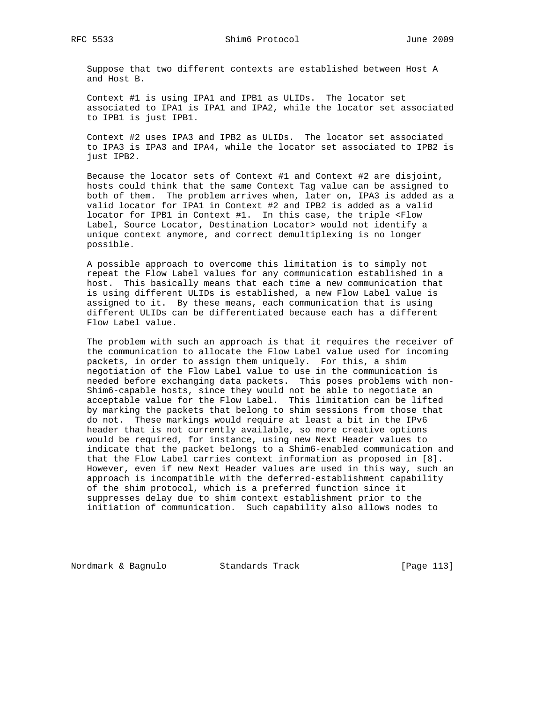Suppose that two different contexts are established between Host A and Host B.

 Context #1 is using IPA1 and IPB1 as ULIDs. The locator set associated to IPA1 is IPA1 and IPA2, while the locator set associated to IPB1 is just IPB1.

 Context #2 uses IPA3 and IPB2 as ULIDs. The locator set associated to IPA3 is IPA3 and IPA4, while the locator set associated to IPB2 is just IPB2.

 Because the locator sets of Context #1 and Context #2 are disjoint, hosts could think that the same Context Tag value can be assigned to both of them. The problem arrives when, later on, IPA3 is added as a valid locator for IPA1 in Context #2 and IPB2 is added as a valid locator for IPB1 in Context #1. In this case, the triple <Flow Label, Source Locator, Destination Locator> would not identify a unique context anymore, and correct demultiplexing is no longer possible.

 A possible approach to overcome this limitation is to simply not repeat the Flow Label values for any communication established in a host. This basically means that each time a new communication that is using different ULIDs is established, a new Flow Label value is assigned to it. By these means, each communication that is using different ULIDs can be differentiated because each has a different Flow Label value.

 The problem with such an approach is that it requires the receiver of the communication to allocate the Flow Label value used for incoming packets, in order to assign them uniquely. For this, a shim negotiation of the Flow Label value to use in the communication is needed before exchanging data packets. This poses problems with non- Shim6-capable hosts, since they would not be able to negotiate an acceptable value for the Flow Label. This limitation can be lifted by marking the packets that belong to shim sessions from those that do not. These markings would require at least a bit in the IPv6 header that is not currently available, so more creative options would be required, for instance, using new Next Header values to indicate that the packet belongs to a Shim6-enabled communication and that the Flow Label carries context information as proposed in [8]. However, even if new Next Header values are used in this way, such an approach is incompatible with the deferred-establishment capability of the shim protocol, which is a preferred function since it suppresses delay due to shim context establishment prior to the initiation of communication. Such capability also allows nodes to

Nordmark & Bagnulo Standards Track [Page 113]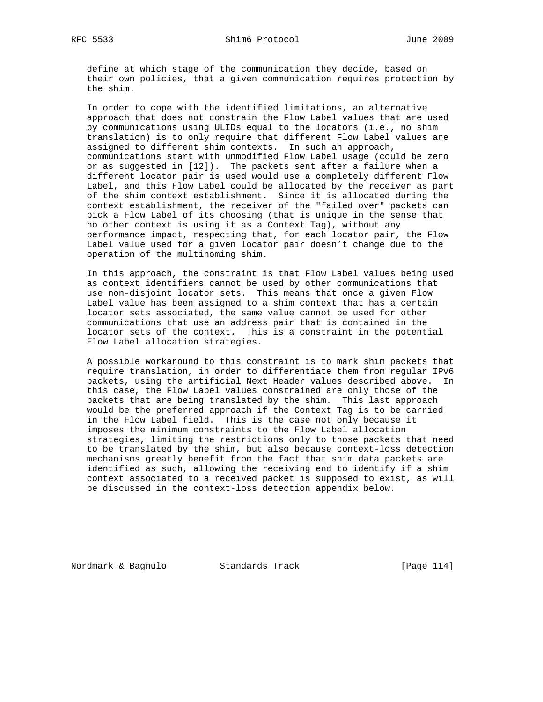define at which stage of the communication they decide, based on their own policies, that a given communication requires protection by the shim.

 In order to cope with the identified limitations, an alternative approach that does not constrain the Flow Label values that are used by communications using ULIDs equal to the locators (i.e., no shim translation) is to only require that different Flow Label values are assigned to different shim contexts. In such an approach, communications start with unmodified Flow Label usage (could be zero or as suggested in [12]). The packets sent after a failure when a different locator pair is used would use a completely different Flow Label, and this Flow Label could be allocated by the receiver as part of the shim context establishment. Since it is allocated during the context establishment, the receiver of the "failed over" packets can pick a Flow Label of its choosing (that is unique in the sense that no other context is using it as a Context Tag), without any performance impact, respecting that, for each locator pair, the Flow Label value used for a given locator pair doesn't change due to the operation of the multihoming shim.

 In this approach, the constraint is that Flow Label values being used as context identifiers cannot be used by other communications that use non-disjoint locator sets. This means that once a given Flow Label value has been assigned to a shim context that has a certain locator sets associated, the same value cannot be used for other communications that use an address pair that is contained in the locator sets of the context. This is a constraint in the potential Flow Label allocation strategies.

 A possible workaround to this constraint is to mark shim packets that require translation, in order to differentiate them from regular IPv6 packets, using the artificial Next Header values described above. In this case, the Flow Label values constrained are only those of the packets that are being translated by the shim. This last approach would be the preferred approach if the Context Tag is to be carried in the Flow Label field. This is the case not only because it imposes the minimum constraints to the Flow Label allocation strategies, limiting the restrictions only to those packets that need to be translated by the shim, but also because context-loss detection mechanisms greatly benefit from the fact that shim data packets are identified as such, allowing the receiving end to identify if a shim context associated to a received packet is supposed to exist, as will be discussed in the context-loss detection appendix below.

Nordmark & Bagnulo Standards Track [Page 114]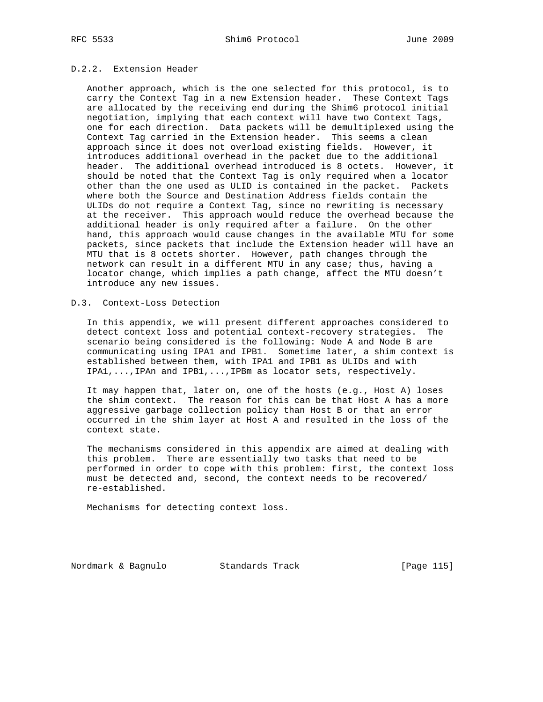# D.2.2. Extension Header

 Another approach, which is the one selected for this protocol, is to carry the Context Tag in a new Extension header. These Context Tags are allocated by the receiving end during the Shim6 protocol initial negotiation, implying that each context will have two Context Tags, one for each direction. Data packets will be demultiplexed using the Context Tag carried in the Extension header. This seems a clean approach since it does not overload existing fields. However, it introduces additional overhead in the packet due to the additional header. The additional overhead introduced is 8 octets. However, it should be noted that the Context Tag is only required when a locator other than the one used as ULID is contained in the packet. Packets where both the Source and Destination Address fields contain the ULIDs do not require a Context Tag, since no rewriting is necessary at the receiver. This approach would reduce the overhead because the additional header is only required after a failure. On the other hand, this approach would cause changes in the available MTU for some packets, since packets that include the Extension header will have an MTU that is 8 octets shorter. However, path changes through the network can result in a different MTU in any case; thus, having a locator change, which implies a path change, affect the MTU doesn't introduce any new issues.

## D.3. Context-Loss Detection

 In this appendix, we will present different approaches considered to detect context loss and potential context-recovery strategies. The scenario being considered is the following: Node A and Node B are communicating using IPA1 and IPB1. Sometime later, a shim context is established between them, with IPA1 and IPB1 as ULIDs and with IPA1,...,IPAn and IPB1,...,IPBm as locator sets, respectively.

 It may happen that, later on, one of the hosts (e.g., Host A) loses the shim context. The reason for this can be that Host A has a more aggressive garbage collection policy than Host B or that an error occurred in the shim layer at Host A and resulted in the loss of the context state.

 The mechanisms considered in this appendix are aimed at dealing with this problem. There are essentially two tasks that need to be performed in order to cope with this problem: first, the context loss must be detected and, second, the context needs to be recovered/ re-established.

Mechanisms for detecting context loss.

Nordmark & Bagnulo Standards Track [Page 115]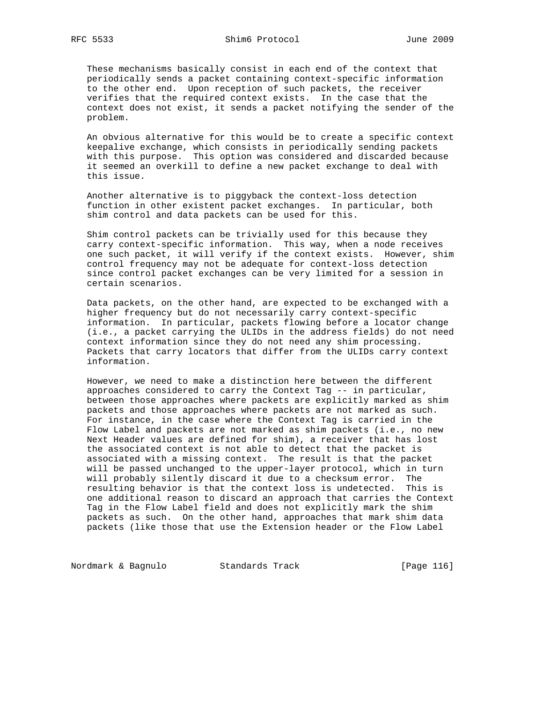These mechanisms basically consist in each end of the context that periodically sends a packet containing context-specific information to the other end. Upon reception of such packets, the receiver verifies that the required context exists. In the case that the context does not exist, it sends a packet notifying the sender of the problem.

 An obvious alternative for this would be to create a specific context keepalive exchange, which consists in periodically sending packets with this purpose. This option was considered and discarded because it seemed an overkill to define a new packet exchange to deal with this issue.

 Another alternative is to piggyback the context-loss detection function in other existent packet exchanges. In particular, both shim control and data packets can be used for this.

 Shim control packets can be trivially used for this because they carry context-specific information. This way, when a node receives one such packet, it will verify if the context exists. However, shim control frequency may not be adequate for context-loss detection since control packet exchanges can be very limited for a session in certain scenarios.

 Data packets, on the other hand, are expected to be exchanged with a higher frequency but do not necessarily carry context-specific information. In particular, packets flowing before a locator change (i.e., a packet carrying the ULIDs in the address fields) do not need context information since they do not need any shim processing. Packets that carry locators that differ from the ULIDs carry context information.

 However, we need to make a distinction here between the different approaches considered to carry the Context Tag -- in particular, between those approaches where packets are explicitly marked as shim packets and those approaches where packets are not marked as such. For instance, in the case where the Context Tag is carried in the Flow Label and packets are not marked as shim packets (i.e., no new Next Header values are defined for shim), a receiver that has lost the associated context is not able to detect that the packet is associated with a missing context. The result is that the packet will be passed unchanged to the upper-layer protocol, which in turn will probably silently discard it due to a checksum error. The resulting behavior is that the context loss is undetected. This is one additional reason to discard an approach that carries the Context Tag in the Flow Label field and does not explicitly mark the shim packets as such. On the other hand, approaches that mark shim data packets (like those that use the Extension header or the Flow Label

Nordmark & Bagnulo Standards Track [Page 116]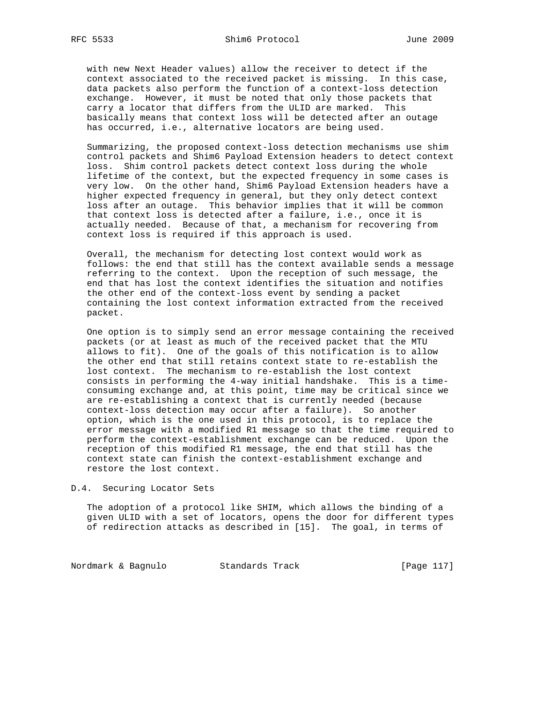with new Next Header values) allow the receiver to detect if the context associated to the received packet is missing. In this case, data packets also perform the function of a context-loss detection exchange. However, it must be noted that only those packets that carry a locator that differs from the ULID are marked. This basically means that context loss will be detected after an outage has occurred, i.e., alternative locators are being used.

 Summarizing, the proposed context-loss detection mechanisms use shim control packets and Shim6 Payload Extension headers to detect context loss. Shim control packets detect context loss during the whole lifetime of the context, but the expected frequency in some cases is very low. On the other hand, Shim6 Payload Extension headers have a higher expected frequency in general, but they only detect context loss after an outage. This behavior implies that it will be common that context loss is detected after a failure, i.e., once it is actually needed. Because of that, a mechanism for recovering from context loss is required if this approach is used.

 Overall, the mechanism for detecting lost context would work as follows: the end that still has the context available sends a message referring to the context. Upon the reception of such message, the end that has lost the context identifies the situation and notifies the other end of the context-loss event by sending a packet containing the lost context information extracted from the received packet.

 One option is to simply send an error message containing the received packets (or at least as much of the received packet that the MTU allows to fit). One of the goals of this notification is to allow the other end that still retains context state to re-establish the lost context. The mechanism to re-establish the lost context consists in performing the 4-way initial handshake. This is a time consuming exchange and, at this point, time may be critical since we are re-establishing a context that is currently needed (because context-loss detection may occur after a failure). So another option, which is the one used in this protocol, is to replace the error message with a modified R1 message so that the time required to perform the context-establishment exchange can be reduced. Upon the reception of this modified R1 message, the end that still has the context state can finish the context-establishment exchange and restore the lost context.

D.4. Securing Locator Sets

 The adoption of a protocol like SHIM, which allows the binding of a given ULID with a set of locators, opens the door for different types of redirection attacks as described in [15]. The goal, in terms of

Nordmark & Bagnulo Standards Track [Page 117]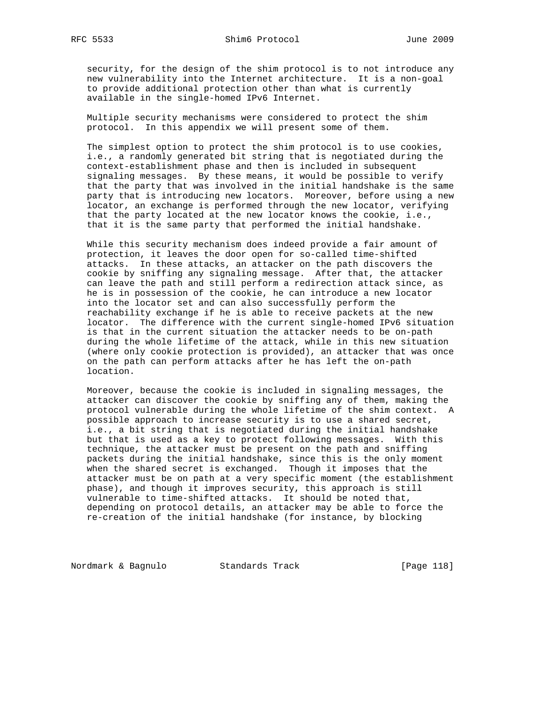security, for the design of the shim protocol is to not introduce any new vulnerability into the Internet architecture. It is a non-goal to provide additional protection other than what is currently available in the single-homed IPv6 Internet.

 Multiple security mechanisms were considered to protect the shim protocol. In this appendix we will present some of them.

 The simplest option to protect the shim protocol is to use cookies, i.e., a randomly generated bit string that is negotiated during the context-establishment phase and then is included in subsequent signaling messages. By these means, it would be possible to verify that the party that was involved in the initial handshake is the same party that is introducing new locators. Moreover, before using a new locator, an exchange is performed through the new locator, verifying that the party located at the new locator knows the cookie, i.e., that it is the same party that performed the initial handshake.

 While this security mechanism does indeed provide a fair amount of protection, it leaves the door open for so-called time-shifted attacks. In these attacks, an attacker on the path discovers the cookie by sniffing any signaling message. After that, the attacker can leave the path and still perform a redirection attack since, as he is in possession of the cookie, he can introduce a new locator into the locator set and can also successfully perform the reachability exchange if he is able to receive packets at the new locator. The difference with the current single-homed IPv6 situation is that in the current situation the attacker needs to be on-path during the whole lifetime of the attack, while in this new situation (where only cookie protection is provided), an attacker that was once on the path can perform attacks after he has left the on-path location.

 Moreover, because the cookie is included in signaling messages, the attacker can discover the cookie by sniffing any of them, making the protocol vulnerable during the whole lifetime of the shim context. A possible approach to increase security is to use a shared secret, i.e., a bit string that is negotiated during the initial handshake but that is used as a key to protect following messages. With this technique, the attacker must be present on the path and sniffing packets during the initial handshake, since this is the only moment when the shared secret is exchanged. Though it imposes that the attacker must be on path at a very specific moment (the establishment phase), and though it improves security, this approach is still vulnerable to time-shifted attacks. It should be noted that, depending on protocol details, an attacker may be able to force the re-creation of the initial handshake (for instance, by blocking

Nordmark & Bagnulo Standards Track [Page 118]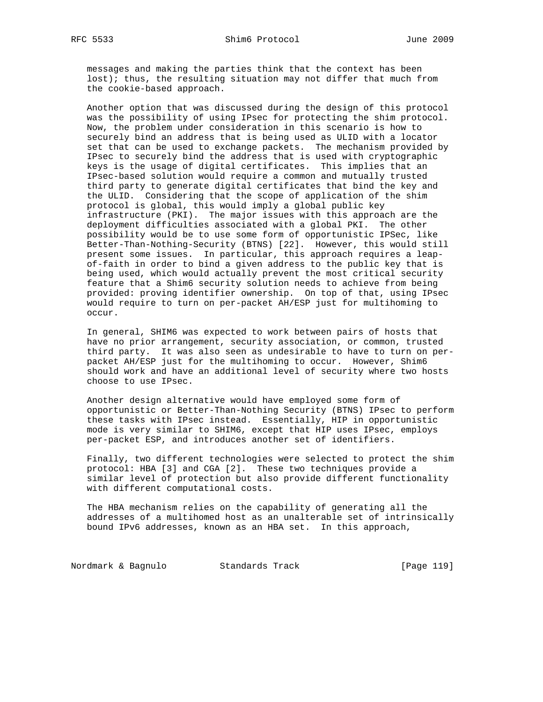messages and making the parties think that the context has been lost); thus, the resulting situation may not differ that much from the cookie-based approach.

 Another option that was discussed during the design of this protocol was the possibility of using IPsec for protecting the shim protocol. Now, the problem under consideration in this scenario is how to securely bind an address that is being used as ULID with a locator set that can be used to exchange packets. The mechanism provided by IPsec to securely bind the address that is used with cryptographic keys is the usage of digital certificates. This implies that an IPsec-based solution would require a common and mutually trusted third party to generate digital certificates that bind the key and the ULID. Considering that the scope of application of the shim protocol is global, this would imply a global public key infrastructure (PKI). The major issues with this approach are the deployment difficulties associated with a global PKI. The other possibility would be to use some form of opportunistic IPSec, like Better-Than-Nothing-Security (BTNS) [22]. However, this would still present some issues. In particular, this approach requires a leap of-faith in order to bind a given address to the public key that is being used, which would actually prevent the most critical security feature that a Shim6 security solution needs to achieve from being provided: proving identifier ownership. On top of that, using IPsec would require to turn on per-packet AH/ESP just for multihoming to occur.

 In general, SHIM6 was expected to work between pairs of hosts that have no prior arrangement, security association, or common, trusted third party. It was also seen as undesirable to have to turn on per packet AH/ESP just for the multihoming to occur. However, Shim6 should work and have an additional level of security where two hosts choose to use IPsec.

 Another design alternative would have employed some form of opportunistic or Better-Than-Nothing Security (BTNS) IPsec to perform these tasks with IPsec instead. Essentially, HIP in opportunistic mode is very similar to SHIM6, except that HIP uses IPsec, employs per-packet ESP, and introduces another set of identifiers.

 Finally, two different technologies were selected to protect the shim protocol: HBA [3] and CGA [2]. These two techniques provide a similar level of protection but also provide different functionality with different computational costs.

 The HBA mechanism relies on the capability of generating all the addresses of a multihomed host as an unalterable set of intrinsically bound IPv6 addresses, known as an HBA set. In this approach,

Nordmark & Bagnulo Standards Track [Page 119]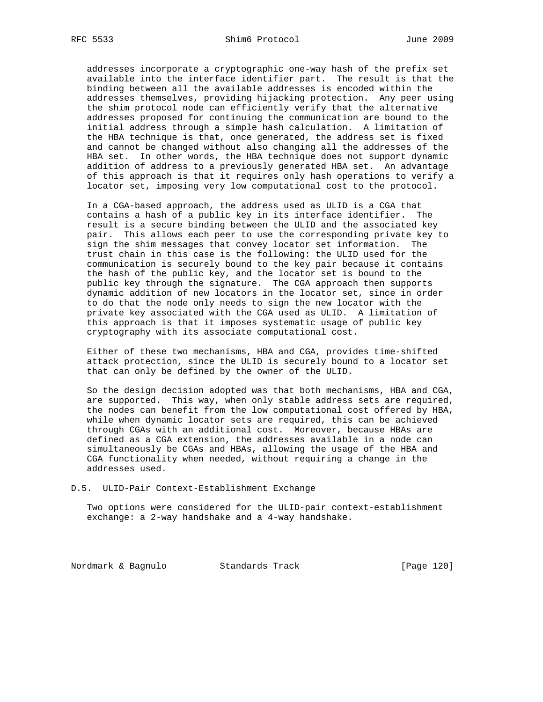addresses incorporate a cryptographic one-way hash of the prefix set available into the interface identifier part. The result is that the binding between all the available addresses is encoded within the addresses themselves, providing hijacking protection. Any peer using the shim protocol node can efficiently verify that the alternative addresses proposed for continuing the communication are bound to the initial address through a simple hash calculation. A limitation of the HBA technique is that, once generated, the address set is fixed and cannot be changed without also changing all the addresses of the HBA set. In other words, the HBA technique does not support dynamic addition of address to a previously generated HBA set. An advantage of this approach is that it requires only hash operations to verify a locator set, imposing very low computational cost to the protocol.

 In a CGA-based approach, the address used as ULID is a CGA that contains a hash of a public key in its interface identifier. The result is a secure binding between the ULID and the associated key pair. This allows each peer to use the corresponding private key to sign the shim messages that convey locator set information. The trust chain in this case is the following: the ULID used for the communication is securely bound to the key pair because it contains the hash of the public key, and the locator set is bound to the public key through the signature. The CGA approach then supports dynamic addition of new locators in the locator set, since in order to do that the node only needs to sign the new locator with the private key associated with the CGA used as ULID. A limitation of this approach is that it imposes systematic usage of public key cryptography with its associate computational cost.

 Either of these two mechanisms, HBA and CGA, provides time-shifted attack protection, since the ULID is securely bound to a locator set that can only be defined by the owner of the ULID.

 So the design decision adopted was that both mechanisms, HBA and CGA, are supported. This way, when only stable address sets are required, the nodes can benefit from the low computational cost offered by HBA, while when dynamic locator sets are required, this can be achieved through CGAs with an additional cost. Moreover, because HBAs are defined as a CGA extension, the addresses available in a node can simultaneously be CGAs and HBAs, allowing the usage of the HBA and CGA functionality when needed, without requiring a change in the addresses used.

#### D.5. ULID-Pair Context-Establishment Exchange

 Two options were considered for the ULID-pair context-establishment exchange: a 2-way handshake and a 4-way handshake.

Nordmark & Bagnulo Standards Track [Page 120]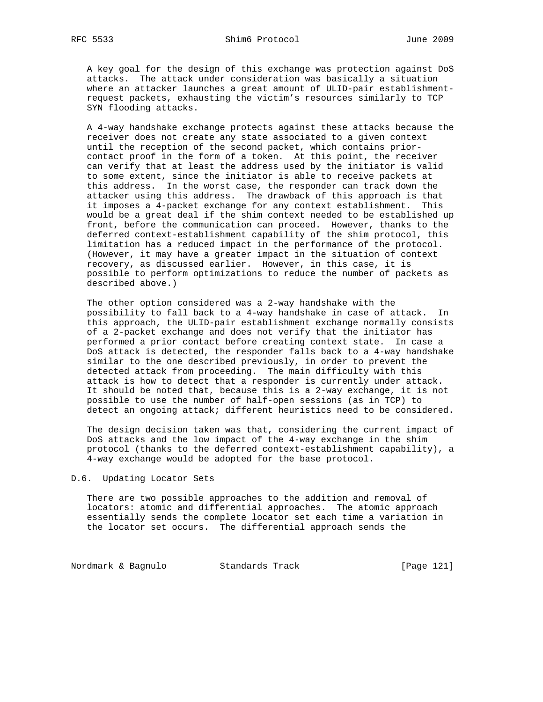A key goal for the design of this exchange was protection against DoS attacks. The attack under consideration was basically a situation where an attacker launches a great amount of ULID-pair establishment request packets, exhausting the victim's resources similarly to TCP SYN flooding attacks.

 A 4-way handshake exchange protects against these attacks because the receiver does not create any state associated to a given context until the reception of the second packet, which contains prior contact proof in the form of a token. At this point, the receiver can verify that at least the address used by the initiator is valid to some extent, since the initiator is able to receive packets at this address. In the worst case, the responder can track down the attacker using this address. The drawback of this approach is that it imposes a 4-packet exchange for any context establishment. This would be a great deal if the shim context needed to be established up front, before the communication can proceed. However, thanks to the deferred context-establishment capability of the shim protocol, this limitation has a reduced impact in the performance of the protocol. (However, it may have a greater impact in the situation of context recovery, as discussed earlier. However, in this case, it is possible to perform optimizations to reduce the number of packets as described above.)

 The other option considered was a 2-way handshake with the possibility to fall back to a 4-way handshake in case of attack. In this approach, the ULID-pair establishment exchange normally consists of a 2-packet exchange and does not verify that the initiator has performed a prior contact before creating context state. In case a DoS attack is detected, the responder falls back to a 4-way handshake similar to the one described previously, in order to prevent the detected attack from proceeding. The main difficulty with this attack is how to detect that a responder is currently under attack. It should be noted that, because this is a 2-way exchange, it is not possible to use the number of half-open sessions (as in TCP) to detect an ongoing attack; different heuristics need to be considered.

 The design decision taken was that, considering the current impact of DoS attacks and the low impact of the 4-way exchange in the shim protocol (thanks to the deferred context-establishment capability), a 4-way exchange would be adopted for the base protocol.

#### D.6. Updating Locator Sets

 There are two possible approaches to the addition and removal of locators: atomic and differential approaches. The atomic approach essentially sends the complete locator set each time a variation in the locator set occurs. The differential approach sends the

Nordmark & Bagnulo Standards Track [Page 121]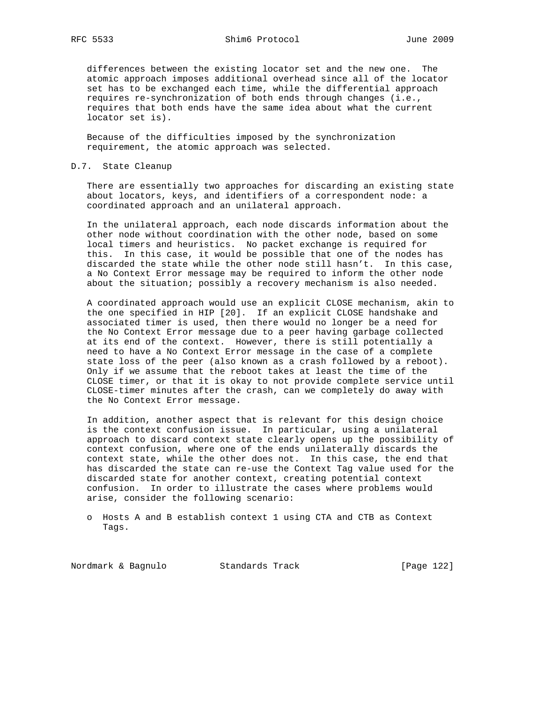differences between the existing locator set and the new one. The atomic approach imposes additional overhead since all of the locator set has to be exchanged each time, while the differential approach requires re-synchronization of both ends through changes (i.e., requires that both ends have the same idea about what the current locator set is).

 Because of the difficulties imposed by the synchronization requirement, the atomic approach was selected.

## D.7. State Cleanup

 There are essentially two approaches for discarding an existing state about locators, keys, and identifiers of a correspondent node: a coordinated approach and an unilateral approach.

 In the unilateral approach, each node discards information about the other node without coordination with the other node, based on some local timers and heuristics. No packet exchange is required for this. In this case, it would be possible that one of the nodes has discarded the state while the other node still hasn't. In this case, a No Context Error message may be required to inform the other node about the situation; possibly a recovery mechanism is also needed.

 A coordinated approach would use an explicit CLOSE mechanism, akin to the one specified in HIP [20]. If an explicit CLOSE handshake and associated timer is used, then there would no longer be a need for the No Context Error message due to a peer having garbage collected at its end of the context. However, there is still potentially a need to have a No Context Error message in the case of a complete state loss of the peer (also known as a crash followed by a reboot). Only if we assume that the reboot takes at least the time of the CLOSE timer, or that it is okay to not provide complete service until CLOSE-timer minutes after the crash, can we completely do away with the No Context Error message.

 In addition, another aspect that is relevant for this design choice is the context confusion issue. In particular, using a unilateral approach to discard context state clearly opens up the possibility of context confusion, where one of the ends unilaterally discards the context state, while the other does not. In this case, the end that has discarded the state can re-use the Context Tag value used for the discarded state for another context, creating potential context confusion. In order to illustrate the cases where problems would arise, consider the following scenario:

 o Hosts A and B establish context 1 using CTA and CTB as Context Tags.

Nordmark & Bagnulo Standards Track [Page 122]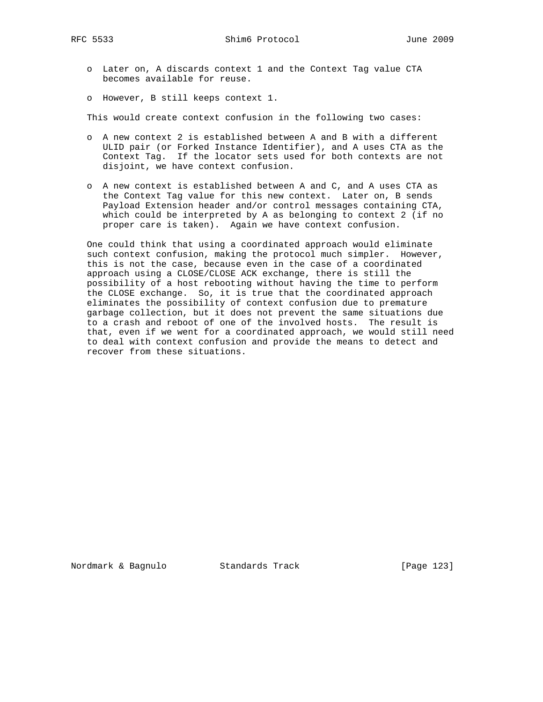o Later on, A discards context 1 and the Context Tag value CTA becomes available for reuse.

o However, B still keeps context 1.

This would create context confusion in the following two cases:

- o A new context 2 is established between A and B with a different ULID pair (or Forked Instance Identifier), and A uses CTA as the Context Tag. If the locator sets used for both contexts are not disjoint, we have context confusion.
- o A new context is established between A and C, and A uses CTA as the Context Tag value for this new context. Later on, B sends Payload Extension header and/or control messages containing CTA, which could be interpreted by A as belonging to context 2 (if no proper care is taken). Again we have context confusion.

 One could think that using a coordinated approach would eliminate such context confusion, making the protocol much simpler. However, this is not the case, because even in the case of a coordinated approach using a CLOSE/CLOSE ACK exchange, there is still the possibility of a host rebooting without having the time to perform the CLOSE exchange. So, it is true that the coordinated approach eliminates the possibility of context confusion due to premature garbage collection, but it does not prevent the same situations due to a crash and reboot of one of the involved hosts. The result is that, even if we went for a coordinated approach, we would still need to deal with context confusion and provide the means to detect and recover from these situations.